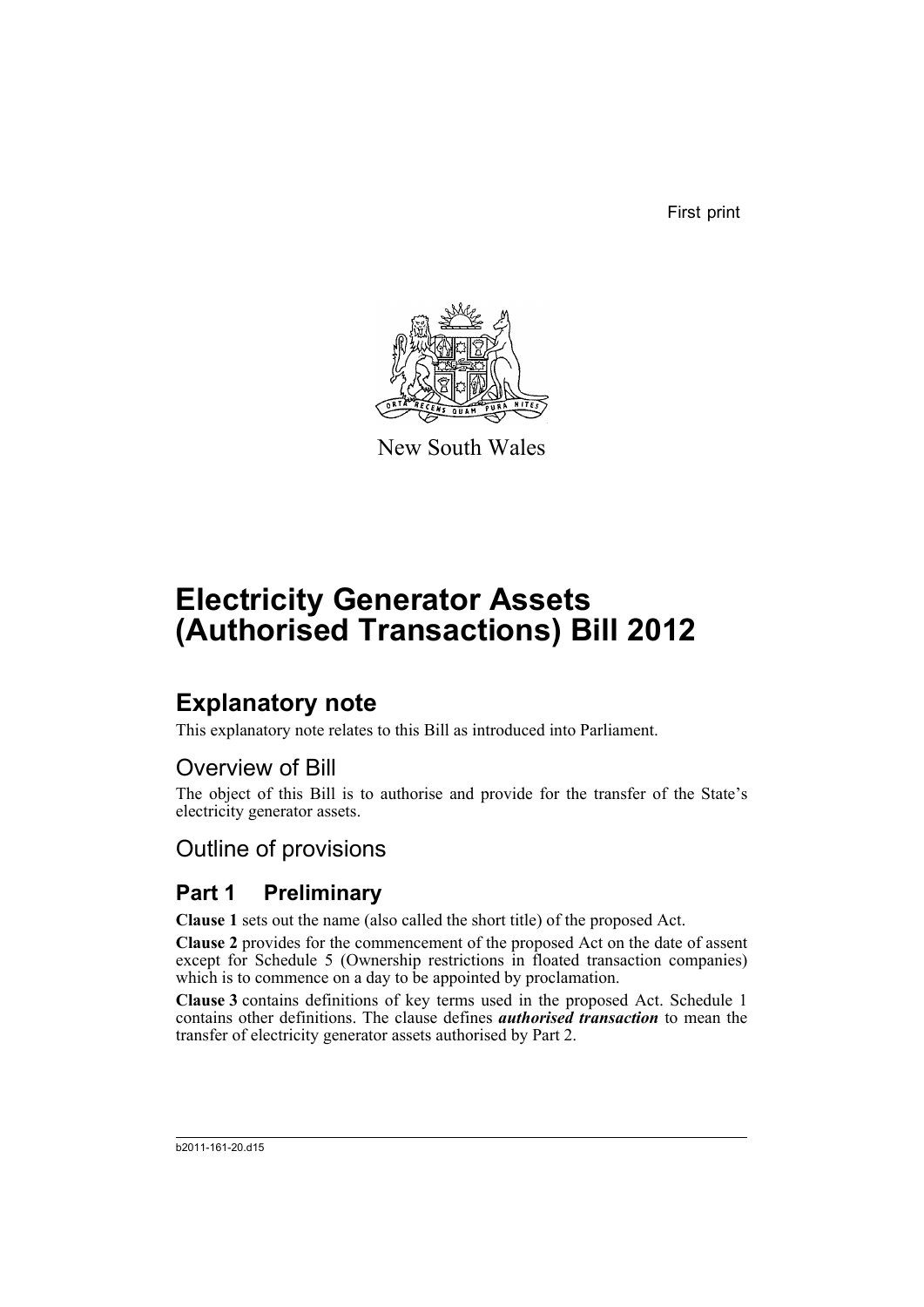First print



New South Wales

# **Electricity Generator Assets (Authorised Transactions) Bill 2012**

# **Explanatory note**

This explanatory note relates to this Bill as introduced into Parliament.

# Overview of Bill

The object of this Bill is to authorise and provide for the transfer of the State's electricity generator assets.

# Outline of provisions

# **Part 1 Preliminary**

**Clause 1** sets out the name (also called the short title) of the proposed Act.

**Clause 2** provides for the commencement of the proposed Act on the date of assent except for Schedule 5 (Ownership restrictions in floated transaction companies) which is to commence on a day to be appointed by proclamation.

**Clause 3** contains definitions of key terms used in the proposed Act. Schedule 1 contains other definitions. The clause defines *authorised transaction* to mean the transfer of electricity generator assets authorised by Part 2.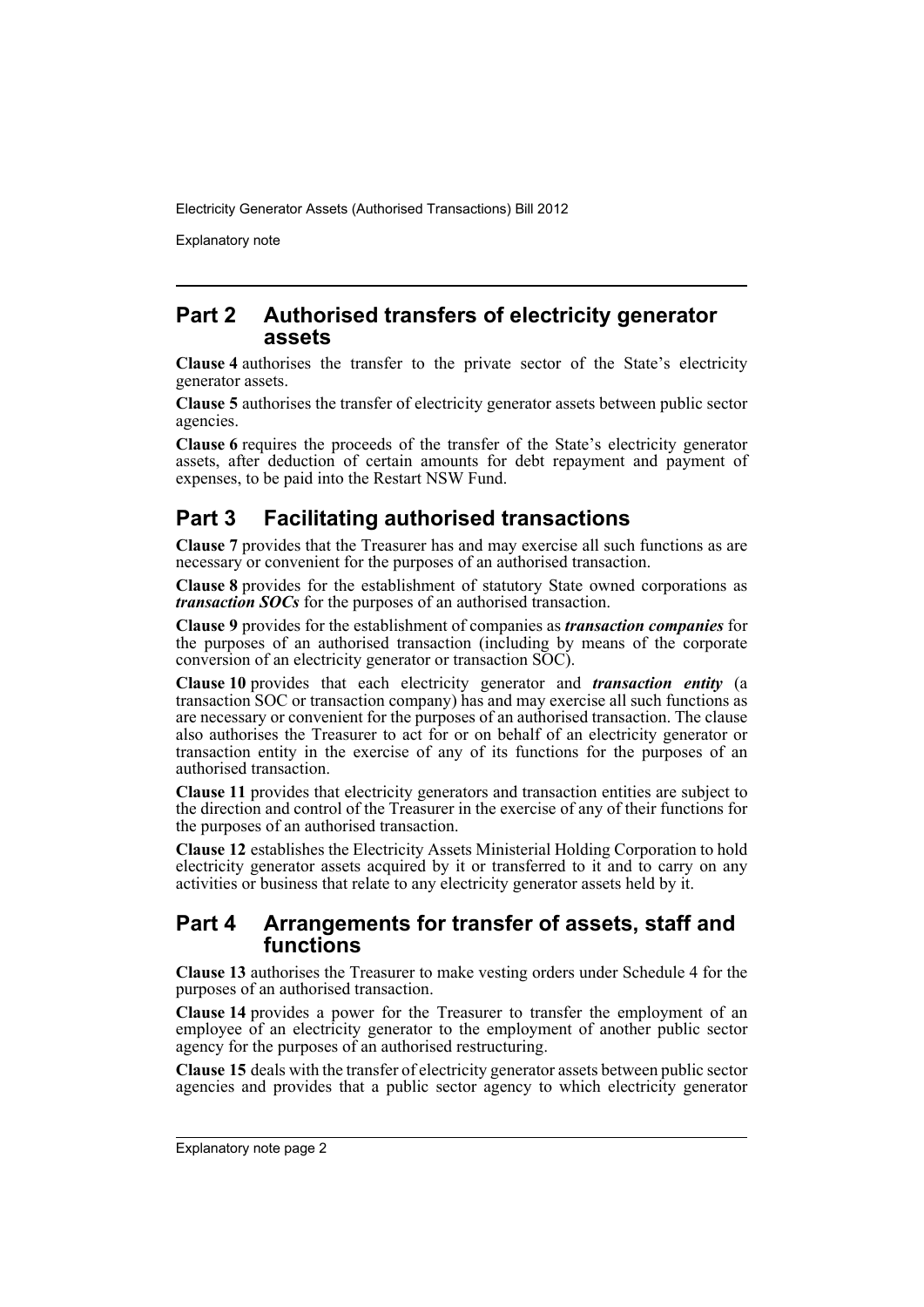Explanatory note

# **Part 2 Authorised transfers of electricity generator assets**

**Clause 4** authorises the transfer to the private sector of the State's electricity generator assets.

**Clause 5** authorises the transfer of electricity generator assets between public sector agencies.

**Clause 6** requires the proceeds of the transfer of the State's electricity generator assets, after deduction of certain amounts for debt repayment and payment of expenses, to be paid into the Restart NSW Fund.

# **Part 3 Facilitating authorised transactions**

**Clause 7** provides that the Treasurer has and may exercise all such functions as are necessary or convenient for the purposes of an authorised transaction.

**Clause 8** provides for the establishment of statutory State owned corporations as *transaction SOCs* for the purposes of an authorised transaction.

**Clause 9** provides for the establishment of companies as *transaction companies* for the purposes of an authorised transaction (including by means of the corporate conversion of an electricity generator or transaction SOC).

**Clause 10** provides that each electricity generator and *transaction entity* (a transaction SOC or transaction company) has and may exercise all such functions as are necessary or convenient for the purposes of an authorised transaction. The clause also authorises the Treasurer to act for or on behalf of an electricity generator or transaction entity in the exercise of any of its functions for the purposes of an authorised transaction.

**Clause 11** provides that electricity generators and transaction entities are subject to the direction and control of the Treasurer in the exercise of any of their functions for the purposes of an authorised transaction.

**Clause 12** establishes the Electricity Assets Ministerial Holding Corporation to hold electricity generator assets acquired by it or transferred to it and to carry on any activities or business that relate to any electricity generator assets held by it.

# **Part 4 Arrangements for transfer of assets, staff and functions**

**Clause 13** authorises the Treasurer to make vesting orders under Schedule 4 for the purposes of an authorised transaction.

**Clause 14** provides a power for the Treasurer to transfer the employment of an employee of an electricity generator to the employment of another public sector agency for the purposes of an authorised restructuring.

**Clause 15** deals with the transfer of electricity generator assets between public sector agencies and provides that a public sector agency to which electricity generator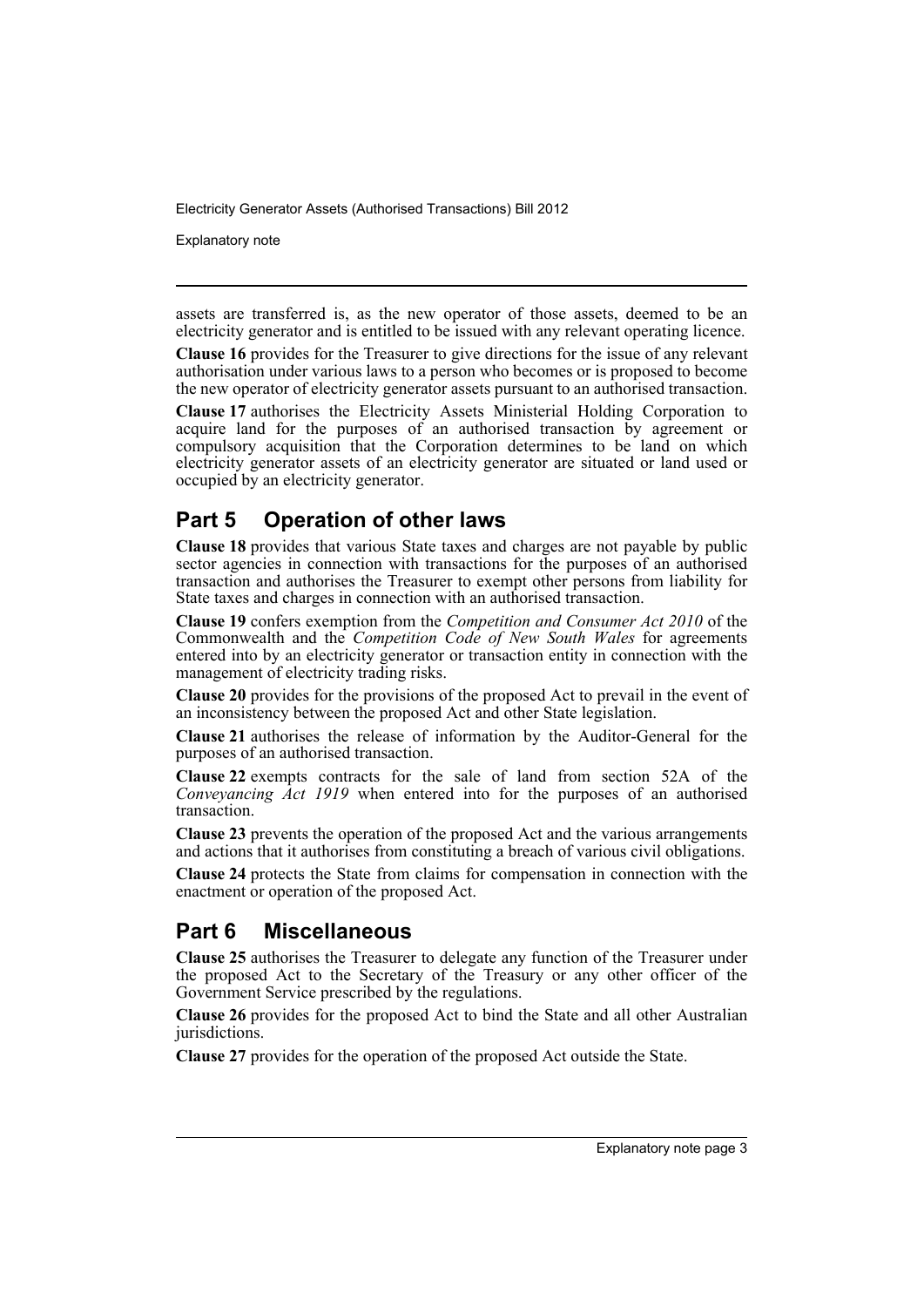Explanatory note

assets are transferred is, as the new operator of those assets, deemed to be an electricity generator and is entitled to be issued with any relevant operating licence.

**Clause 16** provides for the Treasurer to give directions for the issue of any relevant authorisation under various laws to a person who becomes or is proposed to become the new operator of electricity generator assets pursuant to an authorised transaction.

**Clause 17** authorises the Electricity Assets Ministerial Holding Corporation to acquire land for the purposes of an authorised transaction by agreement or compulsory acquisition that the Corporation determines to be land on which electricity generator assets of an electricity generator are situated or land used or occupied by an electricity generator.

# **Part 5 Operation of other laws**

**Clause 18** provides that various State taxes and charges are not payable by public sector agencies in connection with transactions for the purposes of an authorised transaction and authorises the Treasurer to exempt other persons from liability for State taxes and charges in connection with an authorised transaction.

**Clause 19** confers exemption from the *Competition and Consumer Act 2010* of the Commonwealth and the *Competition Code of New South Wales* for agreements entered into by an electricity generator or transaction entity in connection with the management of electricity trading risks.

**Clause 20** provides for the provisions of the proposed Act to prevail in the event of an inconsistency between the proposed Act and other State legislation.

**Clause 21** authorises the release of information by the Auditor-General for the purposes of an authorised transaction.

**Clause 22** exempts contracts for the sale of land from section 52A of the *Conveyancing Act 1919* when entered into for the purposes of an authorised transaction.

**Clause 23** prevents the operation of the proposed Act and the various arrangements and actions that it authorises from constituting a breach of various civil obligations.

**Clause 24** protects the State from claims for compensation in connection with the enactment or operation of the proposed Act.

# **Part 6 Miscellaneous**

**Clause 25** authorises the Treasurer to delegate any function of the Treasurer under the proposed Act to the Secretary of the Treasury or any other officer of the Government Service prescribed by the regulations.

**Clause 26** provides for the proposed Act to bind the State and all other Australian jurisdictions.

**Clause 27** provides for the operation of the proposed Act outside the State.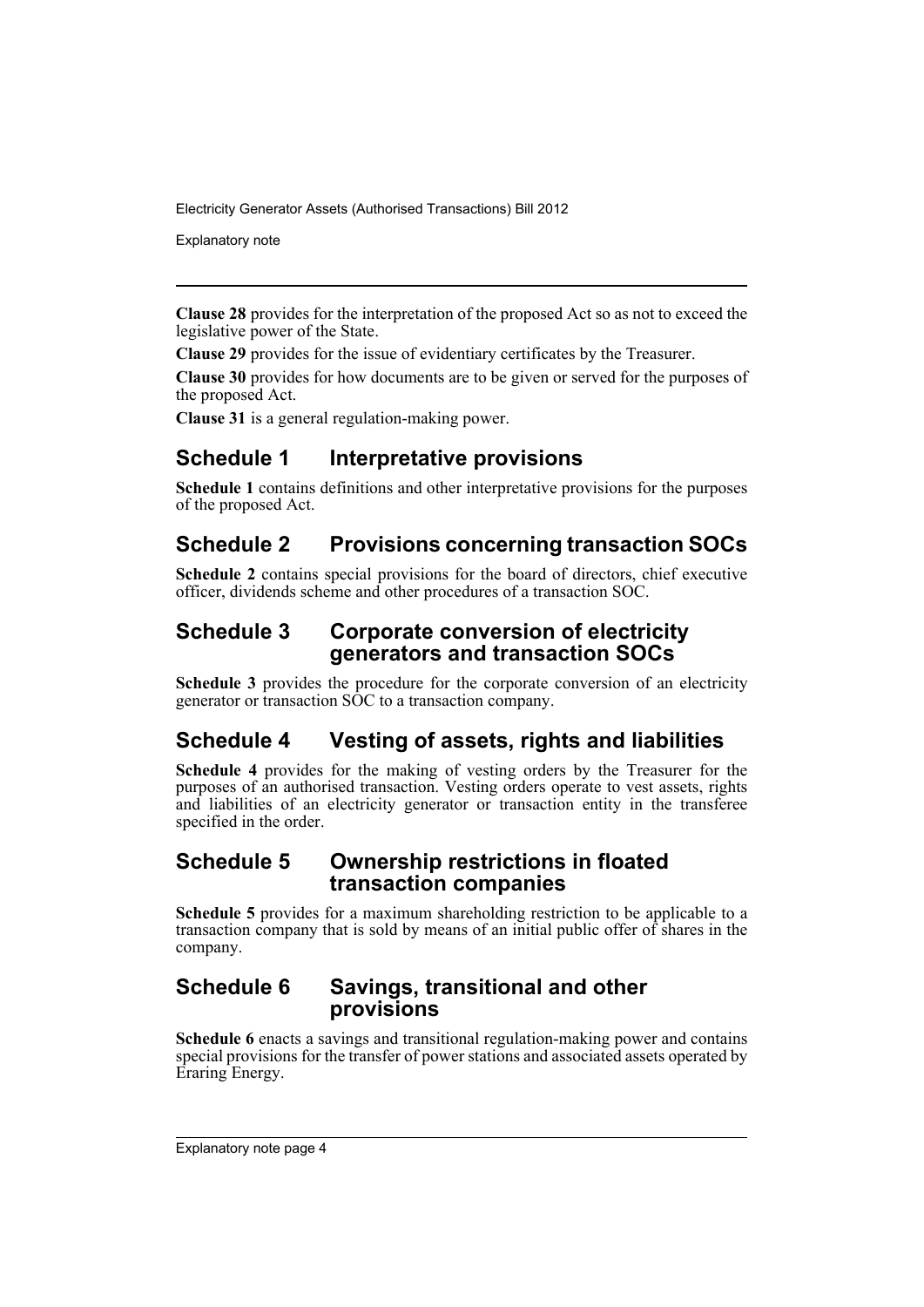Explanatory note

**Clause 28** provides for the interpretation of the proposed Act so as not to exceed the legislative power of the State.

**Clause 29** provides for the issue of evidentiary certificates by the Treasurer.

**Clause 30** provides for how documents are to be given or served for the purposes of the proposed Act.

**Clause 31** is a general regulation-making power.

# **Schedule 1 Interpretative provisions**

**Schedule 1** contains definitions and other interpretative provisions for the purposes of the proposed Act.

# **Schedule 2 Provisions concerning transaction SOCs**

**Schedule 2** contains special provisions for the board of directors, chief executive officer, dividends scheme and other procedures of a transaction SOC.

# **Schedule 3 Corporate conversion of electricity generators and transaction SOCs**

**Schedule 3** provides the procedure for the corporate conversion of an electricity generator or transaction SOC to a transaction company.

# **Schedule 4 Vesting of assets, rights and liabilities**

**Schedule 4** provides for the making of vesting orders by the Treasurer for the purposes of an authorised transaction. Vesting orders operate to vest assets, rights and liabilities of an electricity generator or transaction entity in the transferee specified in the order.

# **Schedule 5 Ownership restrictions in floated transaction companies**

**Schedule 5** provides for a maximum shareholding restriction to be applicable to a transaction company that is sold by means of an initial public offer of shares in the company.

# **Schedule 6 Savings, transitional and other provisions**

**Schedule 6** enacts a savings and transitional regulation-making power and contains special provisions for the transfer of power stations and associated assets operated by Eraring Energy.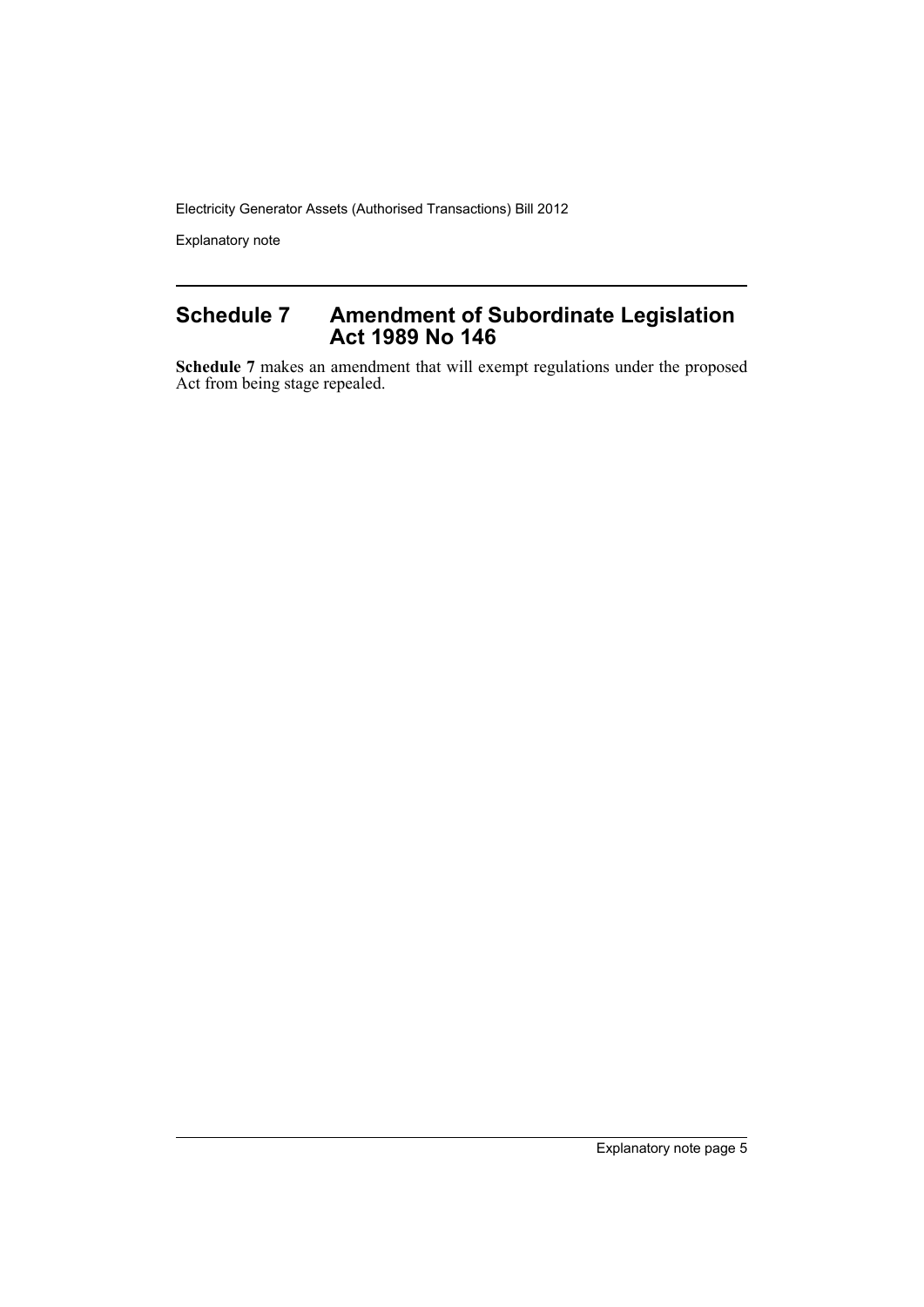Explanatory note

# **Schedule 7 Amendment of Subordinate Legislation Act 1989 No 146**

**Schedule 7** makes an amendment that will exempt regulations under the proposed Act from being stage repealed.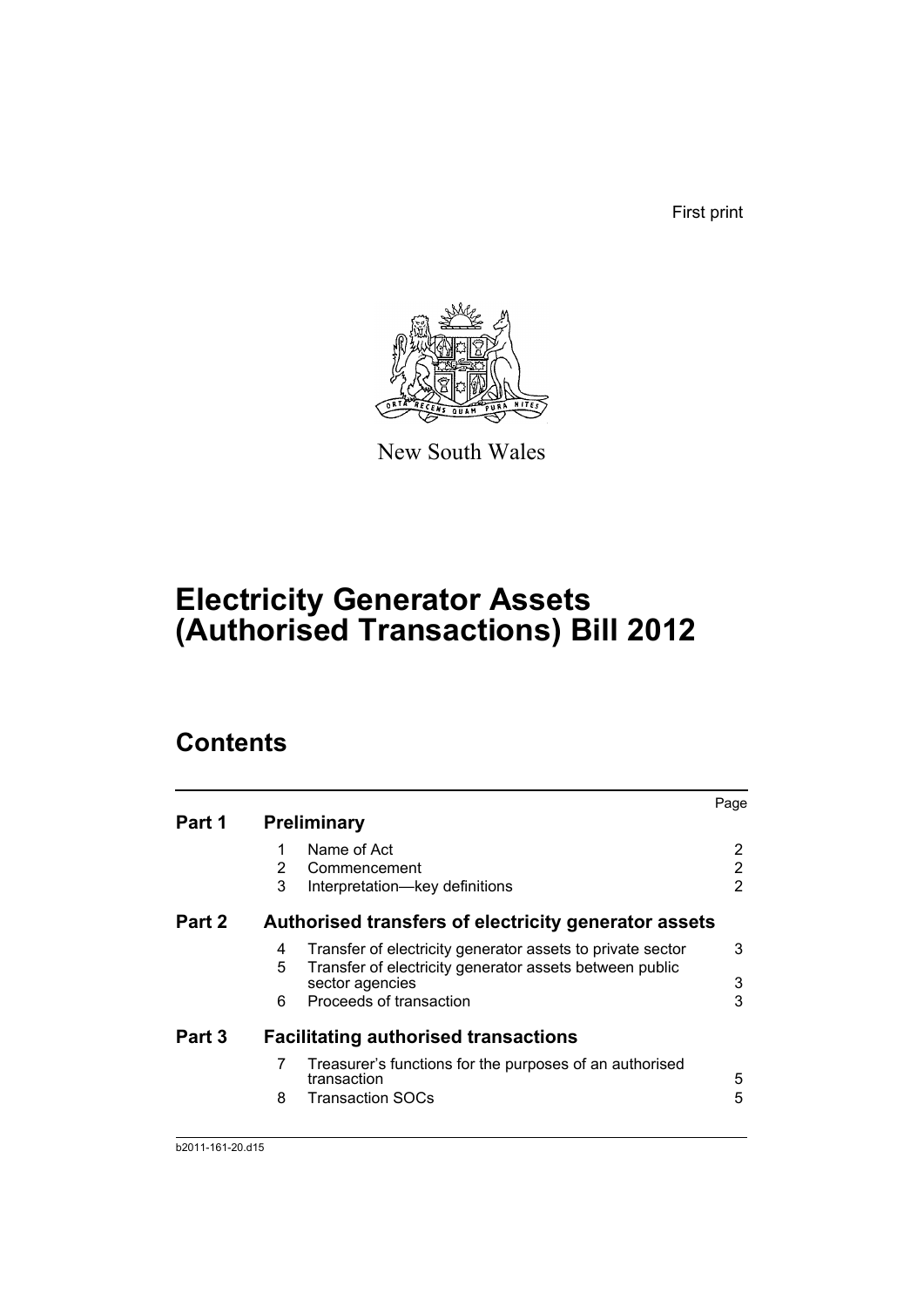First print



New South Wales

# **Electricity Generator Assets (Authorised Transactions) Bill 2012**

# **Contents**

|        |   |                                                                            | Page |
|--------|---|----------------------------------------------------------------------------|------|
| Part 1 |   | <b>Preliminary</b>                                                         |      |
|        |   | Name of Act                                                                | 2    |
|        | 2 | Commencement                                                               | 2    |
|        | 3 | Interpretation-key definitions                                             | 2    |
| Part 2 |   | Authorised transfers of electricity generator assets                       |      |
|        | 4 | Transfer of electricity generator assets to private sector                 | 3    |
|        | 5 | Transfer of electricity generator assets between public<br>sector agencies | 3    |
|        | 6 | Proceeds of transaction                                                    | 3    |
| Part 3 |   | <b>Facilitating authorised transactions</b>                                |      |
|        | 7 | Treasurer's functions for the purposes of an authorised<br>transaction     | 5    |
|        | 8 | Transaction SOCs                                                           | 5    |
|        |   |                                                                            |      |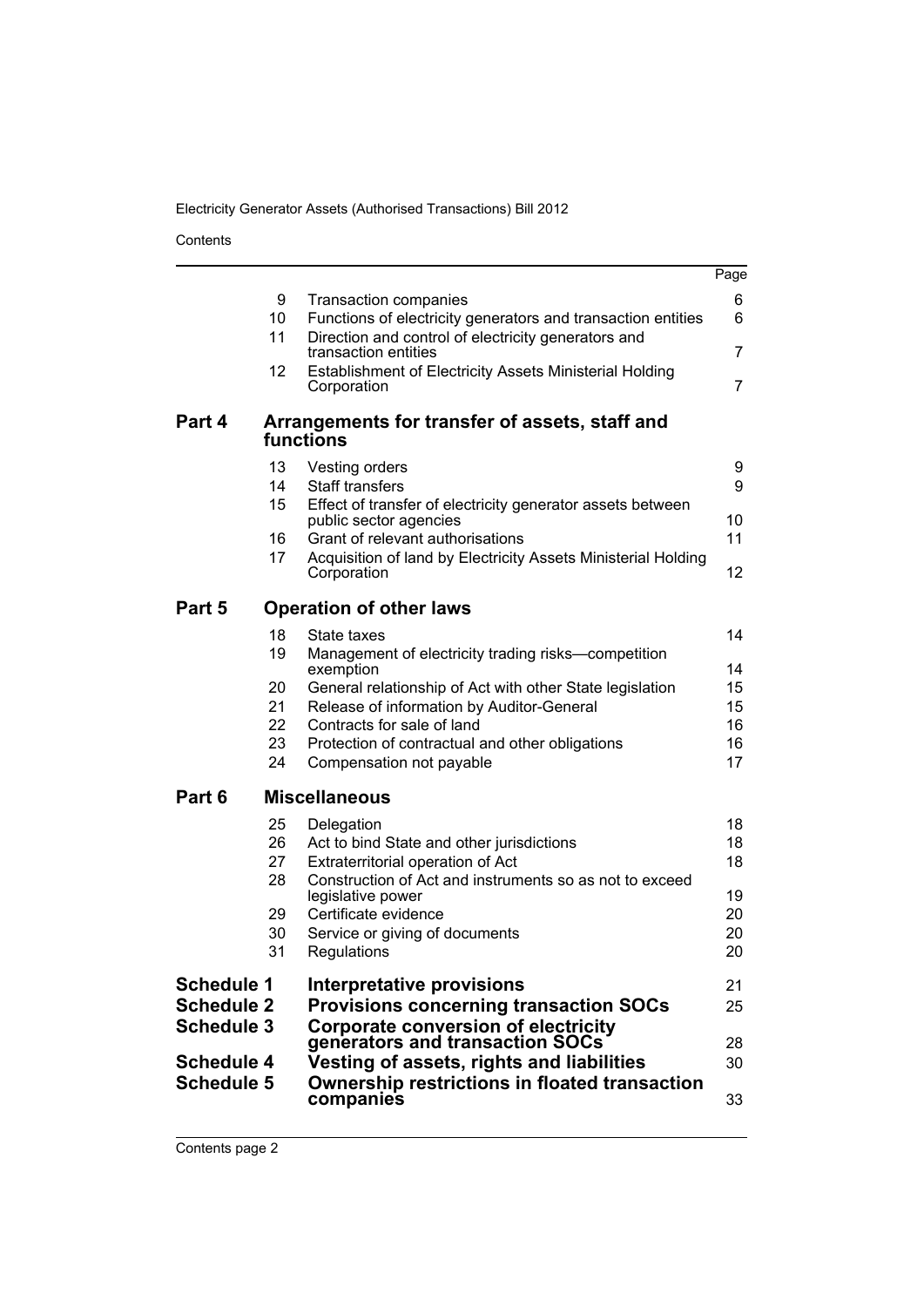Contents

|                                                                                                       |                                        |                                                                                                                                                                                                                                                                           | Page                                       |
|-------------------------------------------------------------------------------------------------------|----------------------------------------|---------------------------------------------------------------------------------------------------------------------------------------------------------------------------------------------------------------------------------------------------------------------------|--------------------------------------------|
|                                                                                                       | 9<br>10<br>11<br>12                    | <b>Transaction companies</b><br>Functions of electricity generators and transaction entities<br>Direction and control of electricity generators and<br>transaction entities<br><b>Establishment of Electricity Assets Ministerial Holding</b><br>Corporation              | 6<br>6<br>$\overline{7}$<br>$\overline{7}$ |
| Part 4                                                                                                |                                        | Arrangements for transfer of assets, staff and<br>functions                                                                                                                                                                                                               |                                            |
|                                                                                                       | 13<br>14<br>15                         | Vesting orders<br><b>Staff transfers</b><br>Effect of transfer of electricity generator assets between                                                                                                                                                                    | 9<br>9                                     |
|                                                                                                       | 16<br>17                               | public sector agencies<br>Grant of relevant authorisations<br>Acquisition of land by Electricity Assets Ministerial Holding                                                                                                                                               | 10<br>11                                   |
| Part 5                                                                                                |                                        | Corporation<br><b>Operation of other laws</b>                                                                                                                                                                                                                             | 12                                         |
|                                                                                                       | 18<br>19<br>20<br>21<br>22<br>23       | State taxes<br>Management of electricity trading risks-competition<br>exemption<br>General relationship of Act with other State legislation<br>Release of information by Auditor-General<br>Contracts for sale of land<br>Protection of contractual and other obligations | 14<br>14<br>15<br>15<br>16<br>16           |
| Part 6                                                                                                | 24                                     | Compensation not payable<br><b>Miscellaneous</b>                                                                                                                                                                                                                          | 17                                         |
|                                                                                                       | 25<br>26<br>27<br>28<br>29<br>30<br>31 | Delegation<br>Act to bind State and other jurisdictions<br>Extraterritorial operation of Act<br>Construction of Act and instruments so as not to exceed<br>legislative power<br>Certificate evidence<br>Service or giving of documents<br>Regulations                     | 18<br>18<br>18<br>19<br>20<br>20<br>20     |
| <b>Schedule 1</b><br><b>Schedule 2</b><br><b>Schedule 3</b><br><b>Schedule 4</b><br><b>Schedule 5</b> |                                        | Interpretative provisions<br><b>Provisions concerning transaction SOCs</b><br><b>Corporate conversion of electricity</b><br>generators and transaction SOCs<br>Vesting of assets, rights and liabilities<br>Ownership restrictions in floated transaction<br>companies    | 21<br>25<br>28<br>30<br>33                 |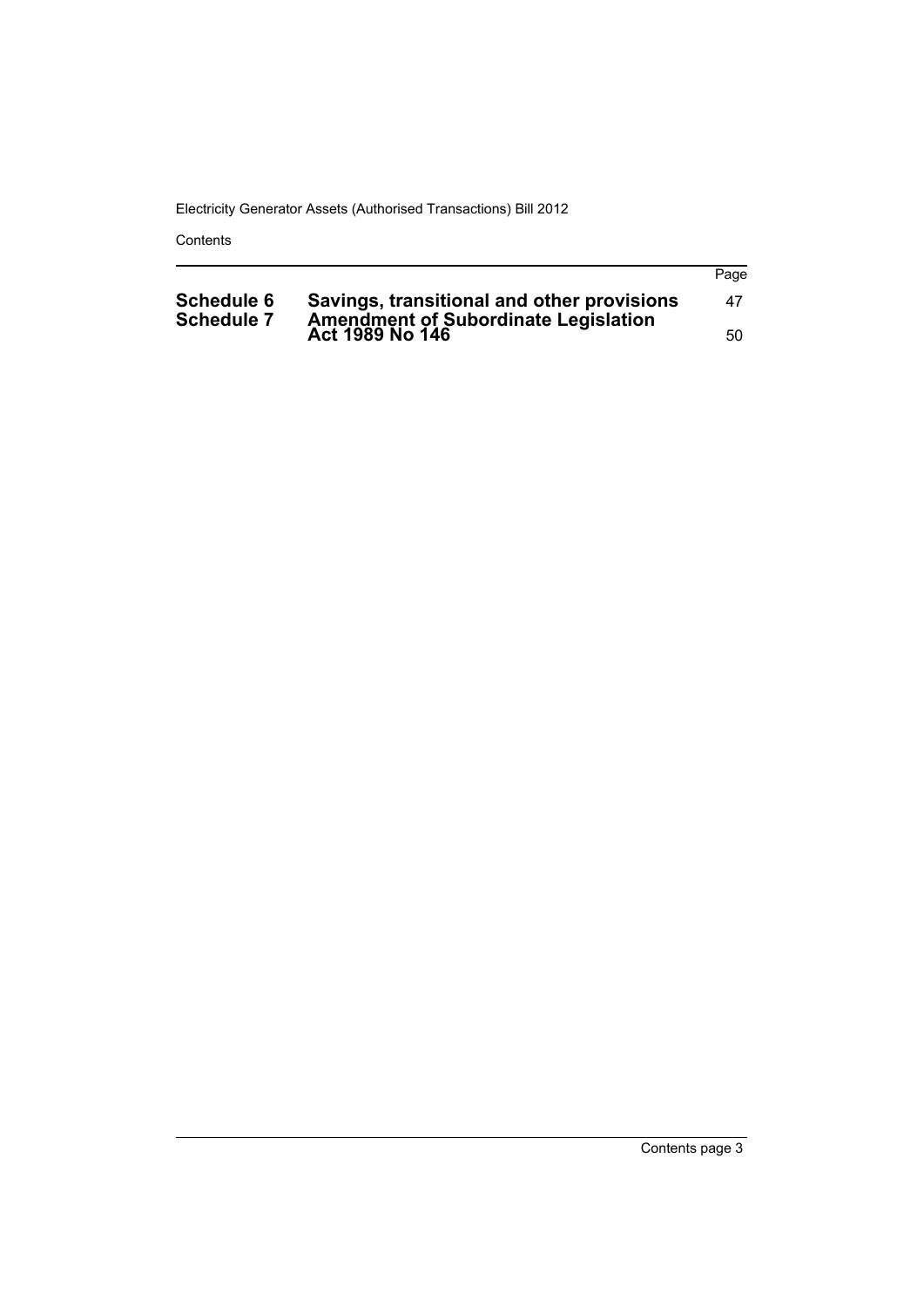Contents

|                                        |                                                                                           | Page |
|----------------------------------------|-------------------------------------------------------------------------------------------|------|
| <b>Schedule 6</b><br><b>Schedule 7</b> | Savings, transitional and other provisions<br><b>Amendment of Subordinate Legislation</b> | 47   |
|                                        | Act 1989 No 146                                                                           | 50   |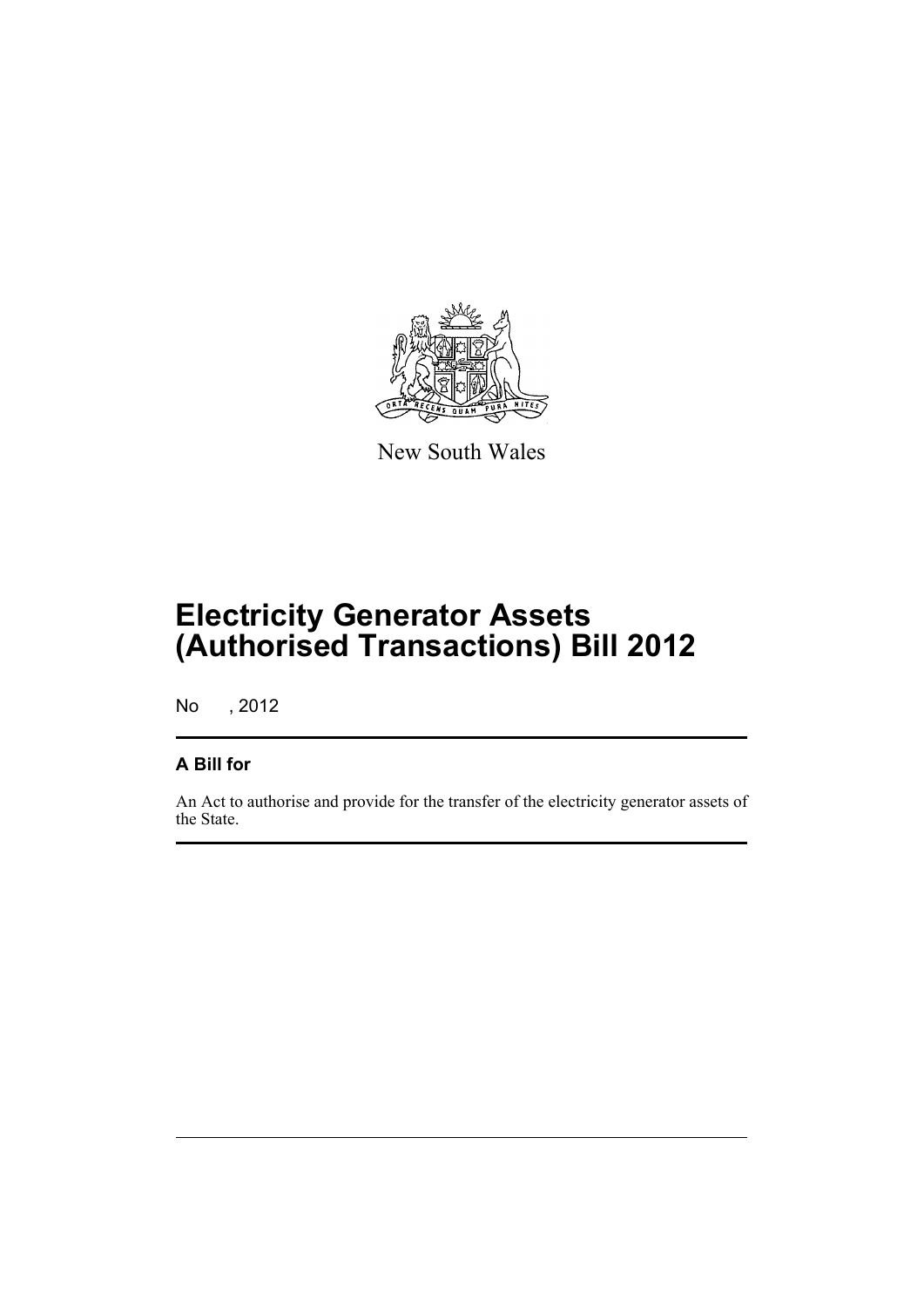

New South Wales

# **Electricity Generator Assets (Authorised Transactions) Bill 2012**

No , 2012

# **A Bill for**

An Act to authorise and provide for the transfer of the electricity generator assets of the State.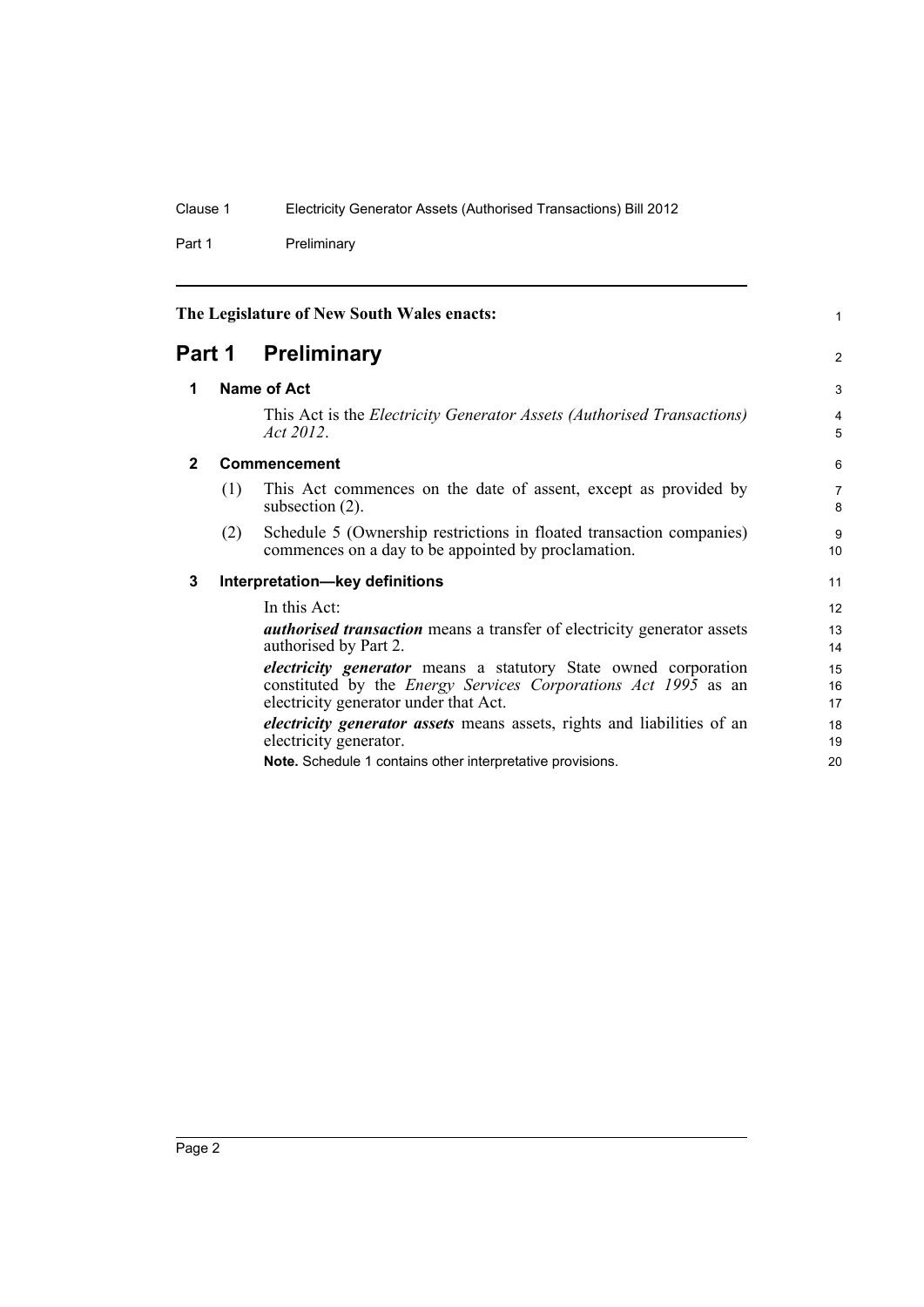Part 1 Preliminary

<span id="page-11-3"></span><span id="page-11-2"></span><span id="page-11-1"></span><span id="page-11-0"></span>

| The Legislature of New South Wales enacts: |     |                                                                                                                                                                                          | 1                     |  |
|--------------------------------------------|-----|------------------------------------------------------------------------------------------------------------------------------------------------------------------------------------------|-----------------------|--|
|                                            |     | Part 1 Preliminary                                                                                                                                                                       | 2                     |  |
| 1                                          |     | Name of Act                                                                                                                                                                              |                       |  |
|                                            |     | This Act is the <i>Electricity Generator Assets (Authorised Transactions)</i><br>Act $2012$ .                                                                                            | 4<br>5                |  |
| $\mathbf{2}$                               |     | Commencement                                                                                                                                                                             |                       |  |
|                                            | (1) | This Act commences on the date of assent, except as provided by<br>subsection $(2)$ .                                                                                                    | $\overline{7}$<br>8   |  |
|                                            | (2) | Schedule 5 (Ownership restrictions in floated transaction companies)<br>commences on a day to be appointed by proclamation.                                                              | 9<br>10 <sup>10</sup> |  |
| 3                                          |     | Interpretation-key definitions                                                                                                                                                           | 11                    |  |
|                                            |     | In this Act:                                                                                                                                                                             | 12                    |  |
|                                            |     | <i>authorised transaction</i> means a transfer of electricity generator assets<br>authorised by Part 2.                                                                                  | 13<br>14              |  |
|                                            |     | <i>electricity generator</i> means a statutory State owned corporation<br>constituted by the <i>Energy Services Corporations Act 1995</i> as an<br>electricity generator under that Act. | 15<br>16<br>17        |  |
|                                            |     | <i>electricity generator assets</i> means assets, rights and liabilities of an<br>electricity generator.                                                                                 | 18<br>19              |  |
|                                            |     | Note. Schedule 1 contains other interpretative provisions.                                                                                                                               | 20                    |  |

Page 2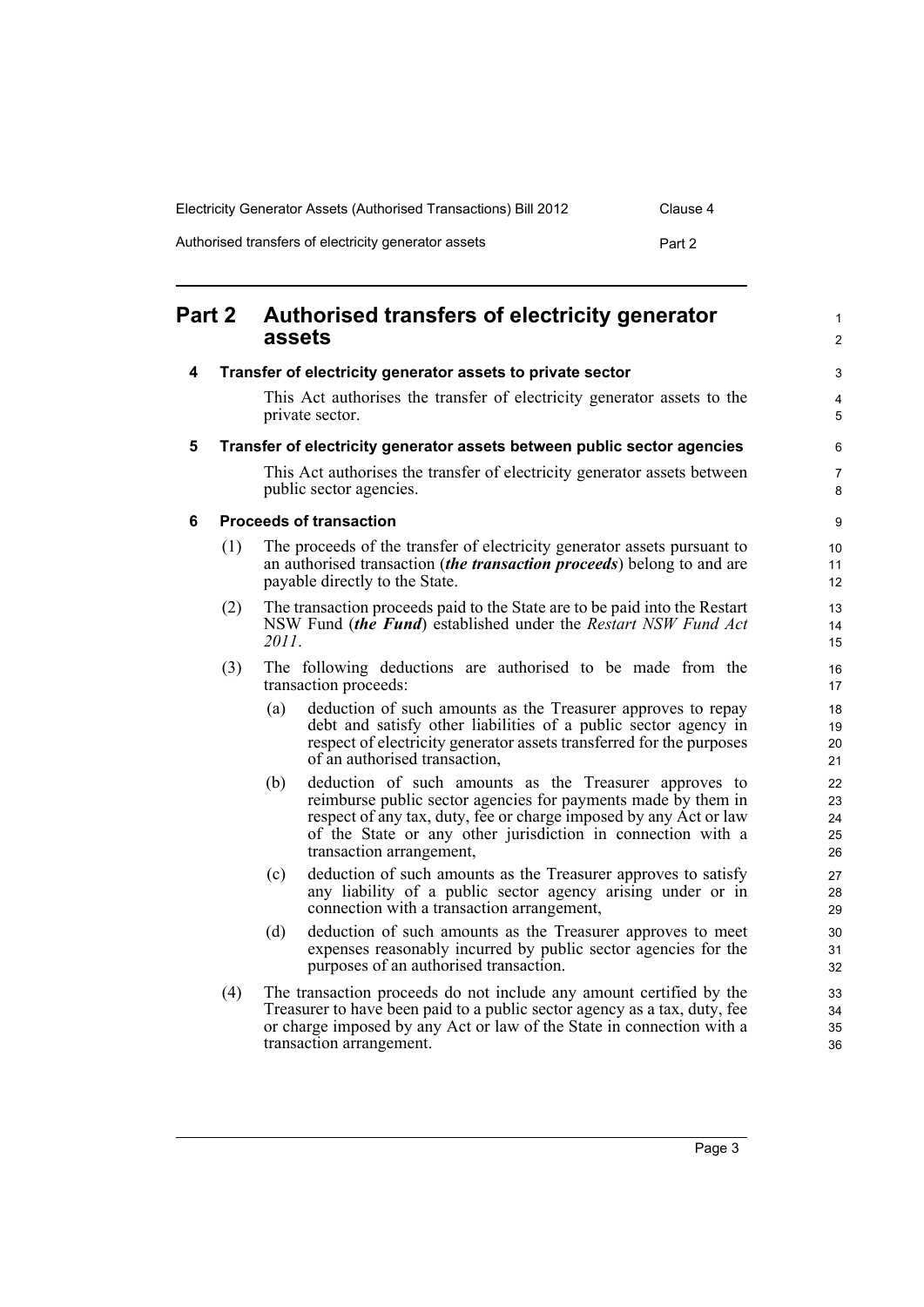| Electricity Generator Assets (Authorised Transactions) Bill 2012 |        |  |  |  |
|------------------------------------------------------------------|--------|--|--|--|
| Authorised transfers of electricity generator assets             | Part 2 |  |  |  |

<span id="page-12-3"></span><span id="page-12-2"></span><span id="page-12-1"></span><span id="page-12-0"></span>

| <b>Part 2</b> |     | Authorised transfers of electricity generator<br>assets                                                                                                                                                                                                                                        |                            |
|---------------|-----|------------------------------------------------------------------------------------------------------------------------------------------------------------------------------------------------------------------------------------------------------------------------------------------------|----------------------------|
| 4             |     | Transfer of electricity generator assets to private sector                                                                                                                                                                                                                                     |                            |
|               |     | This Act authorises the transfer of electricity generator assets to the<br>private sector.                                                                                                                                                                                                     | 4<br>5                     |
| 5             |     | Transfer of electricity generator assets between public sector agencies                                                                                                                                                                                                                        | 6                          |
|               |     | This Act authorises the transfer of electricity generator assets between<br>public sector agencies.                                                                                                                                                                                            | $\overline{7}$<br>8        |
| 6             |     | <b>Proceeds of transaction</b>                                                                                                                                                                                                                                                                 | 9                          |
|               | (1) | The proceeds of the transfer of electricity generator assets pursuant to<br>an authorised transaction <i>(the transaction proceeds)</i> belong to and are<br>payable directly to the State.                                                                                                    | 10<br>11<br>12             |
|               | (2) | The transaction proceeds paid to the State are to be paid into the Restart<br>NSW Fund (the Fund) established under the Restart NSW Fund Act<br>2011.                                                                                                                                          | 13<br>14<br>15             |
|               | (3) | The following deductions are authorised to be made from the<br>transaction proceeds:                                                                                                                                                                                                           | 16<br>17                   |
|               |     | deduction of such amounts as the Treasurer approves to repay<br>(a)<br>debt and satisfy other liabilities of a public sector agency in<br>respect of electricity generator assets transferred for the purposes<br>of an authorised transaction,                                                | 18<br>19<br>20<br>21       |
|               |     | deduction of such amounts as the Treasurer approves to<br>(b)<br>reimburse public sector agencies for payments made by them in<br>respect of any tax, duty, fee or charge imposed by any Act or law<br>of the State or any other jurisdiction in connection with a<br>transaction arrangement, | 22<br>23<br>24<br>25<br>26 |
|               |     | deduction of such amounts as the Treasurer approves to satisfy<br>(c)<br>any liability of a public sector agency arising under or in<br>connection with a transaction arrangement,                                                                                                             | 27<br>28<br>29             |
|               |     | deduction of such amounts as the Treasurer approves to meet<br>(d)<br>expenses reasonably incurred by public sector agencies for the<br>purposes of an authorised transaction.                                                                                                                 | 30<br>31<br>32             |
|               | (4) | The transaction proceeds do not include any amount certified by the<br>Treasurer to have been paid to a public sector agency as a tax, duty, fee<br>or charge imposed by any Act or law of the State in connection with a<br>transaction arrangement.                                          | 33<br>34<br>35<br>36       |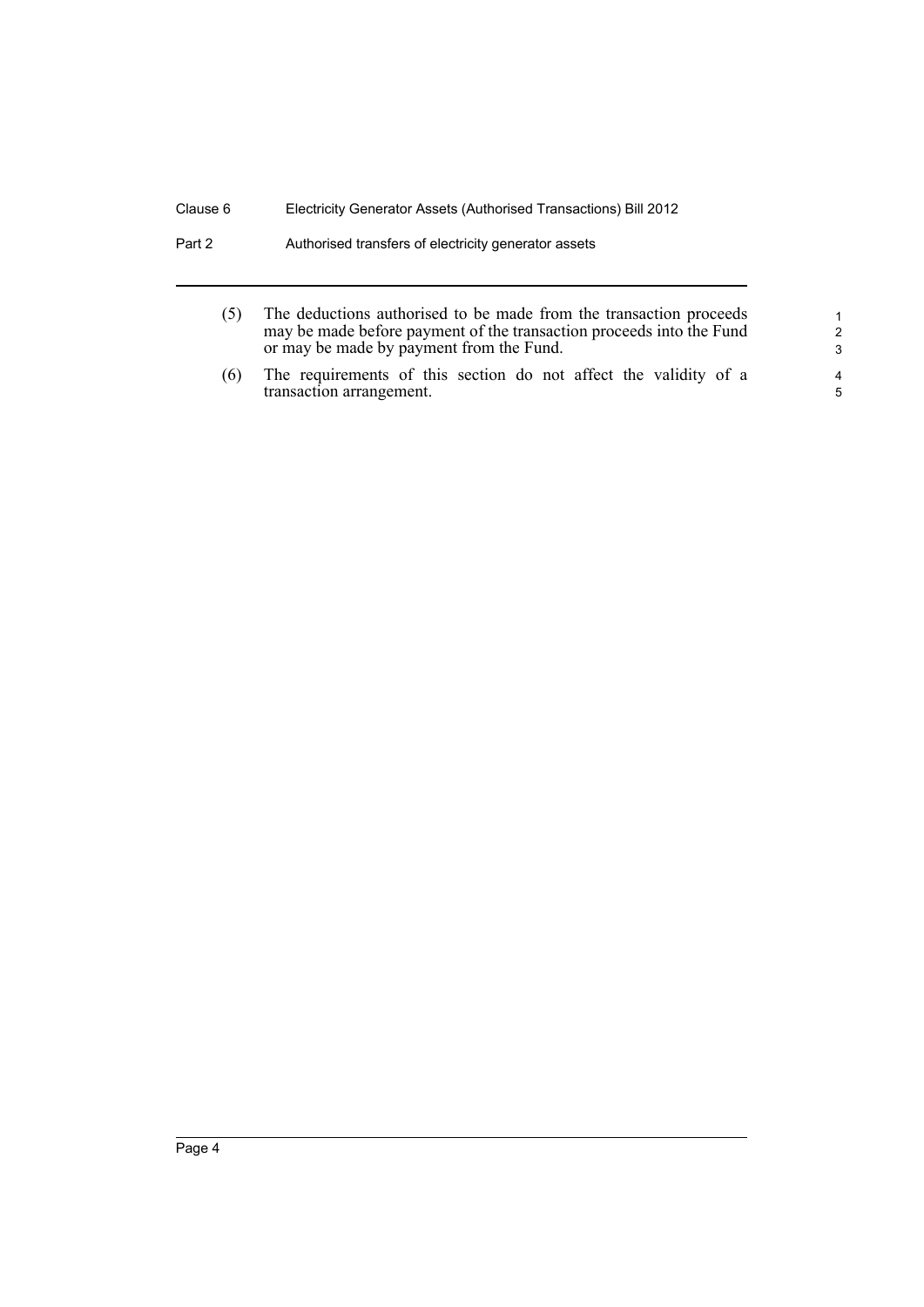| Part 2 | Authorised transfers of electricity generator assets |  |
|--------|------------------------------------------------------|--|
|--------|------------------------------------------------------|--|

| (5) | The deductions authorised to be made from the transaction proceeds   |
|-----|----------------------------------------------------------------------|
|     | may be made before payment of the transaction proceeds into the Fund |
|     | or may be made by payment from the Fund.                             |

(6) The requirements of this section do not affect the validity of a transaction arrangement.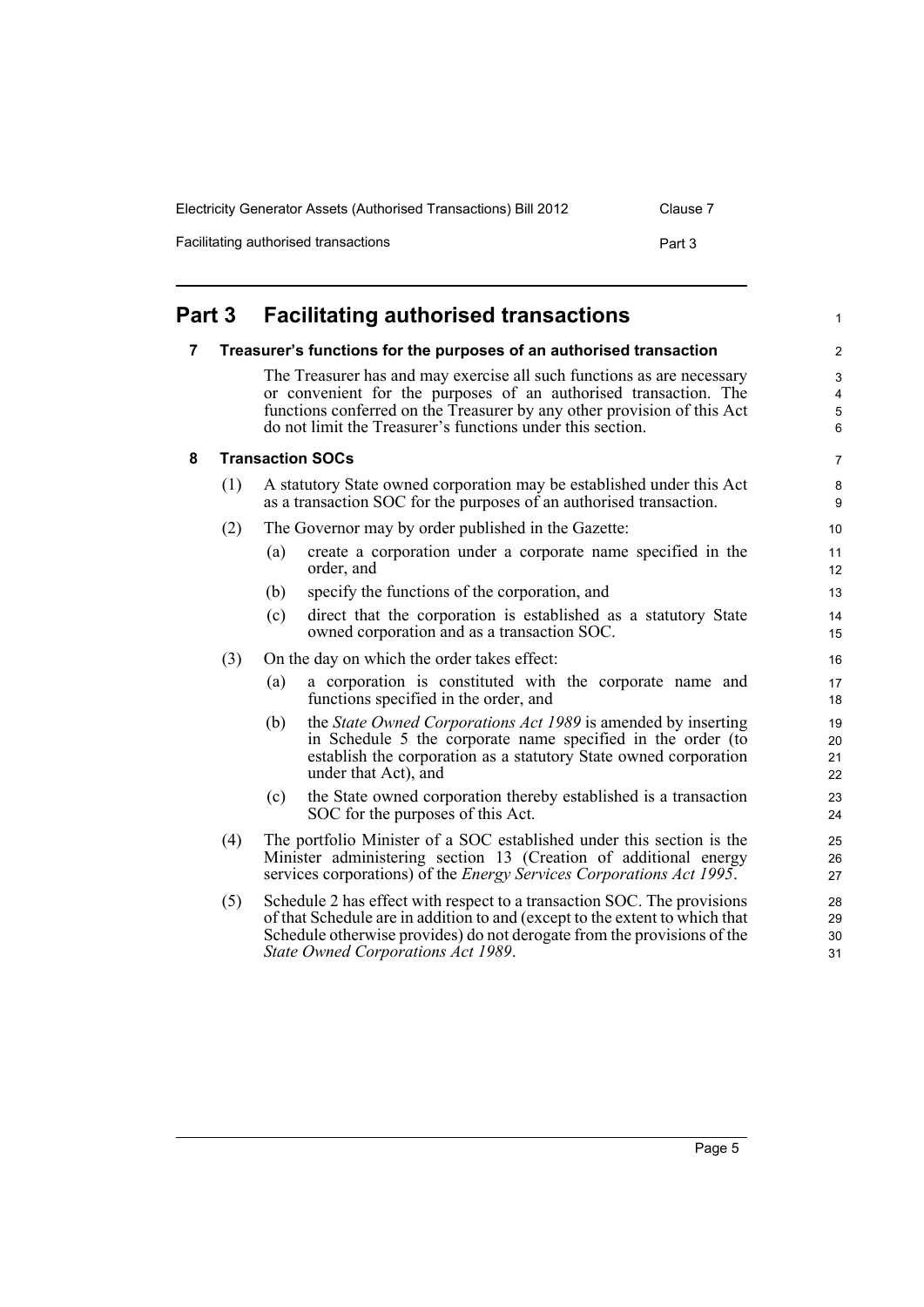| Electricity Generator Assets (Authorised Transactions) Bill 2012 | Clause 7 |
|------------------------------------------------------------------|----------|
| Facilitating authorised transactions                             | Part 3   |

<span id="page-14-2"></span><span id="page-14-1"></span><span id="page-14-0"></span>

| Part 3 |     | <b>Facilitating authorised transactions</b>                         |                                                                                                                                                                                                                                                                                     | 1                       |
|--------|-----|---------------------------------------------------------------------|-------------------------------------------------------------------------------------------------------------------------------------------------------------------------------------------------------------------------------------------------------------------------------------|-------------------------|
| 7      |     | Treasurer's functions for the purposes of an authorised transaction |                                                                                                                                                                                                                                                                                     | $\overline{\mathbf{c}}$ |
|        |     |                                                                     | The Treasurer has and may exercise all such functions as are necessary<br>or convenient for the purposes of an authorised transaction. The<br>functions conferred on the Treasurer by any other provision of this Act<br>do not limit the Treasurer's functions under this section. | 3<br>4<br>5<br>6        |
| 8      |     |                                                                     | <b>Transaction SOCs</b>                                                                                                                                                                                                                                                             | 7                       |
|        | (1) |                                                                     | A statutory State owned corporation may be established under this Act<br>as a transaction SOC for the purposes of an authorised transaction.                                                                                                                                        | 8<br>9                  |
|        | (2) |                                                                     | The Governor may by order published in the Gazette:                                                                                                                                                                                                                                 | 10                      |
|        |     | (a)                                                                 | create a corporation under a corporate name specified in the<br>order, and                                                                                                                                                                                                          | 11<br>12                |
|        |     | (b)                                                                 | specify the functions of the corporation, and                                                                                                                                                                                                                                       | 13                      |
|        |     | (c)                                                                 | direct that the corporation is established as a statutory State<br>owned corporation and as a transaction SOC.                                                                                                                                                                      | 14<br>15                |
|        | (3) |                                                                     | On the day on which the order takes effect:                                                                                                                                                                                                                                         | 16                      |
|        |     | (a)                                                                 | a corporation is constituted with the corporate name and<br>functions specified in the order, and                                                                                                                                                                                   | 17<br>18                |
|        |     | (b)                                                                 | the State Owned Corporations Act 1989 is amended by inserting<br>in Schedule 5 the corporate name specified in the order (to<br>establish the corporation as a statutory State owned corporation<br>under that Act), and                                                            | 19<br>20<br>21<br>22    |
|        |     | (c)                                                                 | the State owned corporation thereby established is a transaction<br>SOC for the purposes of this Act.                                                                                                                                                                               | 23<br>24                |
|        | (4) |                                                                     | The portfolio Minister of a SOC established under this section is the<br>Minister administering section 13 (Creation of additional energy<br>services corporations) of the <i>Energy Services Corporations Act 1995</i> .                                                           | 25<br>26<br>27          |
|        | (5) |                                                                     | Schedule 2 has effect with respect to a transaction SOC. The provisions<br>of that Schedule are in addition to and (except to the extent to which that<br>Schedule otherwise provides) do not derogate from the provisions of the<br>State Owned Corporations Act 1989.             | 28<br>29<br>30<br>31    |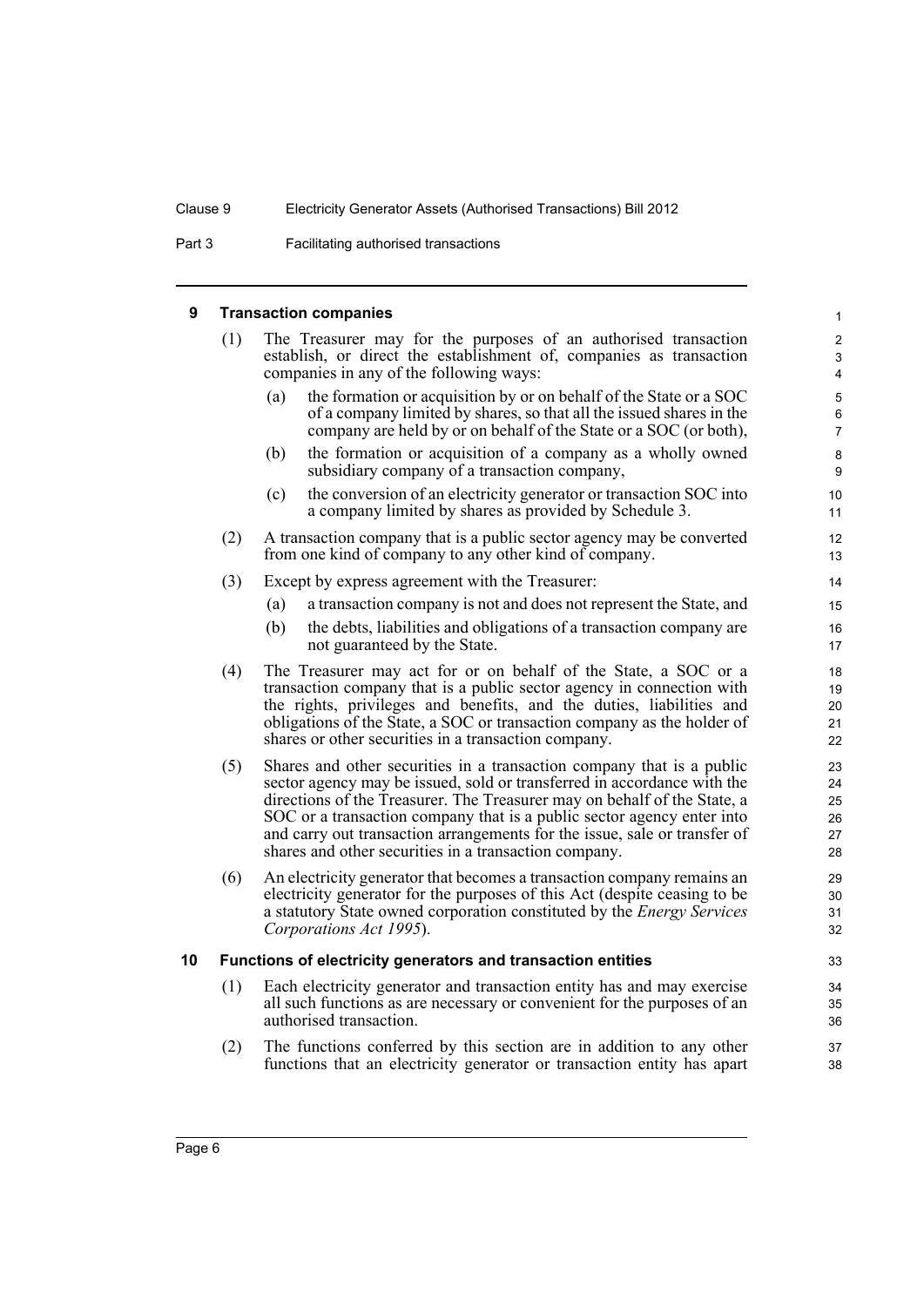Part 3 **Facilitating authorised transactions** 

### **9 Transaction companies**

<span id="page-15-1"></span><span id="page-15-0"></span>

| 9  | <b>Transaction companies</b> |                                                                                                                                                                                                                                                                                                                                                                                                                                              |                                                  |
|----|------------------------------|----------------------------------------------------------------------------------------------------------------------------------------------------------------------------------------------------------------------------------------------------------------------------------------------------------------------------------------------------------------------------------------------------------------------------------------------|--------------------------------------------------|
|    | (1)                          | The Treasurer may for the purposes of an authorised transaction<br>establish, or direct the establishment of, companies as transaction<br>companies in any of the following ways:                                                                                                                                                                                                                                                            | $\overline{c}$<br>$\ensuremath{\mathsf{3}}$<br>4 |
|    |                              | the formation or acquisition by or on behalf of the State or a SOC<br>(a)<br>of a company limited by shares, so that all the issued shares in the<br>company are held by or on behalf of the State or a SOC (or both),                                                                                                                                                                                                                       | 5<br>6<br>$\overline{7}$                         |
|    |                              | the formation or acquisition of a company as a wholly owned<br>(b)<br>subsidiary company of a transaction company,                                                                                                                                                                                                                                                                                                                           | $\bf 8$<br>9                                     |
|    |                              | the conversion of an electricity generator or transaction SOC into<br>(c)<br>a company limited by shares as provided by Schedule 3.                                                                                                                                                                                                                                                                                                          | 10<br>11                                         |
|    | (2)                          | A transaction company that is a public sector agency may be converted<br>from one kind of company to any other kind of company.                                                                                                                                                                                                                                                                                                              | 12<br>13                                         |
|    | (3)                          | Except by express agreement with the Treasurer:                                                                                                                                                                                                                                                                                                                                                                                              | 14                                               |
|    |                              | (a)<br>a transaction company is not and does not represent the State, and                                                                                                                                                                                                                                                                                                                                                                    | 15                                               |
|    |                              | (b)<br>the debts, liabilities and obligations of a transaction company are<br>not guaranteed by the State.                                                                                                                                                                                                                                                                                                                                   | 16<br>17                                         |
|    | (4)                          | The Treasurer may act for or on behalf of the State, a SOC or a<br>transaction company that is a public sector agency in connection with<br>the rights, privileges and benefits, and the duties, liabilities and<br>obligations of the State, a SOC or transaction company as the holder of<br>shares or other securities in a transaction company.                                                                                          | 18<br>19<br>20<br>21<br>22                       |
|    | (5)                          | Shares and other securities in a transaction company that is a public<br>sector agency may be issued, sold or transferred in accordance with the<br>directions of the Treasurer. The Treasurer may on behalf of the State, a<br>SOC or a transaction company that is a public sector agency enter into<br>and carry out transaction arrangements for the issue, sale or transfer of<br>shares and other securities in a transaction company. | 23<br>24<br>25<br>26<br>27<br>28                 |
|    | (6)                          | An electricity generator that becomes a transaction company remains an<br>electricity generator for the purposes of this Act (despite ceasing to be<br>a statutory State owned corporation constituted by the <i>Energy Services</i><br>Corporations Act 1995).                                                                                                                                                                              | 29<br>30<br>31<br>32                             |
| 10 |                              | Functions of electricity generators and transaction entities                                                                                                                                                                                                                                                                                                                                                                                 | 33                                               |
|    | (1)                          | Each electricity generator and transaction entity has and may exercise<br>all such functions as are necessary or convenient for the purposes of an<br>authorised transaction.                                                                                                                                                                                                                                                                | 34<br>35<br>36                                   |
|    | (2)                          | The functions conferred by this section are in addition to any other<br>functions that an electricity generator or transaction entity has apart                                                                                                                                                                                                                                                                                              | 37<br>38                                         |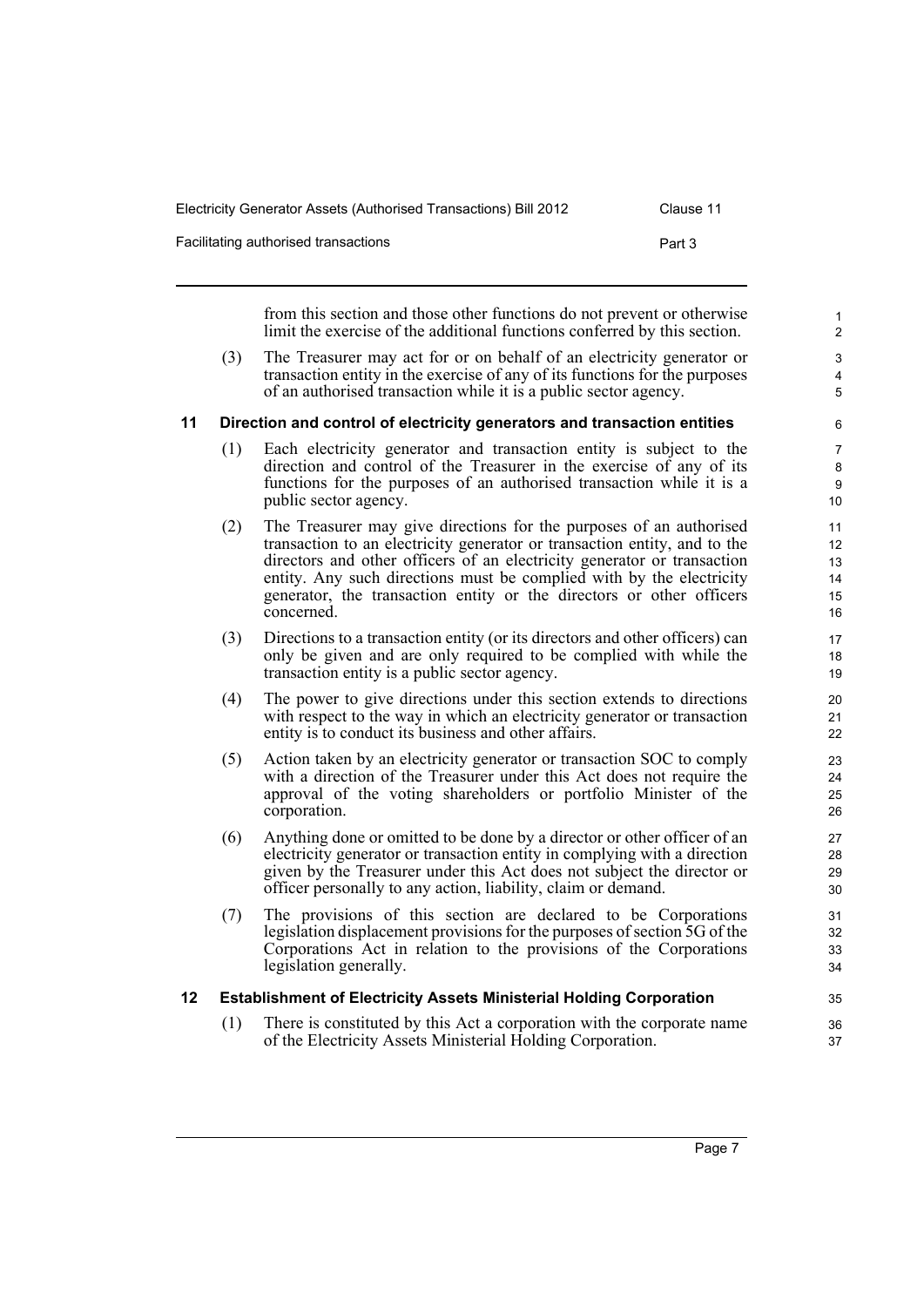| Electricity Generator Assets (Authorised Transactions) Bill 2012 | Clause 11 |
|------------------------------------------------------------------|-----------|
| Facilitating authorised transactions                             | Part 3    |

from this section and those other functions do not prevent or otherwise limit the exercise of the additional functions conferred by this section.

(3) The Treasurer may act for or on behalf of an electricity generator or transaction entity in the exercise of any of its functions for the purposes of an authorised transaction while it is a public sector agency.

#### <span id="page-16-0"></span>**11 Direction and control of electricity generators and transaction entities**

- (1) Each electricity generator and transaction entity is subject to the direction and control of the Treasurer in the exercise of any of its functions for the purposes of an authorised transaction while it is a public sector agency.
- (2) The Treasurer may give directions for the purposes of an authorised transaction to an electricity generator or transaction entity, and to the directors and other officers of an electricity generator or transaction entity. Any such directions must be complied with by the electricity generator, the transaction entity or the directors or other officers concerned.
- (3) Directions to a transaction entity (or its directors and other officers) can only be given and are only required to be complied with while the transaction entity is a public sector agency.
- (4) The power to give directions under this section extends to directions with respect to the way in which an electricity generator or transaction entity is to conduct its business and other affairs.
- (5) Action taken by an electricity generator or transaction SOC to comply with a direction of the Treasurer under this Act does not require the approval of the voting shareholders or portfolio Minister of the corporation.
- (6) Anything done or omitted to be done by a director or other officer of an electricity generator or transaction entity in complying with a direction given by the Treasurer under this Act does not subject the director or officer personally to any action, liability, claim or demand.
- (7) The provisions of this section are declared to be Corporations legislation displacement provisions for the purposes of section 5G of the Corporations Act in relation to the provisions of the Corporations legislation generally.

#### <span id="page-16-1"></span>**12 Establishment of Electricity Assets Ministerial Holding Corporation**

(1) There is constituted by this Act a corporation with the corporate name of the Electricity Assets Ministerial Holding Corporation.

35 36 37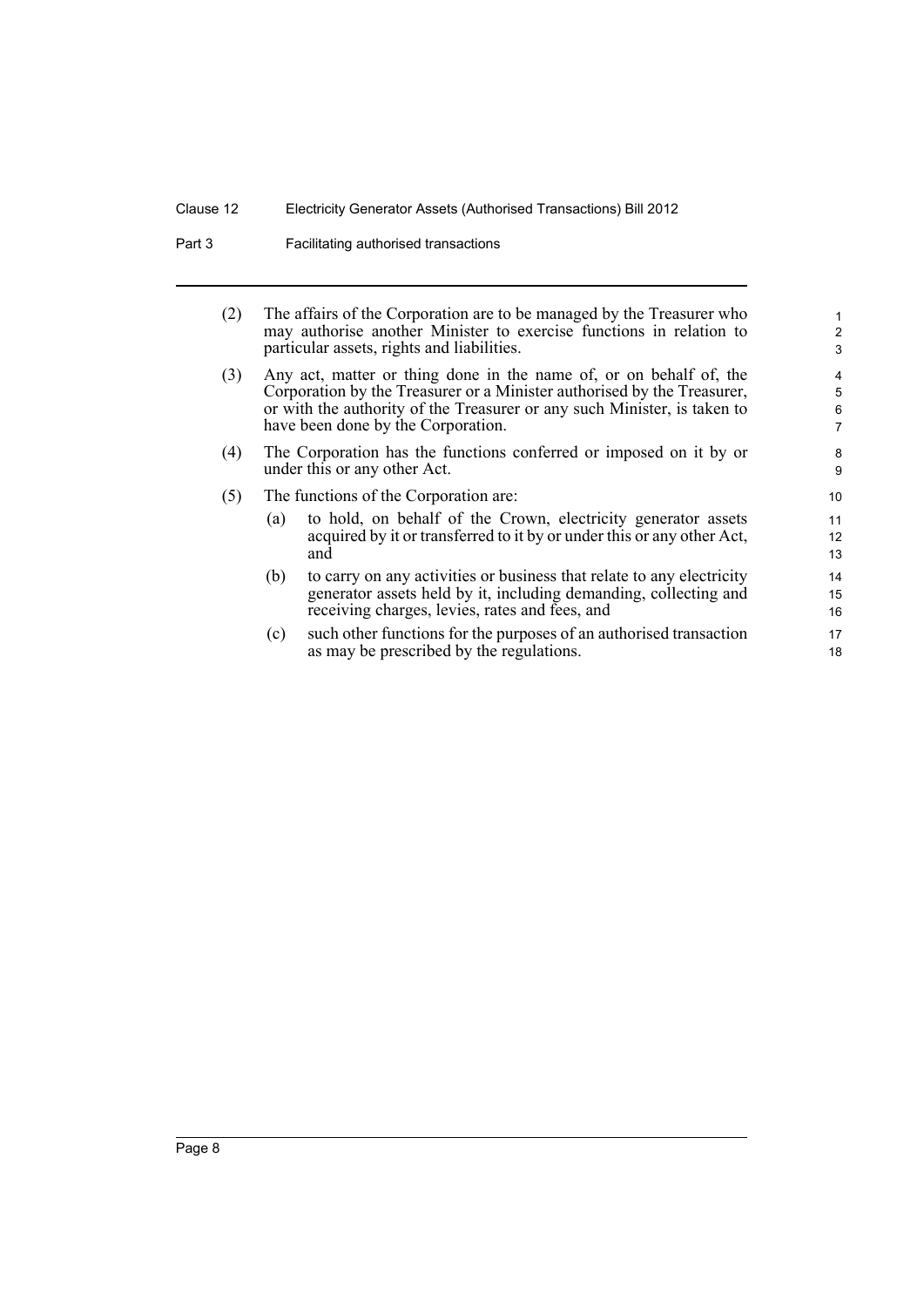Part 3 **Facilitating authorised transactions** 

| (2) |                                                                                                                                                                                                                                                                 | The affairs of the Corporation are to be managed by the Treasurer who<br>may authorise another Minister to exercise functions in relation to<br>particular assets, rights and liabilities.  | 1<br>$\overline{\mathbf{c}}$<br>3 |  |
|-----|-----------------------------------------------------------------------------------------------------------------------------------------------------------------------------------------------------------------------------------------------------------------|---------------------------------------------------------------------------------------------------------------------------------------------------------------------------------------------|-----------------------------------|--|
| (3) | Any act, matter or thing done in the name of, or on behalf of, the<br>Corporation by the Treasurer or a Minister authorised by the Treasurer,<br>or with the authority of the Treasurer or any such Minister, is taken to<br>have been done by the Corporation. |                                                                                                                                                                                             |                                   |  |
| (4) | The Corporation has the functions conferred or imposed on it by or<br>under this or any other Act.                                                                                                                                                              |                                                                                                                                                                                             |                                   |  |
| (5) | The functions of the Corporation are:                                                                                                                                                                                                                           |                                                                                                                                                                                             |                                   |  |
|     | (a)                                                                                                                                                                                                                                                             | to hold, on behalf of the Crown, electricity generator assets<br>acquired by it or transferred to it by or under this or any other Act,<br>and                                              | 11<br>12<br>13                    |  |
|     | (b)                                                                                                                                                                                                                                                             | to carry on any activities or business that relate to any electricity<br>generator assets held by it, including demanding, collecting and<br>receiving charges, levies, rates and fees, and | 14<br>15<br>16                    |  |
|     | (c)                                                                                                                                                                                                                                                             | such other functions for the purposes of an authorised transaction<br>as may be prescribed by the regulations.                                                                              | 17<br>18                          |  |
|     |                                                                                                                                                                                                                                                                 |                                                                                                                                                                                             |                                   |  |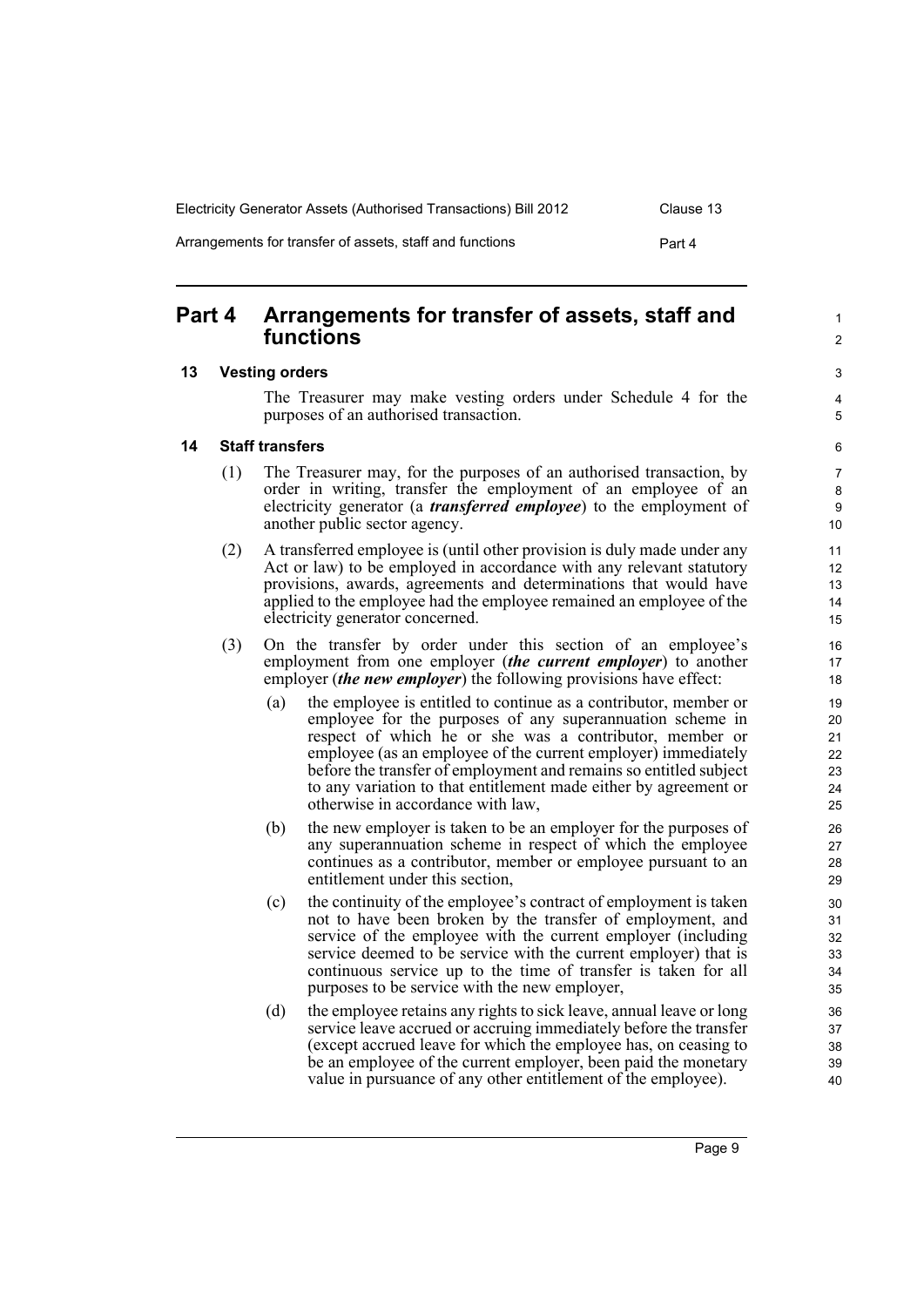| Electricity Generator Assets (Authorised Transactions) Bill 2012 | Clause 13 |
|------------------------------------------------------------------|-----------|
| Arrangements for transfer of assets, staff and functions         | Part 4    |

# <span id="page-18-0"></span>**Part 4 Arrangements for transfer of assets, staff and functions**

#### <span id="page-18-1"></span>**13 Vesting orders**

The Treasurer may make vesting orders under Schedule 4 for the purposes of an authorised transaction.

5 6

1  $\mathfrak{p}$ 

 $\overline{a}$ 4

### <span id="page-18-2"></span>**14 Staff transfers**

- (1) The Treasurer may, for the purposes of an authorised transaction, by order in writing, transfer the employment of an employee of an electricity generator (a *transferred employee*) to the employment of another public sector agency.
- (2) A transferred employee is (until other provision is duly made under any Act or law) to be employed in accordance with any relevant statutory provisions, awards, agreements and determinations that would have applied to the employee had the employee remained an employee of the electricity generator concerned.
- (3) On the transfer by order under this section of an employee's employment from one employer (*the current employer*) to another employer (*the new employer*) the following provisions have effect:
	- (a) the employee is entitled to continue as a contributor, member or employee for the purposes of any superannuation scheme in respect of which he or she was a contributor, member or employee (as an employee of the current employer) immediately before the transfer of employment and remains so entitled subject to any variation to that entitlement made either by agreement or otherwise in accordance with law,
	- (b) the new employer is taken to be an employer for the purposes of any superannuation scheme in respect of which the employee continues as a contributor, member or employee pursuant to an entitlement under this section,
	- (c) the continuity of the employee's contract of employment is taken not to have been broken by the transfer of employment, and service of the employee with the current employer (including service deemed to be service with the current employer) that is continuous service up to the time of transfer is taken for all purposes to be service with the new employer,
	- (d) the employee retains any rights to sick leave, annual leave or long service leave accrued or accruing immediately before the transfer (except accrued leave for which the employee has, on ceasing to be an employee of the current employer, been paid the monetary value in pursuance of any other entitlement of the employee).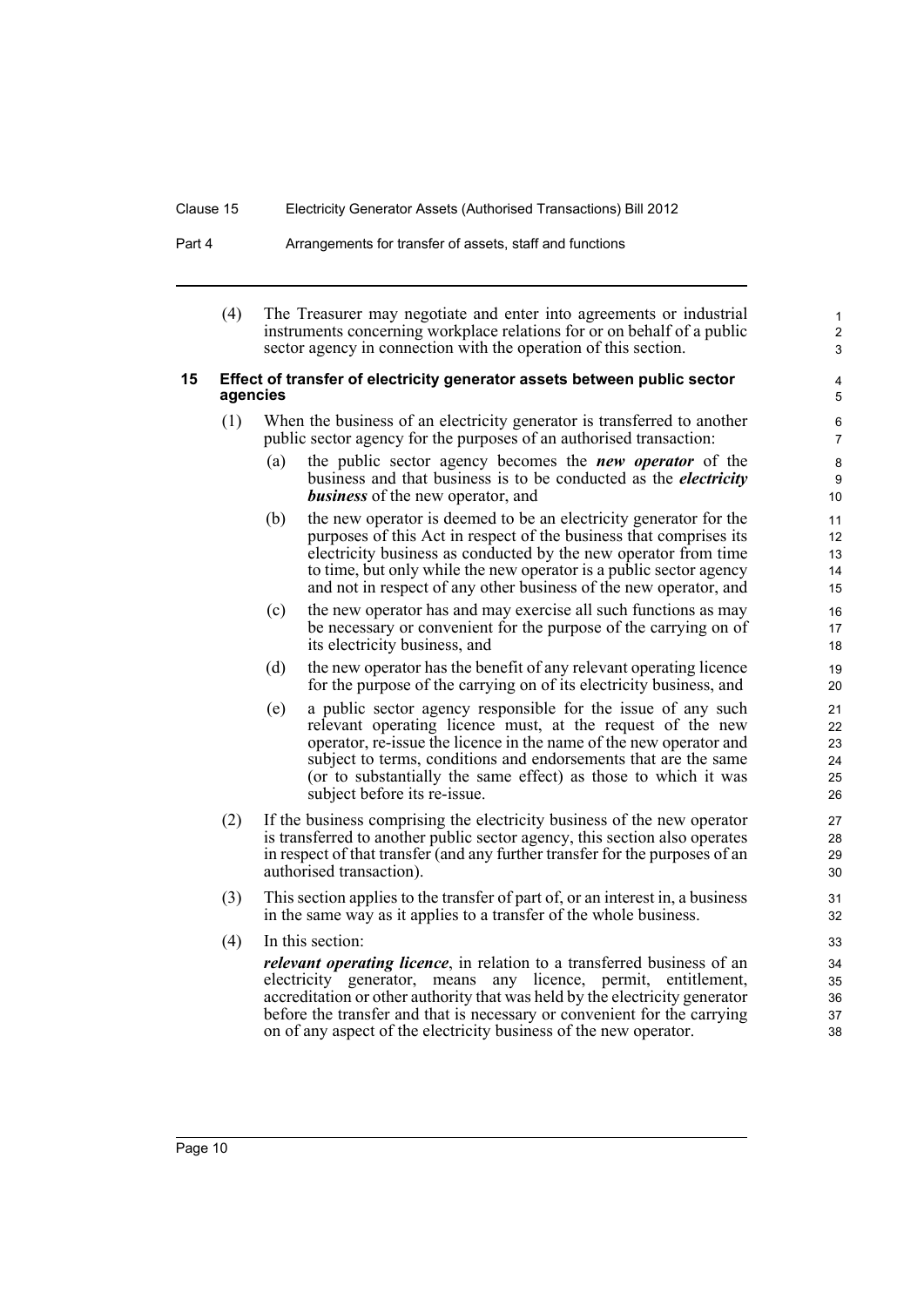#### Part 4 **Arrangements for transfer of assets, staff and functions**

(4) The Treasurer may negotiate and enter into agreements or industrial instruments concerning workplace relations for or on behalf of a public sector agency in connection with the operation of this section.

1 2 3

#### <span id="page-19-0"></span>**15 Effect of transfer of electricity generator assets between public sector agencies**

- (1) When the business of an electricity generator is transferred to another public sector agency for the purposes of an authorised transaction:
	- (a) the public sector agency becomes the *new operator* of the business and that business is to be conducted as the *electricity business* of the new operator, and
	- (b) the new operator is deemed to be an electricity generator for the purposes of this Act in respect of the business that comprises its electricity business as conducted by the new operator from time to time, but only while the new operator is a public sector agency and not in respect of any other business of the new operator, and
	- (c) the new operator has and may exercise all such functions as may be necessary or convenient for the purpose of the carrying on of its electricity business, and
	- (d) the new operator has the benefit of any relevant operating licence for the purpose of the carrying on of its electricity business, and
	- (e) a public sector agency responsible for the issue of any such relevant operating licence must, at the request of the new operator, re-issue the licence in the name of the new operator and subject to terms, conditions and endorsements that are the same (or to substantially the same effect) as those to which it was subject before its re-issue.
- (2) If the business comprising the electricity business of the new operator is transferred to another public sector agency, this section also operates in respect of that transfer (and any further transfer for the purposes of an authorised transaction).
- (3) This section applies to the transfer of part of, or an interest in, a business in the same way as it applies to a transfer of the whole business.
- (4) In this section:

*relevant operating licence*, in relation to a transferred business of an electricity generator, means any licence, permit, entitlement, accreditation or other authority that was held by the electricity generator before the transfer and that is necessary or convenient for the carrying on of any aspect of the electricity business of the new operator.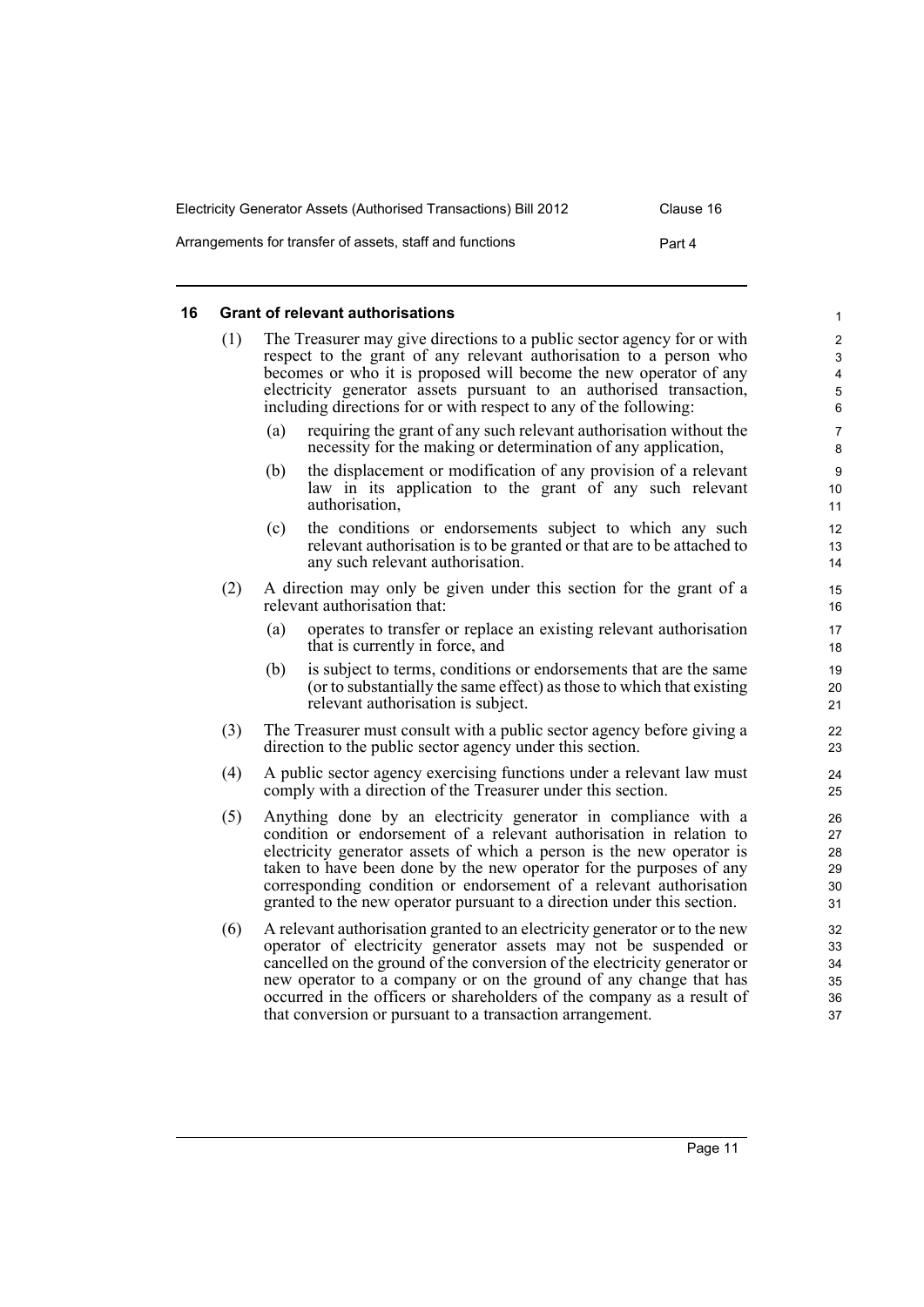| Electricity Generator Assets (Authorised Transactions) Bill 2012 | Clause 16 |
|------------------------------------------------------------------|-----------|
| Arrangements for transfer of assets, staff and functions         | Part 4    |

#### <span id="page-20-0"></span>**16 Grant of relevant authorisations**

| (1) | The Treasurer may give directions to a public sector agency for or with<br>respect to the grant of any relevant authorisation to a person who<br>becomes or who it is proposed will become the new operator of any<br>electricity generator assets pursuant to an authorised transaction, |
|-----|-------------------------------------------------------------------------------------------------------------------------------------------------------------------------------------------------------------------------------------------------------------------------------------------|
|     | including directions for or with respect to any of the following:                                                                                                                                                                                                                         |

- (a) requiring the grant of any such relevant authorisation without the necessity for the making or determination of any application,
- (b) the displacement or modification of any provision of a relevant law in its application to the grant of any such relevant authorisation,
- (c) the conditions or endorsements subject to which any such relevant authorisation is to be granted or that are to be attached to any such relevant authorisation.
- (2) A direction may only be given under this section for the grant of a relevant authorisation that:
	- (a) operates to transfer or replace an existing relevant authorisation that is currently in force, and
	- (b) is subject to terms, conditions or endorsements that are the same (or to substantially the same effect) as those to which that existing relevant authorisation is subject.
- (3) The Treasurer must consult with a public sector agency before giving a direction to the public sector agency under this section.
- (4) A public sector agency exercising functions under a relevant law must comply with a direction of the Treasurer under this section.
- (5) Anything done by an electricity generator in compliance with a condition or endorsement of a relevant authorisation in relation to electricity generator assets of which a person is the new operator is taken to have been done by the new operator for the purposes of any corresponding condition or endorsement of a relevant authorisation granted to the new operator pursuant to a direction under this section.
- (6) A relevant authorisation granted to an electricity generator or to the new operator of electricity generator assets may not be suspended or cancelled on the ground of the conversion of the electricity generator or new operator to a company or on the ground of any change that has occurred in the officers or shareholders of the company as a result of that conversion or pursuant to a transaction arrangement.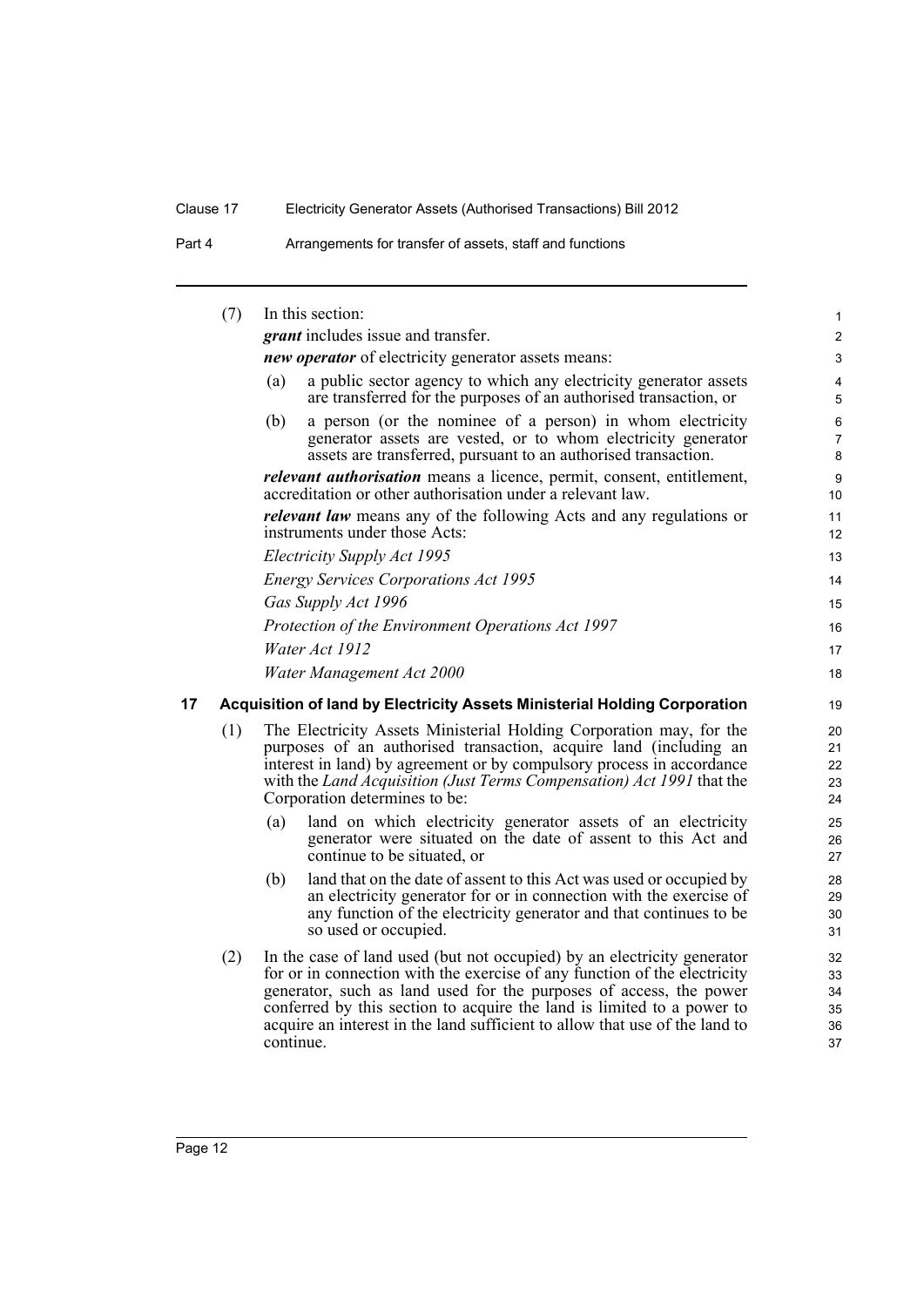Part 4 **Arrangements for transfer of assets, staff and functions** 

<span id="page-21-0"></span>

|    | (7) |                                                            | In this section:                                                                                                                                                                                                                                                                                                                                                                    | 1                                |  |  |
|----|-----|------------------------------------------------------------|-------------------------------------------------------------------------------------------------------------------------------------------------------------------------------------------------------------------------------------------------------------------------------------------------------------------------------------------------------------------------------------|----------------------------------|--|--|
|    |     |                                                            | <i>grant</i> includes issue and transfer.                                                                                                                                                                                                                                                                                                                                           | $\overline{a}$                   |  |  |
|    |     | <i>new operator</i> of electricity generator assets means: |                                                                                                                                                                                                                                                                                                                                                                                     |                                  |  |  |
|    |     | (a)                                                        | a public sector agency to which any electricity generator assets<br>are transferred for the purposes of an authorised transaction, or                                                                                                                                                                                                                                               | 4<br>5                           |  |  |
|    |     | (b)                                                        | a person (or the nominee of a person) in whom electricity<br>generator assets are vested, or to whom electricity generator<br>assets are transferred, pursuant to an authorised transaction.                                                                                                                                                                                        | 6<br>$\overline{7}$<br>8         |  |  |
|    |     |                                                            | <i>relevant authorisation</i> means a licence, permit, consent, entitlement,<br>accreditation or other authorisation under a relevant law.                                                                                                                                                                                                                                          | 9<br>10 <sup>°</sup>             |  |  |
|    |     |                                                            | <i>relevant law</i> means any of the following Acts and any regulations or<br>instruments under those Acts:                                                                                                                                                                                                                                                                         | 11<br>12 <sup>2</sup>            |  |  |
|    |     |                                                            | Electricity Supply Act 1995                                                                                                                                                                                                                                                                                                                                                         | 13                               |  |  |
|    |     |                                                            | <b>Energy Services Corporations Act 1995</b>                                                                                                                                                                                                                                                                                                                                        | 14                               |  |  |
|    |     |                                                            | Gas Supply Act 1996                                                                                                                                                                                                                                                                                                                                                                 | 15                               |  |  |
|    |     |                                                            | Protection of the Environment Operations Act 1997                                                                                                                                                                                                                                                                                                                                   | 16                               |  |  |
|    |     |                                                            | Water Act 1912                                                                                                                                                                                                                                                                                                                                                                      | 17                               |  |  |
|    |     |                                                            | Water Management Act 2000                                                                                                                                                                                                                                                                                                                                                           | 18                               |  |  |
| 17 |     |                                                            | Acquisition of land by Electricity Assets Ministerial Holding Corporation                                                                                                                                                                                                                                                                                                           | 19                               |  |  |
|    | (1) |                                                            | The Electricity Assets Ministerial Holding Corporation may, for the<br>purposes of an authorised transaction, acquire land (including an<br>interest in land) by agreement or by compulsory process in accordance<br>with the Land Acquisition (Just Terms Compensation) Act 1991 that the<br>Corporation determines to be:                                                         | 20<br>21<br>22<br>23<br>24       |  |  |
|    |     | (a)                                                        | land on which electricity generator assets of an electricity<br>generator were situated on the date of assent to this Act and<br>continue to be situated, or                                                                                                                                                                                                                        | 25<br>26<br>27                   |  |  |
|    |     | (b)                                                        | land that on the date of assent to this Act was used or occupied by<br>an electricity generator for or in connection with the exercise of<br>any function of the electricity generator and that continues to be<br>so used or occupied.                                                                                                                                             | 28<br>29<br>30<br>31             |  |  |
|    | (2) | continue.                                                  | In the case of land used (but not occupied) by an electricity generator<br>for or in connection with the exercise of any function of the electricity<br>generator, such as land used for the purposes of access, the power<br>conferred by this section to acquire the land is limited to a power to<br>acquire an interest in the land sufficient to allow that use of the land to | 32<br>33<br>34<br>35<br>36<br>37 |  |  |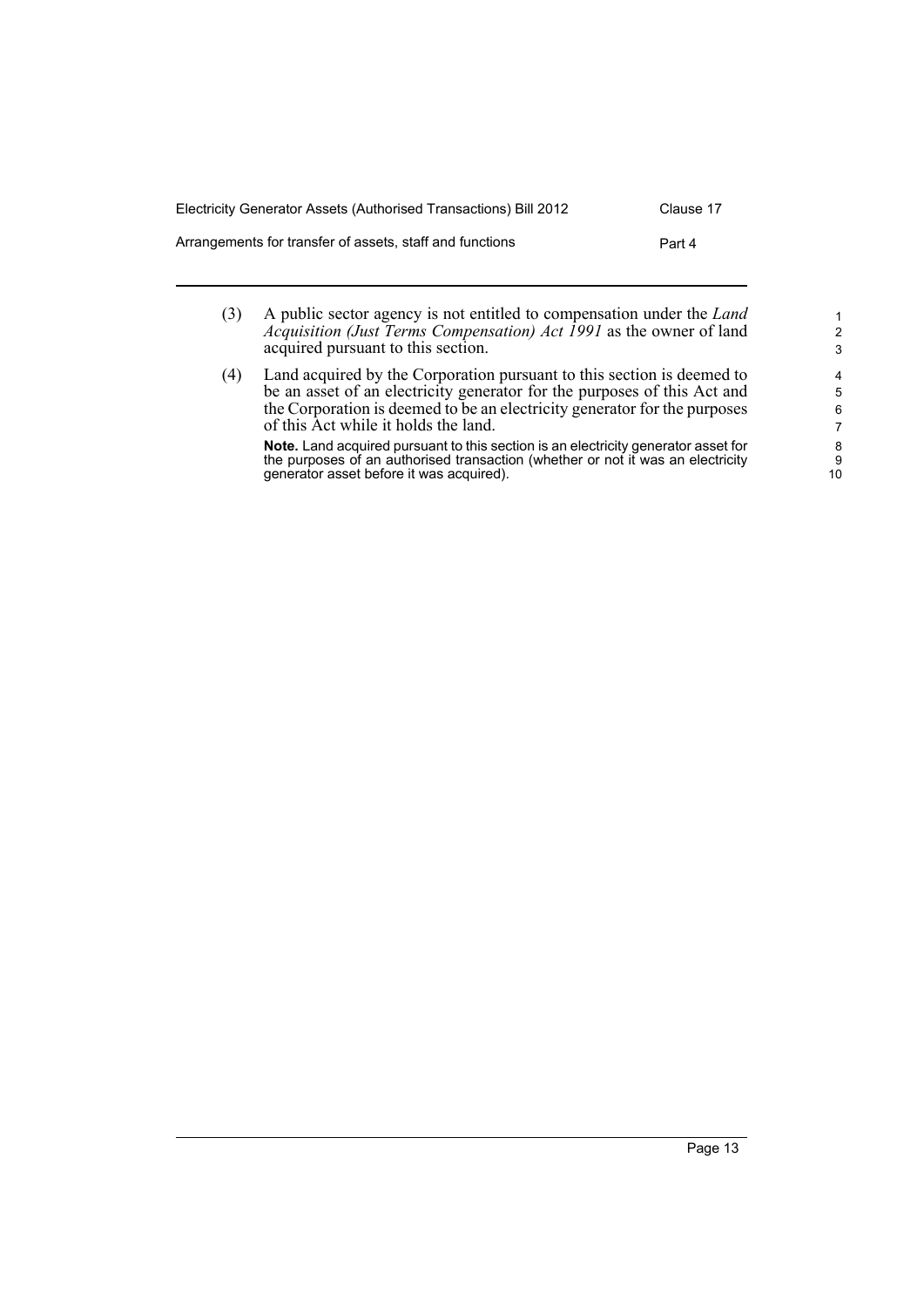| Electricity Generator Assets (Authorised Transactions) Bill 2012 | Clause 17 |
|------------------------------------------------------------------|-----------|
| Arrangements for transfer of assets, staff and functions         | Part 4    |
|                                                                  |           |

- (3) A public sector agency is not entitled to compensation under the *Land Acquisition (Just Terms Compensation) Act 1991* as the owner of land acquired pursuant to this section.
- (4) Land acquired by the Corporation pursuant to this section is deemed to be an asset of an electricity generator for the purposes of this Act and the Corporation is deemed to be an electricity generator for the purposes of this Act while it holds the land. **Note.** Land acquired pursuant to this section is an electricity generator asset for the purposes of an authorised transaction (whether or not it was an electricity

generator asset before it was acquired).

1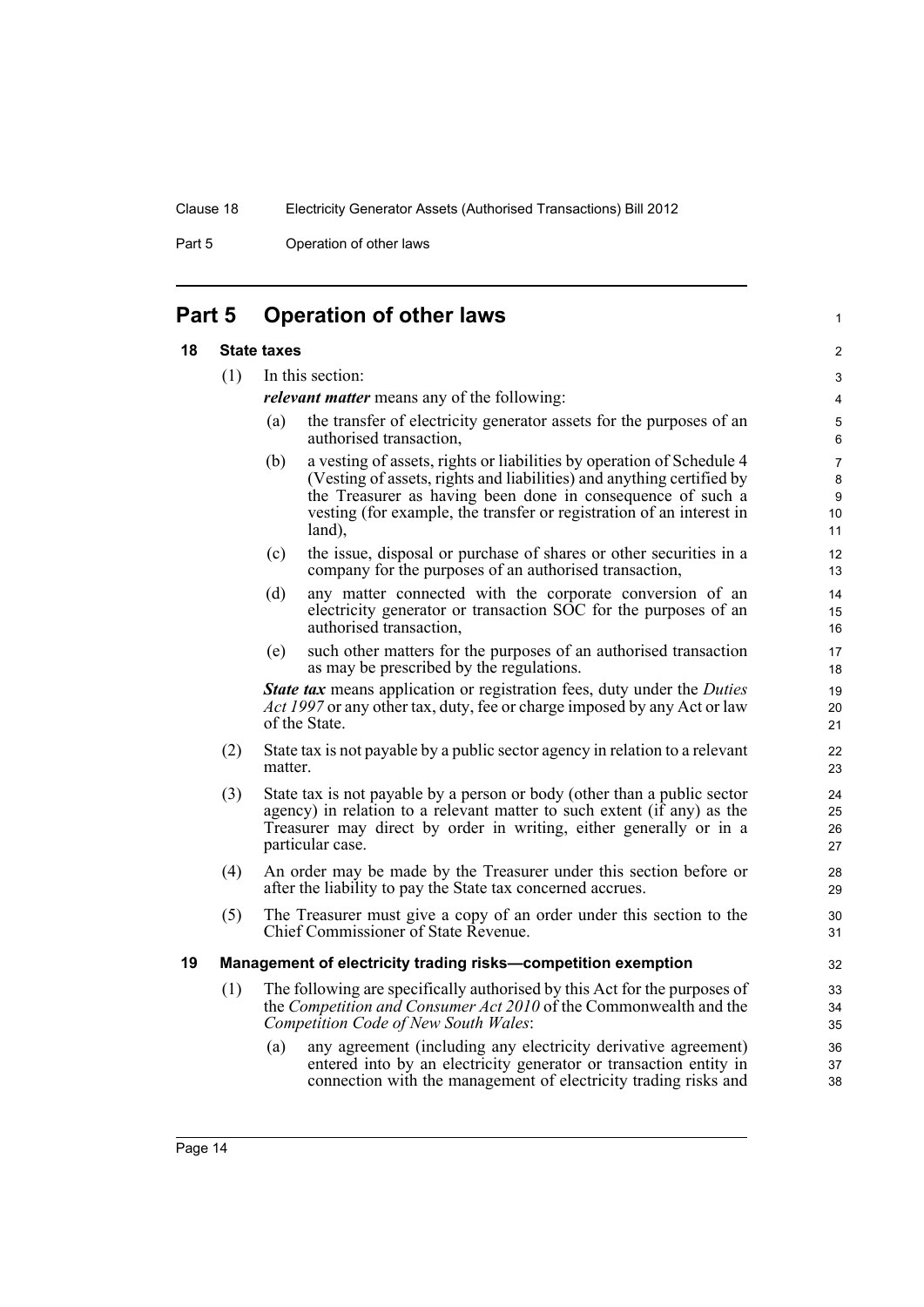Part 5 **Operation of other laws** 

# <span id="page-23-0"></span>**Part 5 Operation of other laws**

#### <span id="page-23-1"></span>**18 State taxes**

(1) In this section:

*relevant matter* means any of the following:

(a) the transfer of electricity generator assets for the purposes of an authorised transaction,

1

- (b) a vesting of assets, rights or liabilities by operation of Schedule 4 (Vesting of assets, rights and liabilities) and anything certified by the Treasurer as having been done in consequence of such a vesting (for example, the transfer or registration of an interest in land),
- (c) the issue, disposal or purchase of shares or other securities in a company for the purposes of an authorised transaction,
- (d) any matter connected with the corporate conversion of an electricity generator or transaction SOC for the purposes of an authorised transaction,
- (e) such other matters for the purposes of an authorised transaction as may be prescribed by the regulations.

*State tax* means application or registration fees, duty under the *Duties Act 1997* or any other tax, duty, fee or charge imposed by any Act or law of the State.

- (2) State tax is not payable by a public sector agency in relation to a relevant matter.
- (3) State tax is not payable by a person or body (other than a public sector agency) in relation to a relevant matter to such extent (if any) as the Treasurer may direct by order in writing, either generally or in a particular case.
- (4) An order may be made by the Treasurer under this section before or after the liability to pay the State tax concerned accrues.
- (5) The Treasurer must give a copy of an order under this section to the Chief Commissioner of State Revenue.

#### <span id="page-23-2"></span>**19 Management of electricity trading risks—competition exemption**

- (1) The following are specifically authorised by this Act for the purposes of the *Competition and Consumer Act 2010* of the Commonwealth and the *Competition Code of New South Wales*:
	- (a) any agreement (including any electricity derivative agreement) entered into by an electricity generator or transaction entity in connection with the management of electricity trading risks and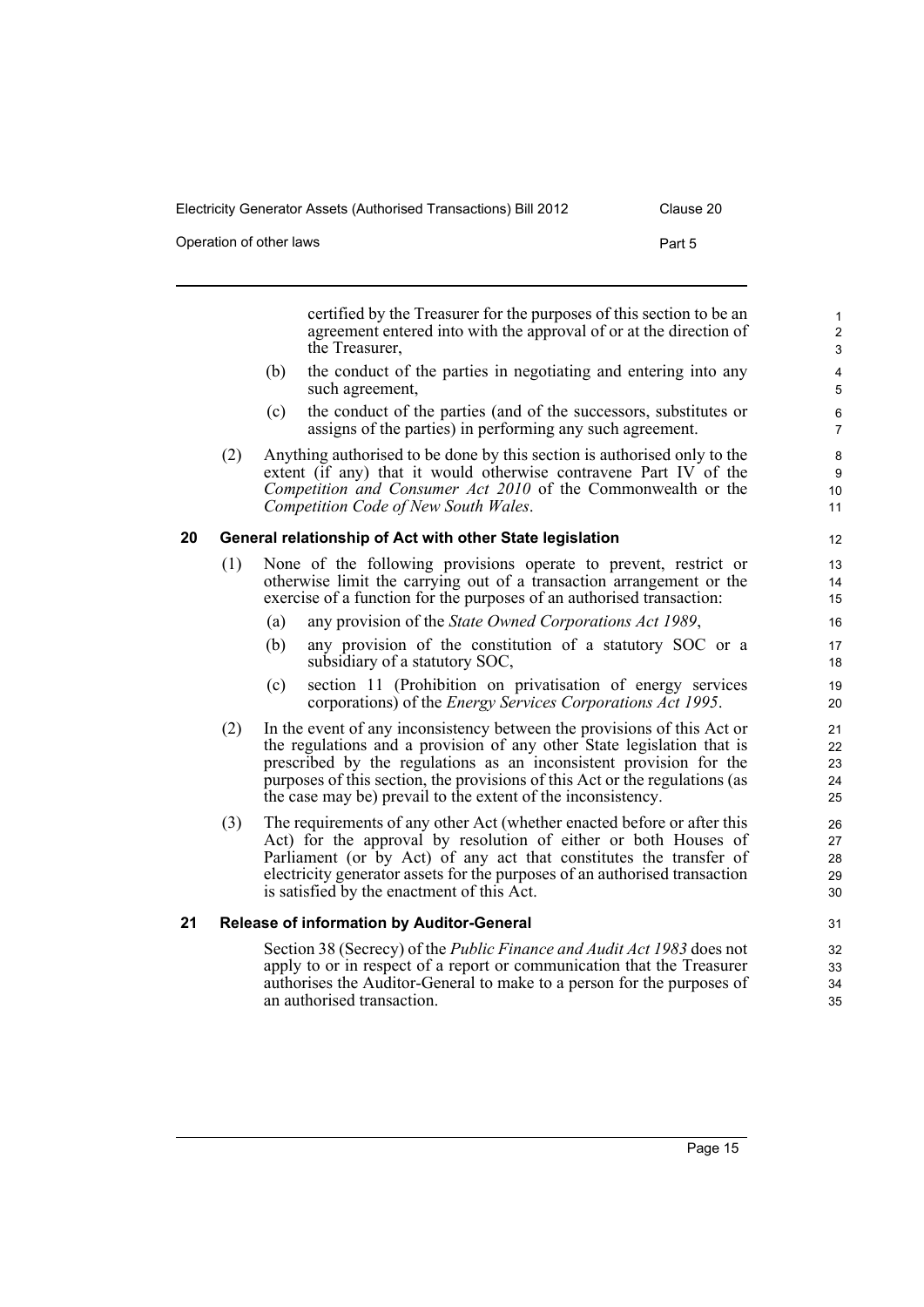| Operation of other laws | Part 5 |
|-------------------------|--------|
|                         |        |

<span id="page-24-0"></span>certified by the Treasurer for the purposes of this section to be an agreement entered into with the approval of or at the direction of the Treasurer, (b) the conduct of the parties in negotiating and entering into any such agreement, (c) the conduct of the parties (and of the successors, substitutes or assigns of the parties) in performing any such agreement. (2) Anything authorised to be done by this section is authorised only to the extent (if any) that it would otherwise contravene Part IV of the *Competition and Consumer Act 2010* of the Commonwealth or the *Competition Code of New South Wales*. **20 General relationship of Act with other State legislation** (1) None of the following provisions operate to prevent, restrict or otherwise limit the carrying out of a transaction arrangement or the exercise of a function for the purposes of an authorised transaction: (a) any provision of the *State Owned Corporations Act 1989*, (b) any provision of the constitution of a statutory SOC or a subsidiary of a statutory SOC, (c) section 11 (Prohibition on privatisation of energy services corporations) of the *Energy Services Corporations Act 1995*. (2) In the event of any inconsistency between the provisions of this Act or the regulations and a provision of any other State legislation that is prescribed by the regulations as an inconsistent provision for the purposes of this section, the provisions of this Act or the regulations (as the case may be) prevail to the extent of the inconsistency. (3) The requirements of any other Act (whether enacted before or after this Act) for the approval by resolution of either or both Houses of Parliament (or by Act) of any act that constitutes the transfer of electricity generator assets for the purposes of an authorised transaction is satisfied by the enactment of this Act. **21 Release of information by Auditor-General**

<span id="page-24-1"></span>Section 38 (Secrecy) of the *Public Finance and Audit Act 1983* does not apply to or in respect of a report or communication that the Treasurer authorises the Auditor-General to make to a person for the purposes of an authorised transaction.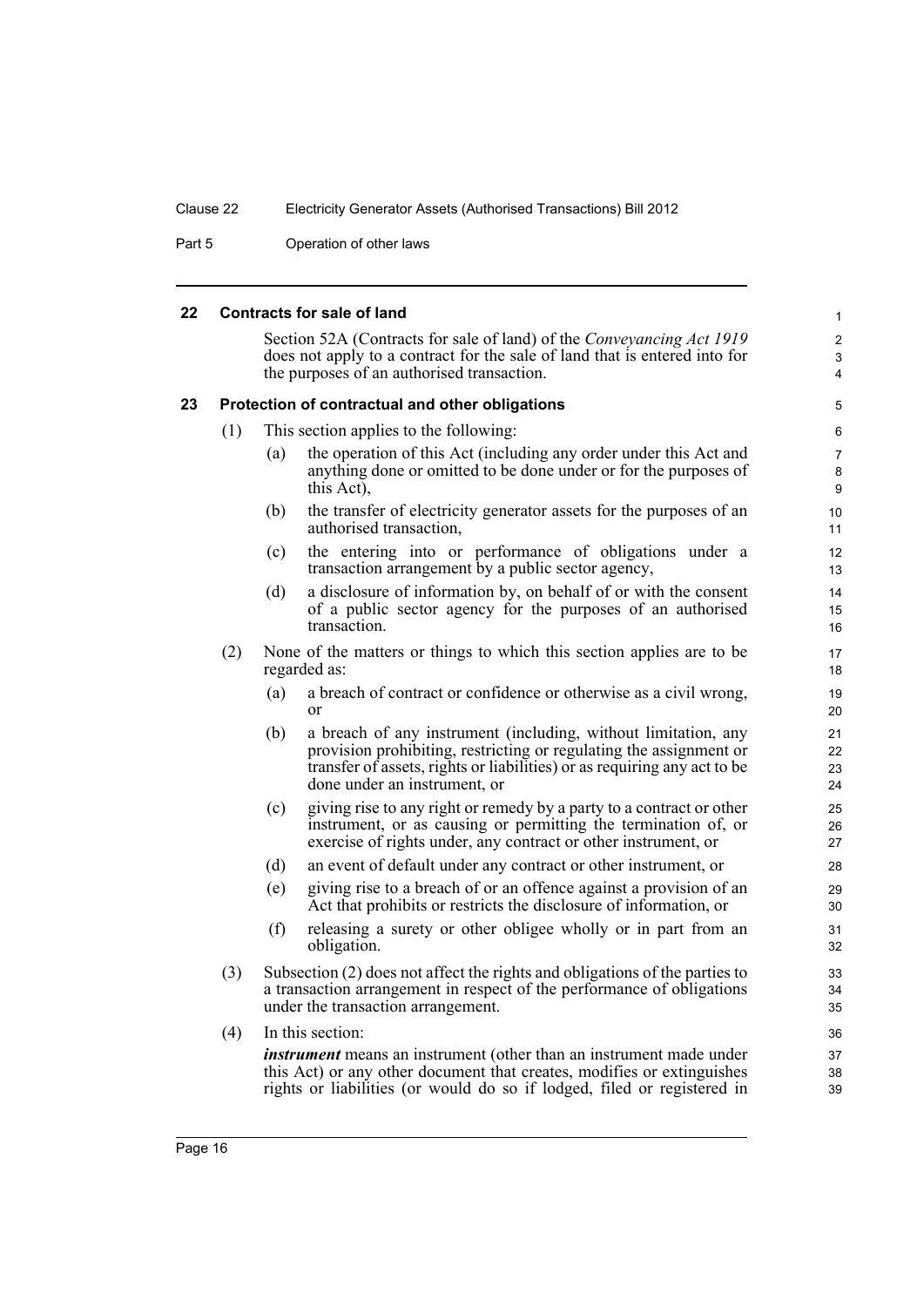Part 5 **Operation of other laws** 

<span id="page-25-1"></span><span id="page-25-0"></span>

| 22 |                                                                                                                                                                                                          |                                                                                                                                                                                             | <b>Contracts for sale of land</b>                                                                                                                                                                                                                | $\mathbf{1}$                 |  |
|----|----------------------------------------------------------------------------------------------------------------------------------------------------------------------------------------------------------|---------------------------------------------------------------------------------------------------------------------------------------------------------------------------------------------|--------------------------------------------------------------------------------------------------------------------------------------------------------------------------------------------------------------------------------------------------|------------------------------|--|
|    | Section 52A (Contracts for sale of land) of the <i>Conveyancing Act 1919</i><br>does not apply to a contract for the sale of land that is entered into for<br>the purposes of an authorised transaction. |                                                                                                                                                                                             |                                                                                                                                                                                                                                                  |                              |  |
| 23 | Protection of contractual and other obligations                                                                                                                                                          |                                                                                                                                                                                             |                                                                                                                                                                                                                                                  |                              |  |
|    | (1)                                                                                                                                                                                                      |                                                                                                                                                                                             | This section applies to the following:                                                                                                                                                                                                           | 6                            |  |
|    |                                                                                                                                                                                                          | (a)                                                                                                                                                                                         | the operation of this Act (including any order under this Act and<br>anything done or omitted to be done under or for the purposes of<br>this Act),                                                                                              | $\overline{7}$<br>8<br>9     |  |
|    |                                                                                                                                                                                                          | (b)                                                                                                                                                                                         | the transfer of electricity generator assets for the purposes of an<br>authorised transaction,                                                                                                                                                   | 10 <sup>1</sup><br>11        |  |
|    |                                                                                                                                                                                                          | (c)                                                                                                                                                                                         | the entering into or performance of obligations under a<br>transaction arrangement by a public sector agency,                                                                                                                                    | 12 <sup>°</sup><br>13        |  |
|    |                                                                                                                                                                                                          | (d)                                                                                                                                                                                         | a disclosure of information by, on behalf of or with the consent<br>of a public sector agency for the purposes of an authorised<br>transaction.                                                                                                  | 14<br>15 <sup>15</sup><br>16 |  |
|    | (2)                                                                                                                                                                                                      |                                                                                                                                                                                             | None of the matters or things to which this section applies are to be<br>regarded as:                                                                                                                                                            | 17<br>18                     |  |
|    |                                                                                                                                                                                                          | (a)                                                                                                                                                                                         | a breach of contract or confidence or otherwise as a civil wrong,<br>or                                                                                                                                                                          | 19<br>20                     |  |
|    |                                                                                                                                                                                                          | (b)                                                                                                                                                                                         | a breach of any instrument (including, without limitation, any<br>provision prohibiting, restricting or regulating the assignment or<br>transfer of assets, rights or liabilities) or as requiring any act to be<br>done under an instrument, or | 21<br>22<br>23<br>24         |  |
|    |                                                                                                                                                                                                          | (c)                                                                                                                                                                                         | giving rise to any right or remedy by a party to a contract or other<br>instrument, or as causing or permitting the termination of, or<br>exercise of rights under, any contract or other instrument, or                                         | 25<br>26<br>27               |  |
|    |                                                                                                                                                                                                          | (d)                                                                                                                                                                                         | an event of default under any contract or other instrument, or                                                                                                                                                                                   | 28                           |  |
|    |                                                                                                                                                                                                          | (e)                                                                                                                                                                                         | giving rise to a breach of or an offence against a provision of an<br>Act that prohibits or restricts the disclosure of information, or                                                                                                          | 29<br>30                     |  |
|    |                                                                                                                                                                                                          | (f)                                                                                                                                                                                         | releasing a surety or other obligee wholly or in part from an<br>obligation.                                                                                                                                                                     | 31<br>32                     |  |
|    | (3)                                                                                                                                                                                                      | Subsection (2) does not affect the rights and obligations of the parties to<br>a transaction arrangement in respect of the performance of obligations<br>under the transaction arrangement. |                                                                                                                                                                                                                                                  |                              |  |
|    | (4)                                                                                                                                                                                                      |                                                                                                                                                                                             | In this section:                                                                                                                                                                                                                                 | 36                           |  |
|    |                                                                                                                                                                                                          |                                                                                                                                                                                             | <i>instrument</i> means an instrument (other than an instrument made under<br>this Act) or any other document that creates, modifies or extinguishes<br>rights or liabilities (or would do so if lodged, filed or registered in                  | 37<br>38<br>39               |  |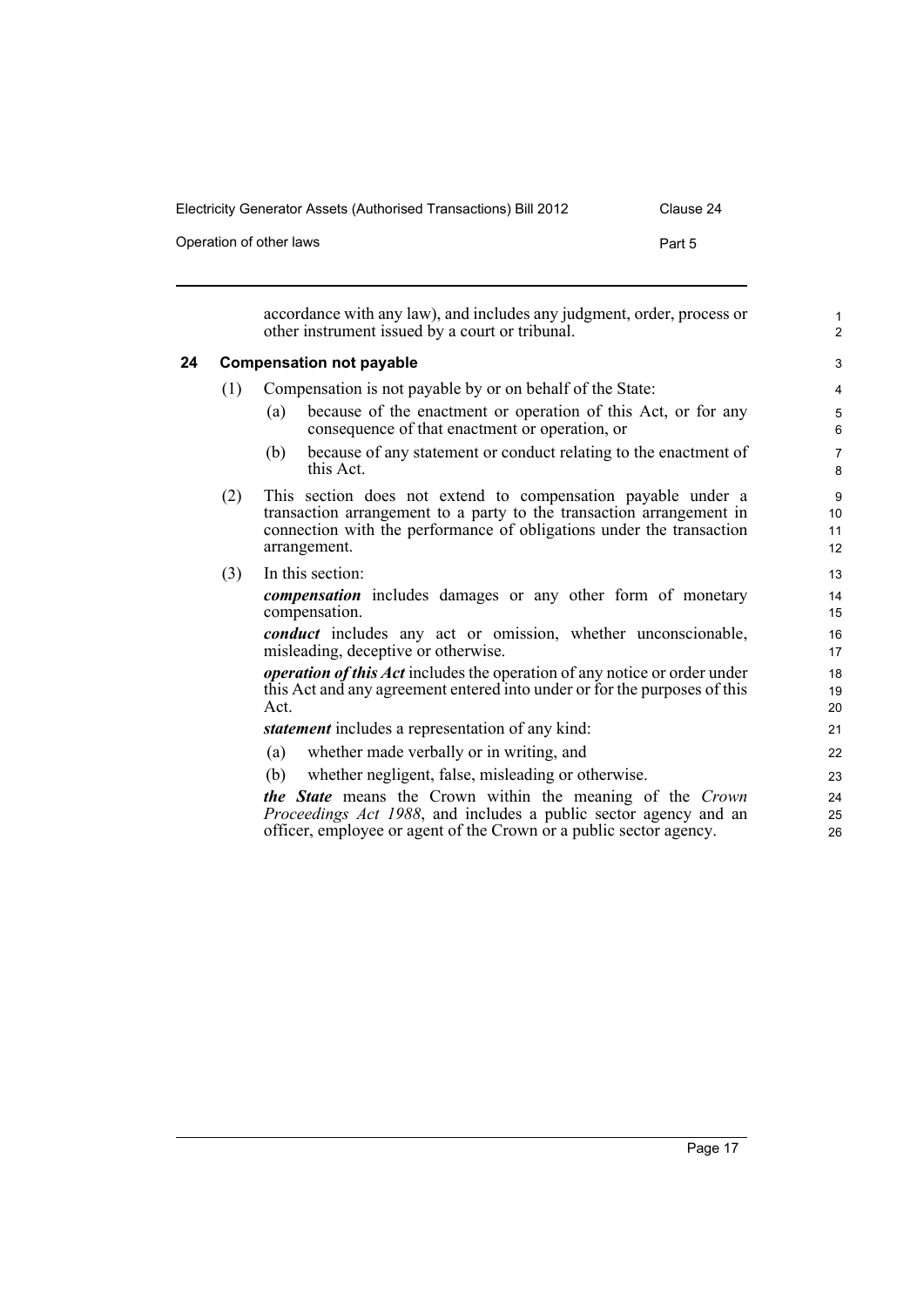Operation of other laws **Part 5** 

<span id="page-26-0"></span>

|    |     | accordance with any law), and includes any judgment, order, process or<br>other instrument issued by a court or tribunal.                                                                                                    | $\mathbf{1}$<br>$\overline{2}$   |
|----|-----|------------------------------------------------------------------------------------------------------------------------------------------------------------------------------------------------------------------------------|----------------------------------|
| 24 |     | <b>Compensation not payable</b>                                                                                                                                                                                              | 3                                |
|    | (1) | Compensation is not payable by or on behalf of the State:                                                                                                                                                                    | $\overline{4}$                   |
|    |     | because of the enactment or operation of this Act, or for any<br>(a)<br>consequence of that enactment or operation, or                                                                                                       | 5<br>6                           |
|    |     | because of any statement or conduct relating to the enactment of<br>(b)<br>this Act.                                                                                                                                         | $\overline{7}$<br>8              |
|    | (2) | This section does not extend to compensation payable under a<br>transaction arrangement to a party to the transaction arrangement in<br>connection with the performance of obligations under the transaction<br>arrangement. | 9<br>10 <sup>°</sup><br>11<br>12 |
|    | (3) | In this section:                                                                                                                                                                                                             | 13                               |
|    |     | <b><i>compensation</i></b> includes damages or any other form of monetary<br>compensation.                                                                                                                                   | 14<br>15                         |
|    |     | <i>conduct</i> includes any act or omission, whether unconscionable,<br>misleading, deceptive or otherwise.                                                                                                                  | 16<br>17                         |
|    |     | <i>operation of this Act</i> includes the operation of any notice or order under<br>this Act and any agreement entered into under or for the purposes of this<br>Act.                                                        | 18<br>19<br>20                   |
|    |     | <i>statement</i> includes a representation of any kind:                                                                                                                                                                      | 21                               |
|    |     | (a)<br>whether made verbally or in writing, and                                                                                                                                                                              | 22                               |
|    |     | whether negligent, false, misleading or otherwise.<br>(b)                                                                                                                                                                    | 23                               |
|    |     | the State means the Crown within the meaning of the Crown<br><i>Proceedings Act 1988</i> , and includes a public sector agency and an<br>officer, employee or agent of the Crown or a public sector agency.                  | 24<br>25<br>26                   |
|    |     |                                                                                                                                                                                                                              |                                  |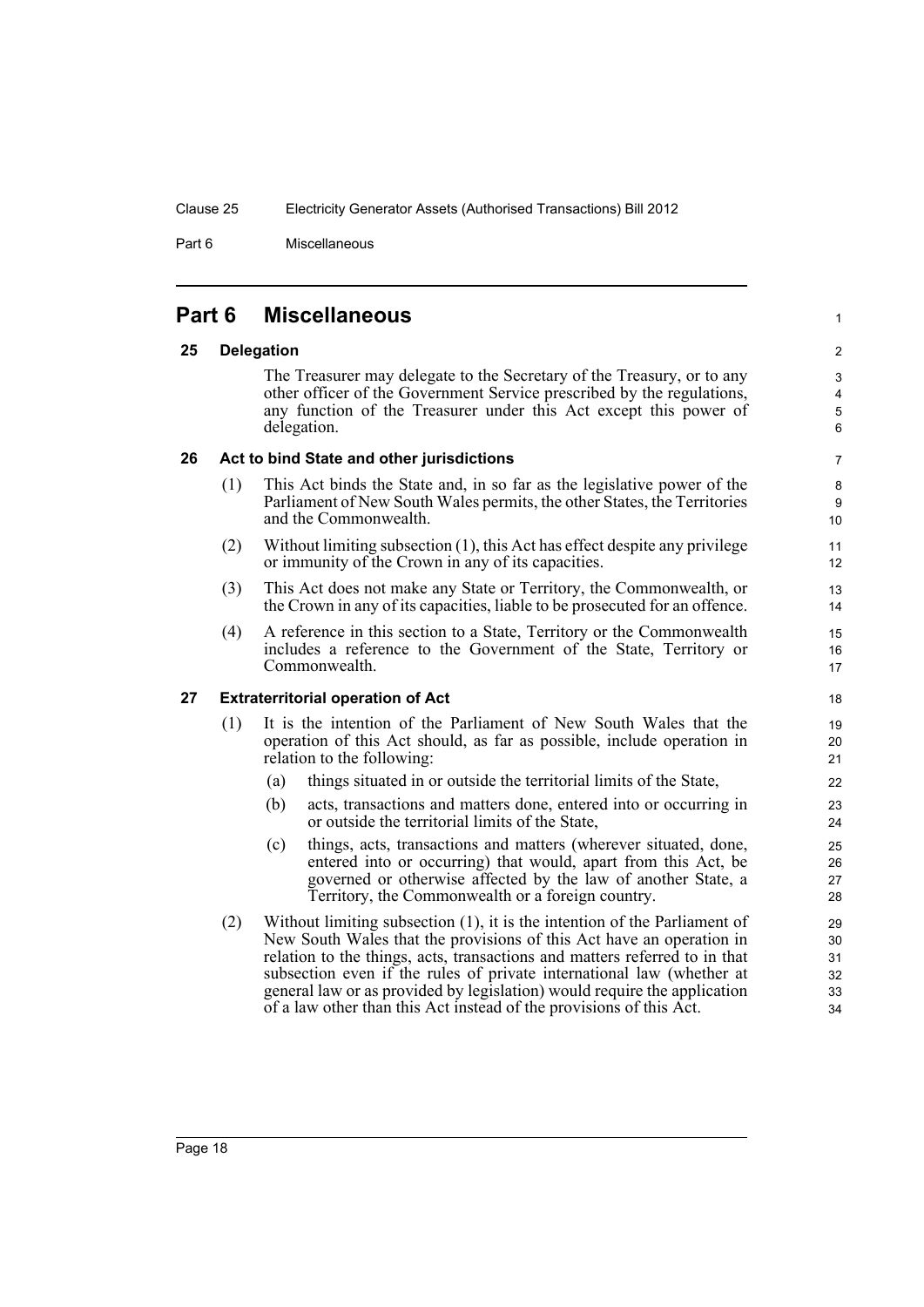Part 6 Miscellaneous

# <span id="page-27-0"></span>**Part 6 Miscellaneous**

#### <span id="page-27-1"></span>**25 Delegation**

The Treasurer may delegate to the Secretary of the Treasury, or to any other officer of the Government Service prescribed by the regulations, any function of the Treasurer under this Act except this power of delegation.

1

#### <span id="page-27-2"></span>**26 Act to bind State and other jurisdictions**

- (1) This Act binds the State and, in so far as the legislative power of the Parliament of New South Wales permits, the other States, the Territories and the Commonwealth.
- (2) Without limiting subsection (1), this Act has effect despite any privilege or immunity of the Crown in any of its capacities.
- (3) This Act does not make any State or Territory, the Commonwealth, or the Crown in any of its capacities, liable to be prosecuted for an offence.
- (4) A reference in this section to a State, Territory or the Commonwealth includes a reference to the Government of the State, Territory or Commonwealth.

#### <span id="page-27-3"></span>**27 Extraterritorial operation of Act**

- (1) It is the intention of the Parliament of New South Wales that the operation of this Act should, as far as possible, include operation in relation to the following:
	- (a) things situated in or outside the territorial limits of the State,
	- (b) acts, transactions and matters done, entered into or occurring in or outside the territorial limits of the State,
	- (c) things, acts, transactions and matters (wherever situated, done, entered into or occurring) that would, apart from this Act, be governed or otherwise affected by the law of another State, a Territory, the Commonwealth or a foreign country.
- (2) Without limiting subsection (1), it is the intention of the Parliament of New South Wales that the provisions of this Act have an operation in relation to the things, acts, transactions and matters referred to in that subsection even if the rules of private international law (whether at general law or as provided by legislation) would require the application of a law other than this Act instead of the provisions of this Act.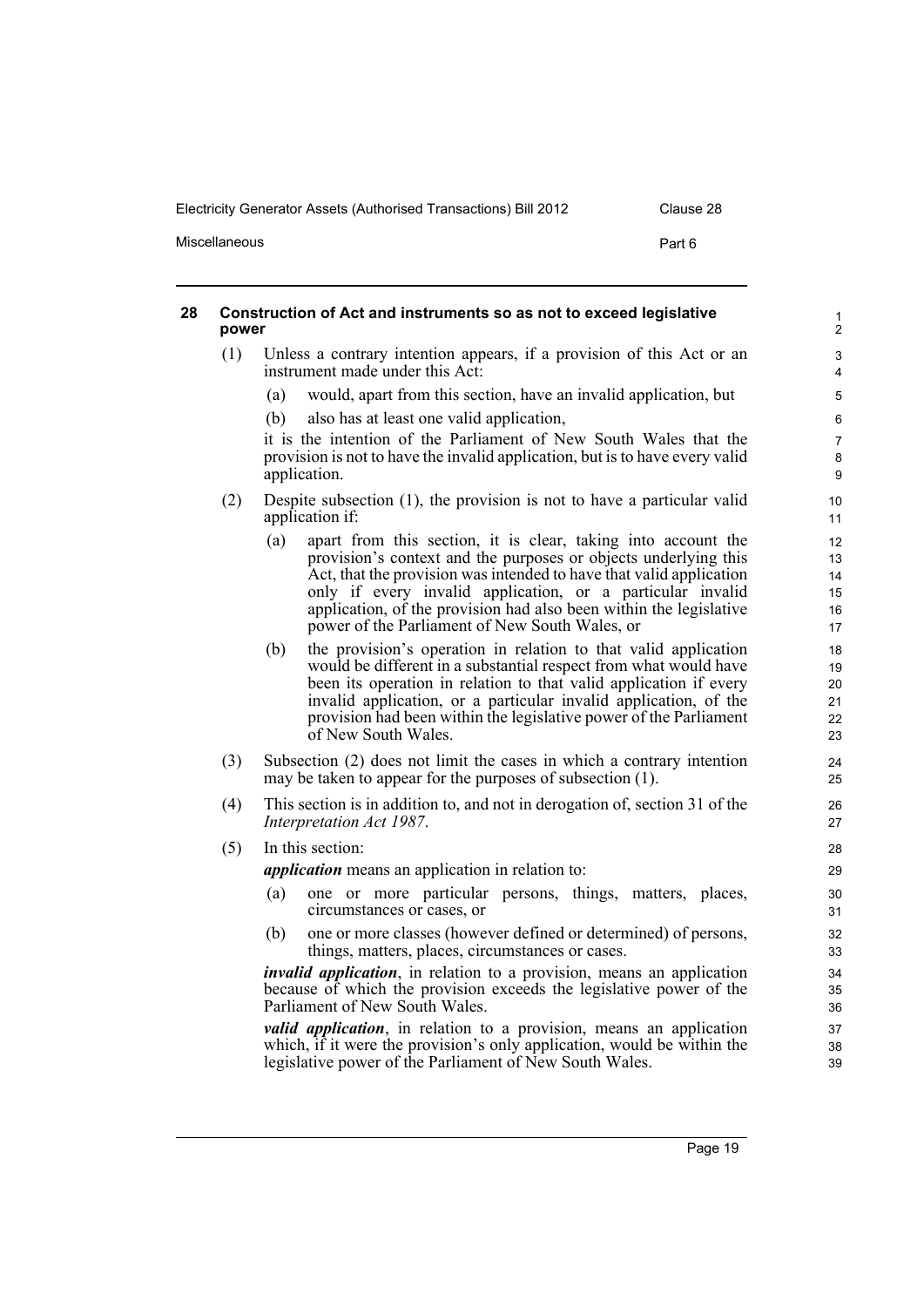Miscellaneous **Part 6** 

#### <span id="page-28-0"></span>**28 Construction of Act and instruments so as not to exceed legislative power** (1) Unless a contrary intention appears, if a provision of this Act or an instrument made under this Act: (a) would, apart from this section, have an invalid application, but (b) also has at least one valid application, it is the intention of the Parliament of New South Wales that the provision is not to have the invalid application, but is to have every valid application. (2) Despite subsection (1), the provision is not to have a particular valid application if: (a) apart from this section, it is clear, taking into account the provision's context and the purposes or objects underlying this Act, that the provision was intended to have that valid application only if every invalid application, or a particular invalid application, of the provision had also been within the legislative power of the Parliament of New South Wales, or (b) the provision's operation in relation to that valid application would be different in a substantial respect from what would have been its operation in relation to that valid application if every invalid application, or a particular invalid application, of the provision had been within the legislative power of the Parliament of New South Wales. (3) Subsection (2) does not limit the cases in which a contrary intention may be taken to appear for the purposes of subsection (1). (4) This section is in addition to, and not in derogation of, section 31 of the *Interpretation Act 1987*. (5) In this section: *application* means an application in relation to: (a) one or more particular persons, things, matters, places, circumstances or cases, or (b) one or more classes (however defined or determined) of persons, things, matters, places, circumstances or cases. *invalid application*, in relation to a provision, means an application because of which the provision exceeds the legislative power of the Parliament of New South Wales. *valid application*, in relation to a provision, means an application which, if it were the provision's only application, would be within the 1  $\overline{2}$  $\overline{a}$ 4 5 6 7 8 9 10 11 12 13 14 15 16 17 18 19 20 21 22 23 24 25 26 27 28 29 30 31 32 33 34 35 36 37 38

legislative power of the Parliament of New South Wales.

39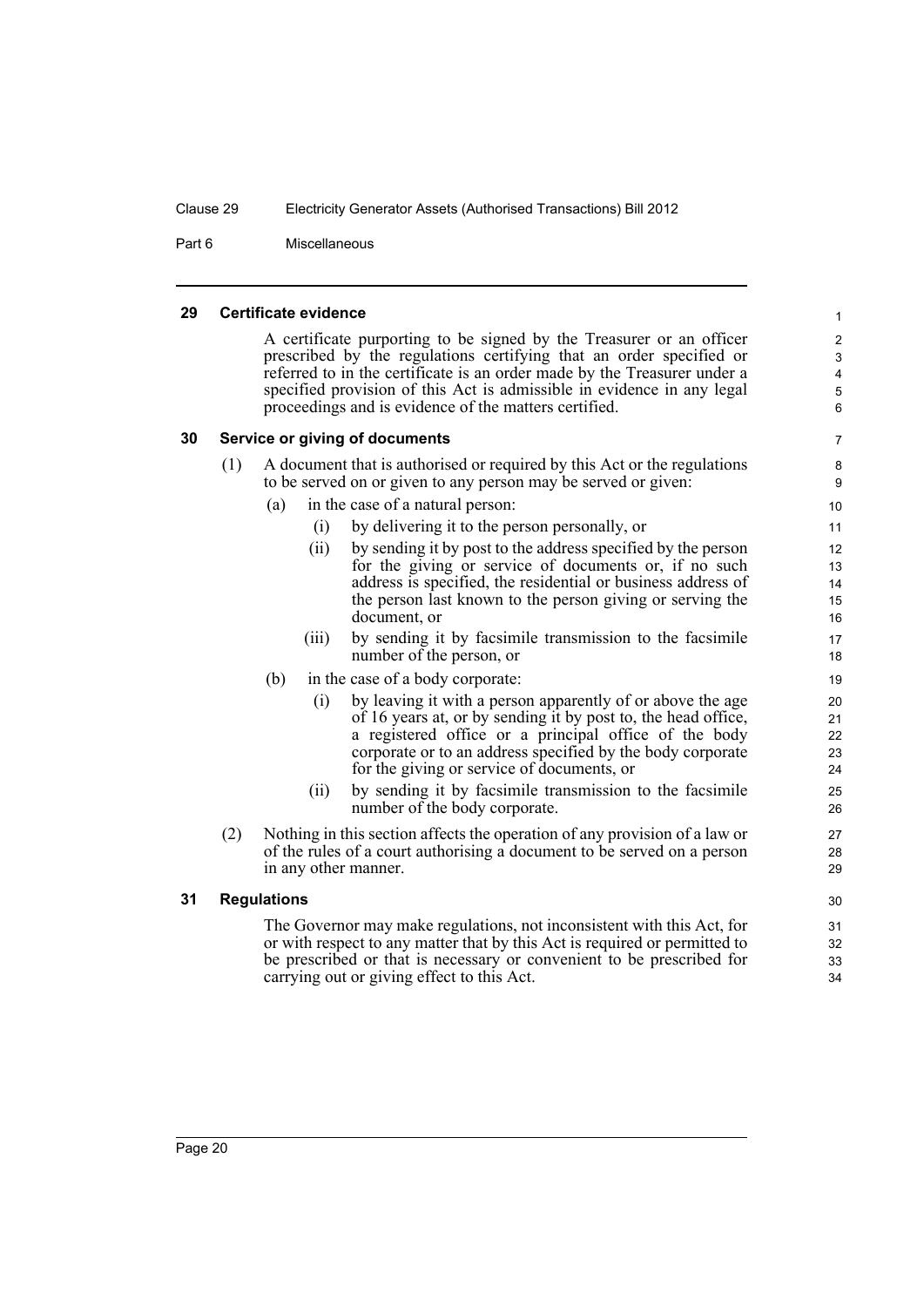Part 6 Miscellaneous

#### <span id="page-29-0"></span>**29 Certificate evidence**

A certificate purporting to be signed by the Treasurer or an officer prescribed by the regulations certifying that an order specified or referred to in the certificate is an order made by the Treasurer under a specified provision of this Act is admissible in evidence in any legal proceedings and is evidence of the matters certified.

#### <span id="page-29-1"></span>**30 Service or giving of documents**

| (1) | A document that is authorised or required by this Act or the regulations |
|-----|--------------------------------------------------------------------------|
|     | to be served on or given to any person may be served or given:           |

- (a) in the case of a natural person:
	- (i) by delivering it to the person personally, or
	- (ii) by sending it by post to the address specified by the person for the giving or service of documents or, if no such address is specified, the residential or business address of the person last known to the person giving or serving the document, or
	- (iii) by sending it by facsimile transmission to the facsimile number of the person, or
- (b) in the case of a body corporate:
	- (i) by leaving it with a person apparently of or above the age of 16 years at, or by sending it by post to, the head office, a registered office or a principal office of the body corporate or to an address specified by the body corporate for the giving or service of documents, or
	- (ii) by sending it by facsimile transmission to the facsimile number of the body corporate.
- (2) Nothing in this section affects the operation of any provision of a law or of the rules of a court authorising a document to be served on a person in any other manner.

#### <span id="page-29-2"></span>**31 Regulations**

The Governor may make regulations, not inconsistent with this Act, for or with respect to any matter that by this Act is required or permitted to be prescribed or that is necessary or convenient to be prescribed for carrying out or giving effect to this Act.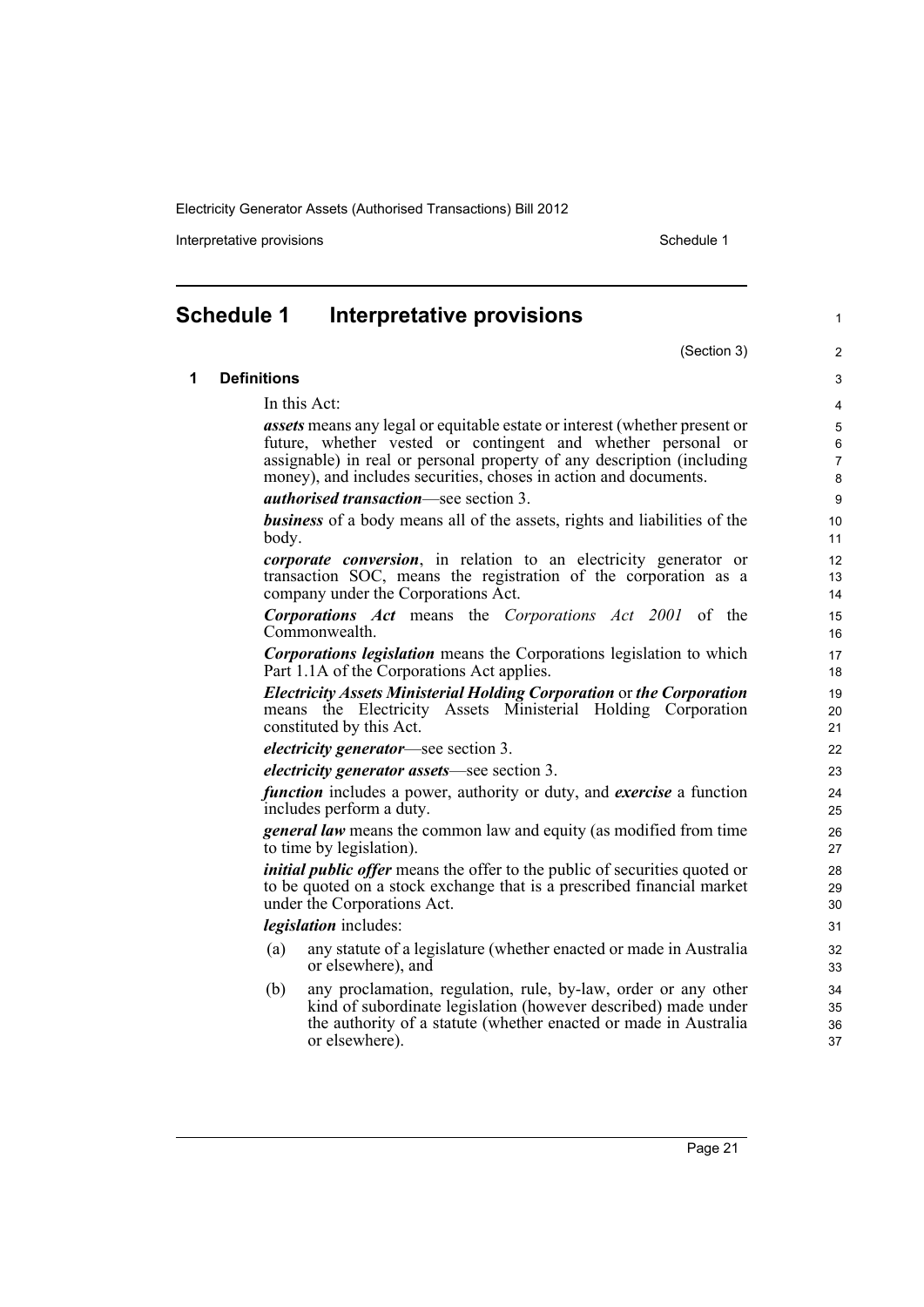Interpretative provisions **Schedule 1** and the set of the set of the set of the set of the set of the set of the set of the set of the set of the set of the set of the set of the set of the set of the set of the set of the

(Section 3)

1

# <span id="page-30-0"></span>**Schedule 1 Interpretative provisions**

#### **1 Definitions**

In this Act:

*assets* means any legal or equitable estate or interest (whether present or future, whether vested or contingent and whether personal or assignable) in real or personal property of any description (including money), and includes securities, choses in action and documents.

*authorised transaction*—see section 3.

*business* of a body means all of the assets, rights and liabilities of the body.

*corporate conversion*, in relation to an electricity generator or transaction SOC, means the registration of the corporation as a company under the Corporations Act.

*Corporations Act* means the *Corporations Act 2001* of the Commonwealth.

*Corporations legislation* means the Corporations legislation to which Part 1.1A of the Corporations Act applies.

*Electricity Assets Ministerial Holding Corporation* or *the Corporation* means the Electricity Assets Ministerial Holding Corporation constituted by this Act.

#### *electricity generator*—see section 3.

*electricity generator assets*—see section 3.

*function* includes a power, authority or duty, and *exercise* a function includes perform a duty.

*general law* means the common law and equity (as modified from time to time by legislation).

*initial public offer* means the offer to the public of securities quoted or to be quoted on a stock exchange that is a prescribed financial market under the Corporations Act.

*legislation* includes:

- (a) any statute of a legislature (whether enacted or made in Australia or elsewhere), and
- (b) any proclamation, regulation, rule, by-law, order or any other kind of subordinate legislation (however described) made under the authority of a statute (whether enacted or made in Australia or elsewhere).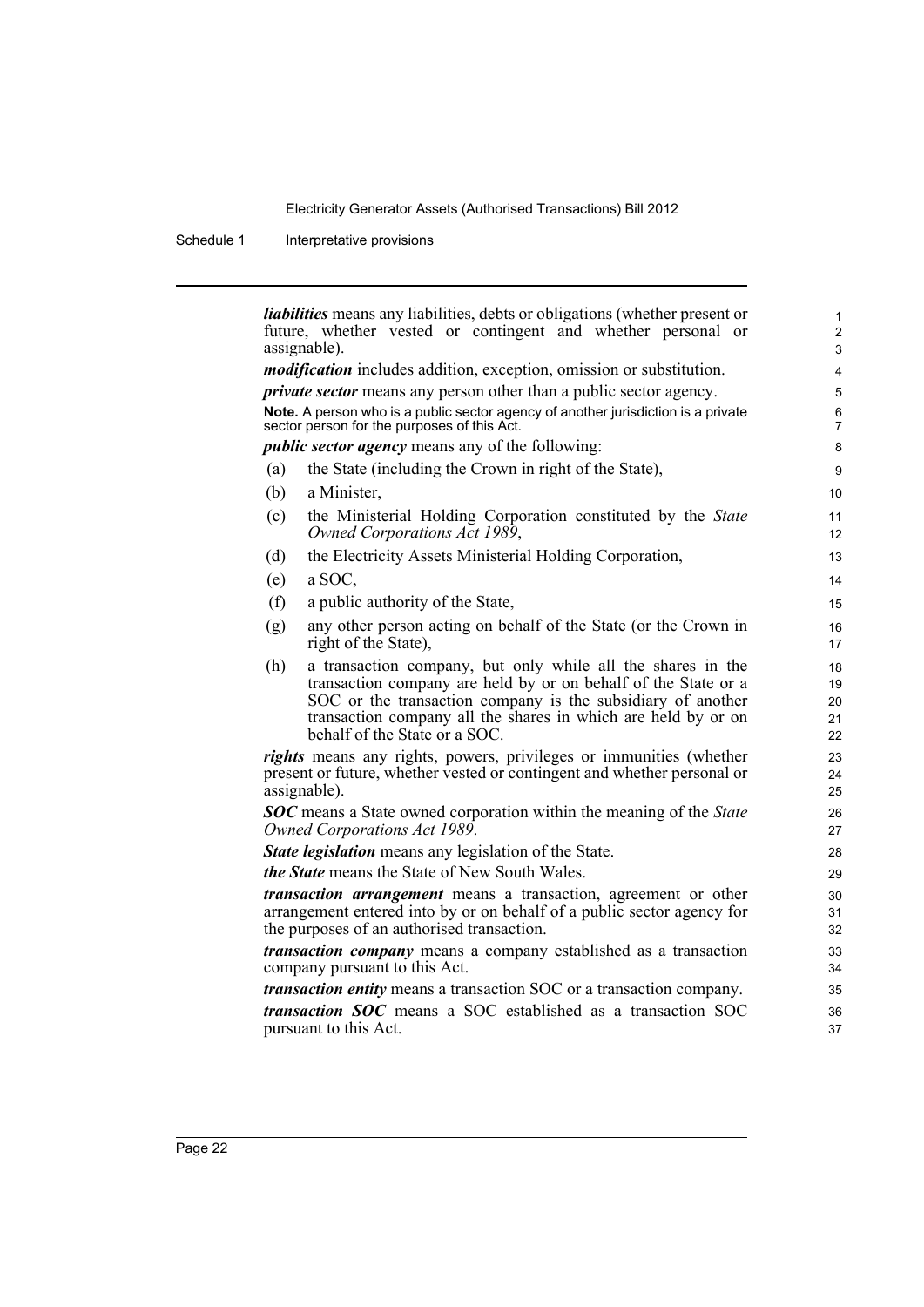Schedule 1 Interpretative provisions

|     | <i>liabilities</i> means any liabilities, debts or obligations (whether present or<br>future, whether vested or contingent and whether personal or<br>assignable).                                                                                                                             |          |
|-----|------------------------------------------------------------------------------------------------------------------------------------------------------------------------------------------------------------------------------------------------------------------------------------------------|----------|
|     | <i>modification</i> includes addition, exception, omission or substitution.                                                                                                                                                                                                                    |          |
|     | <i>private sector</i> means any person other than a public sector agency.                                                                                                                                                                                                                      |          |
|     | Note. A person who is a public sector agency of another jurisdiction is a private                                                                                                                                                                                                              |          |
|     | sector person for the purposes of this Act.                                                                                                                                                                                                                                                    |          |
|     | <i>public sector agency</i> means any of the following:                                                                                                                                                                                                                                        |          |
| (a) | the State (including the Crown in right of the State),                                                                                                                                                                                                                                         |          |
| (b) | a Minister,                                                                                                                                                                                                                                                                                    | 10       |
| (c) | the Ministerial Holding Corporation constituted by the State<br>Owned Corporations Act 1989,                                                                                                                                                                                                   | 11<br>12 |
| (d) | the Electricity Assets Ministerial Holding Corporation,                                                                                                                                                                                                                                        | 13       |
| (e) | a SOC,                                                                                                                                                                                                                                                                                         | 14       |
| (f) | a public authority of the State,                                                                                                                                                                                                                                                               | 15       |
| (g) | any other person acting on behalf of the State (or the Crown in<br>right of the State),                                                                                                                                                                                                        |          |
| (h) | a transaction company, but only while all the shares in the<br>transaction company are held by or on behalf of the State or a<br>SOC or the transaction company is the subsidiary of another<br>transaction company all the shares in which are held by or on<br>behalf of the State or a SOC. |          |
|     | rights means any rights, powers, privileges or immunities (whether<br>present or future, whether vested or contingent and whether personal or<br>assignable).                                                                                                                                  |          |
|     | <b>SOC</b> means a State owned corporation within the meaning of the State<br>Owned Corporations Act 1989.                                                                                                                                                                                     |          |
|     | <b>State legislation</b> means any legislation of the State.                                                                                                                                                                                                                                   |          |
|     | <i>the State</i> means the State of New South Wales.                                                                                                                                                                                                                                           |          |
|     | <i>transaction arrangement</i> means a transaction, agreement or other<br>arrangement entered into by or on behalf of a public sector agency for<br>the purposes of an authorised transaction.                                                                                                 |          |
|     | <i>transaction company</i> means a company established as a transaction<br>company pursuant to this Act.                                                                                                                                                                                       |          |
|     | <i>transaction entity</i> means a transaction SOC or a transaction company.                                                                                                                                                                                                                    |          |
|     | transaction SOC means a SOC established as a transaction SOC<br>pursuant to this Act.                                                                                                                                                                                                          |          |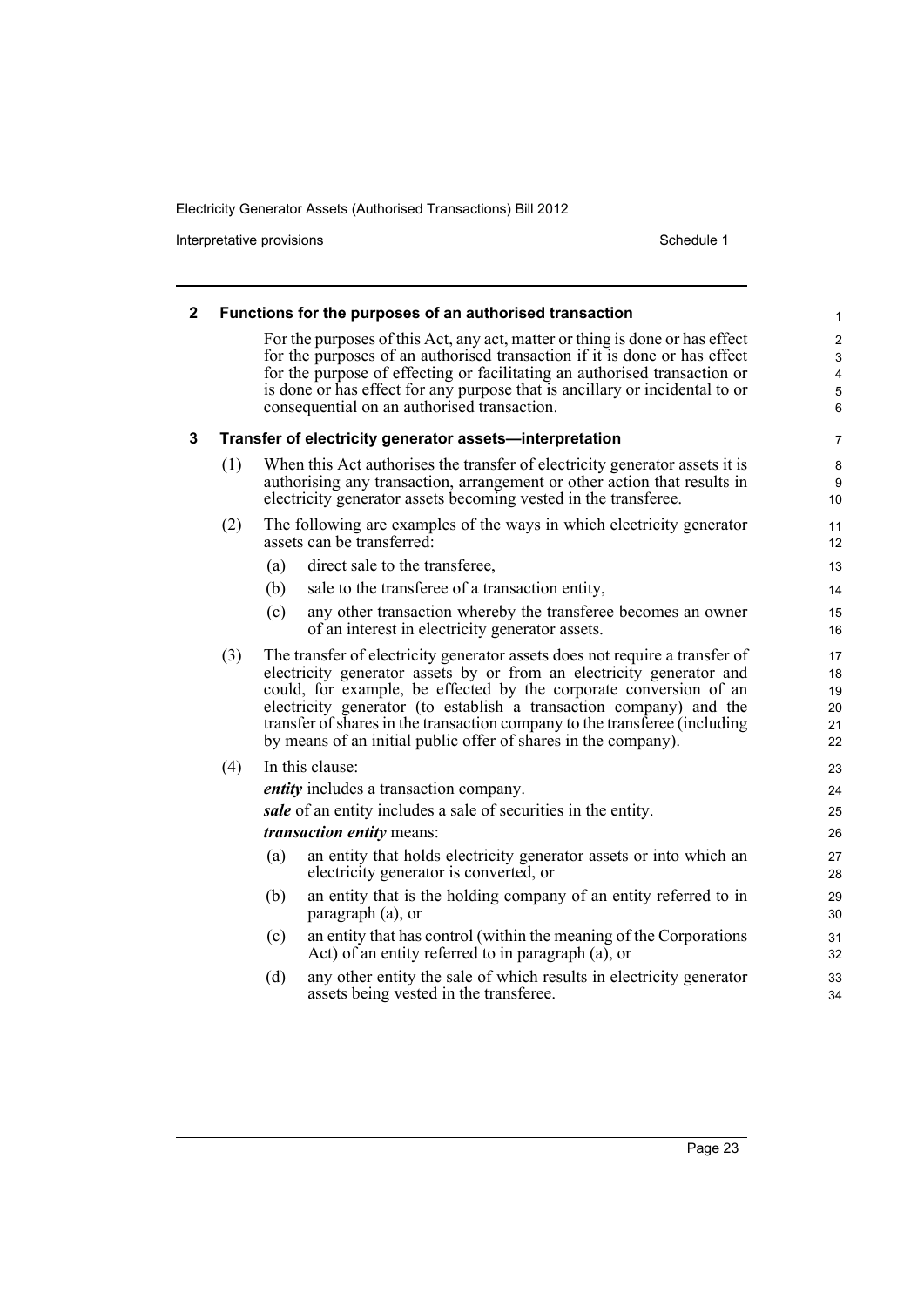Interpretative provisions and the state of the state of the Schedule 1 state of the Schedule 1

| 2 |                                                                                                                                                                                                                                   |     | Functions for the purposes of an authorised transaction                                                                                                                                                                                                                                                                                                                                                                                        | 1                                                                                |  |  |
|---|-----------------------------------------------------------------------------------------------------------------------------------------------------------------------------------------------------------------------------------|-----|------------------------------------------------------------------------------------------------------------------------------------------------------------------------------------------------------------------------------------------------------------------------------------------------------------------------------------------------------------------------------------------------------------------------------------------------|----------------------------------------------------------------------------------|--|--|
|   |                                                                                                                                                                                                                                   |     | For the purposes of this Act, any act, matter or thing is done or has effect<br>for the purposes of an authorised transaction if it is done or has effect<br>for the purpose of effecting or facilitating an authorised transaction or<br>is done or has effect for any purpose that is ancillary or incidental to or<br>consequential on an authorised transaction.                                                                           | $\overline{c}$<br>3<br>$\overline{\mathbf{4}}$<br>$\mathbf 5$<br>$6\phantom{1}6$ |  |  |
| 3 |                                                                                                                                                                                                                                   |     | Transfer of electricity generator assets-interpretation                                                                                                                                                                                                                                                                                                                                                                                        | 7                                                                                |  |  |
|   | When this Act authorises the transfer of electricity generator assets it is<br>(1)<br>authorising any transaction, arrangement or other action that results in<br>electricity generator assets becoming vested in the transferee. |     |                                                                                                                                                                                                                                                                                                                                                                                                                                                |                                                                                  |  |  |
|   | (2)                                                                                                                                                                                                                               |     | The following are examples of the ways in which electricity generator<br>assets can be transferred:                                                                                                                                                                                                                                                                                                                                            | 11<br>12                                                                         |  |  |
|   |                                                                                                                                                                                                                                   | (a) | direct sale to the transferee,                                                                                                                                                                                                                                                                                                                                                                                                                 | 13                                                                               |  |  |
|   |                                                                                                                                                                                                                                   | (b) | sale to the transferee of a transaction entity,                                                                                                                                                                                                                                                                                                                                                                                                | 14                                                                               |  |  |
|   |                                                                                                                                                                                                                                   | (c) | any other transaction whereby the transferee becomes an owner<br>of an interest in electricity generator assets.                                                                                                                                                                                                                                                                                                                               | 15<br>16                                                                         |  |  |
|   | (3)                                                                                                                                                                                                                               |     | The transfer of electricity generator assets does not require a transfer of<br>electricity generator assets by or from an electricity generator and<br>could, for example, be effected by the corporate conversion of an<br>electricity generator (to establish a transaction company) and the<br>transfer of shares in the transaction company to the transferee (including<br>by means of an initial public offer of shares in the company). | 17<br>18<br>19<br>20<br>21<br>22                                                 |  |  |
|   | (4)                                                                                                                                                                                                                               |     | In this clause:                                                                                                                                                                                                                                                                                                                                                                                                                                | 23                                                                               |  |  |
|   |                                                                                                                                                                                                                                   |     | <i>entity</i> includes a transaction company.                                                                                                                                                                                                                                                                                                                                                                                                  | 24                                                                               |  |  |
|   |                                                                                                                                                                                                                                   |     | sale of an entity includes a sale of securities in the entity.                                                                                                                                                                                                                                                                                                                                                                                 | 25                                                                               |  |  |
|   |                                                                                                                                                                                                                                   |     | transaction entity means:                                                                                                                                                                                                                                                                                                                                                                                                                      | 26                                                                               |  |  |
|   |                                                                                                                                                                                                                                   | (a) | an entity that holds electricity generator assets or into which an<br>electricity generator is converted, or                                                                                                                                                                                                                                                                                                                                   | 27<br>28                                                                         |  |  |
|   |                                                                                                                                                                                                                                   | (b) | an entity that is the holding company of an entity referred to in<br>paragraph (a), or                                                                                                                                                                                                                                                                                                                                                         | 29<br>30                                                                         |  |  |
|   |                                                                                                                                                                                                                                   | (c) | an entity that has control (within the meaning of the Corporations<br>Act) of an entity referred to in paragraph (a), or                                                                                                                                                                                                                                                                                                                       | 31<br>32                                                                         |  |  |
|   |                                                                                                                                                                                                                                   | (d) | any other entity the sale of which results in electricity generator<br>assets being vested in the transferee.                                                                                                                                                                                                                                                                                                                                  | 33<br>34                                                                         |  |  |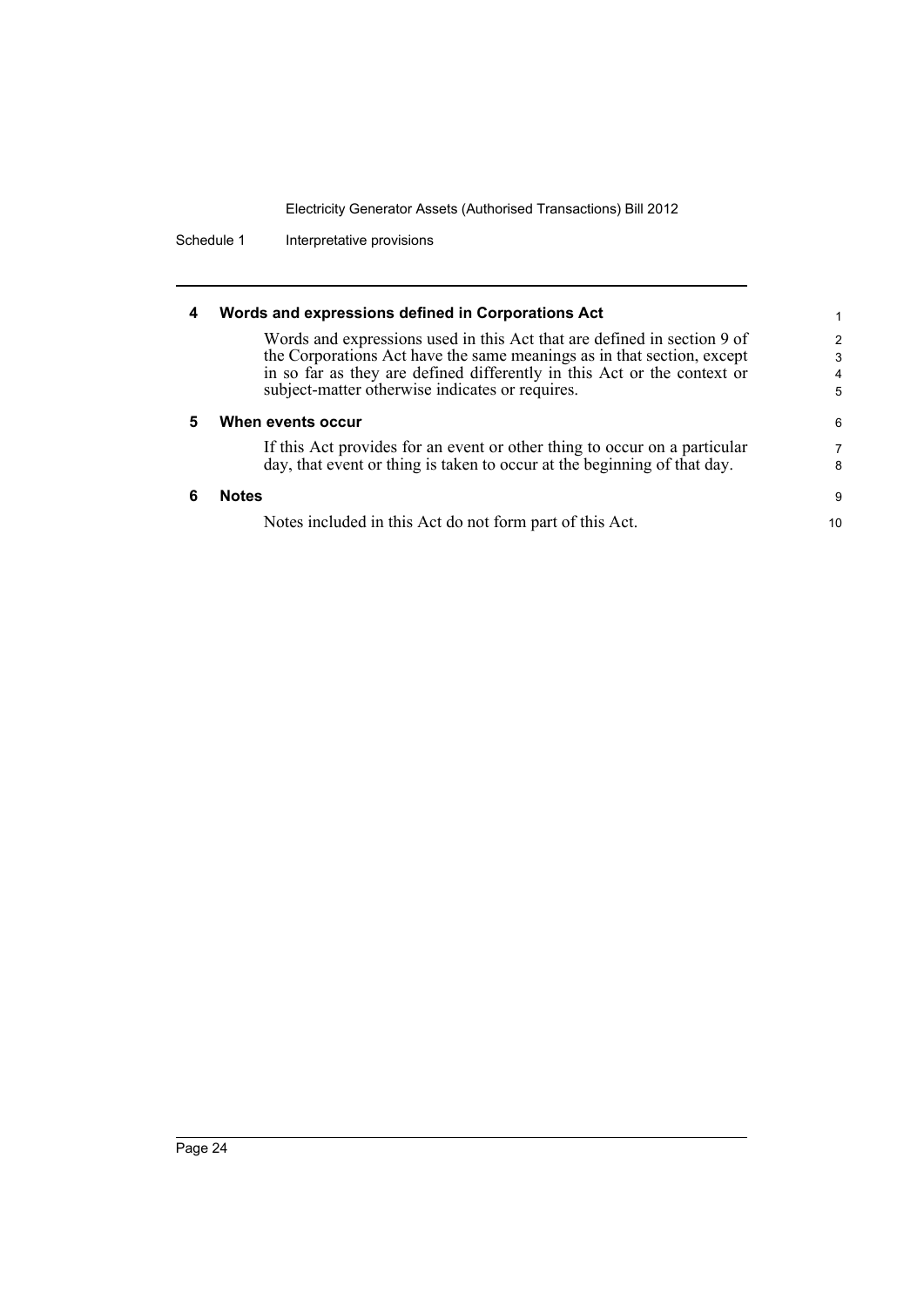Schedule 1 Interpretative provisions

| 4 | Words and expressions defined in Corporations Act                                                                                                                                                                                                                               |                  |
|---|---------------------------------------------------------------------------------------------------------------------------------------------------------------------------------------------------------------------------------------------------------------------------------|------------------|
|   | Words and expressions used in this Act that are defined in section 9 of<br>the Corporations Act have the same meanings as in that section, except<br>in so far as they are defined differently in this Act or the context or<br>subject-matter otherwise indicates or requires. | 2<br>3<br>4<br>5 |
| 5 | When events occur                                                                                                                                                                                                                                                               | 6                |
|   | If this Act provides for an event or other thing to occur on a particular<br>day, that event or thing is taken to occur at the beginning of that day.                                                                                                                           | 7<br>8           |
| 6 | <b>Notes</b>                                                                                                                                                                                                                                                                    | -9               |
|   | Notes included in this Act do not form part of this Act.                                                                                                                                                                                                                        | 10               |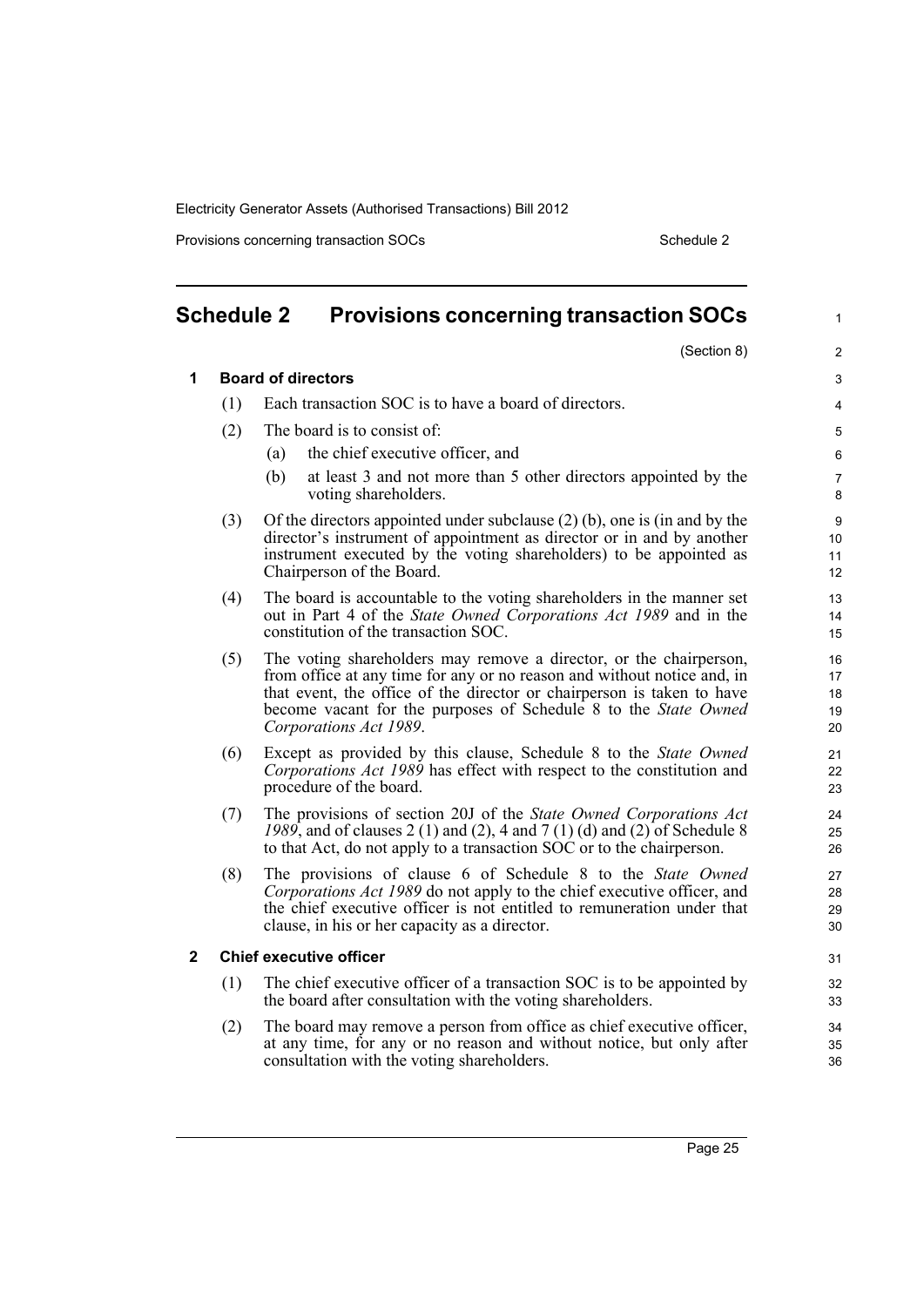Provisions concerning transaction SOCs Schedule 2

<span id="page-34-0"></span>

| <b>Schedule 2</b>                                                                                                  |                                                                                                                                                      | <b>Provisions concerning transaction SOCs</b>                                                                                                  | $\mathbf{1}$        |
|--------------------------------------------------------------------------------------------------------------------|------------------------------------------------------------------------------------------------------------------------------------------------------|------------------------------------------------------------------------------------------------------------------------------------------------|---------------------|
|                                                                                                                    |                                                                                                                                                      | (Section 8)                                                                                                                                    | $\overline{2}$      |
| 1                                                                                                                  |                                                                                                                                                      | <b>Board of directors</b>                                                                                                                      | 3                   |
|                                                                                                                    | (1)                                                                                                                                                  | Each transaction SOC is to have a board of directors.                                                                                          | 4                   |
|                                                                                                                    | (2)                                                                                                                                                  | The board is to consist of:                                                                                                                    | 5                   |
|                                                                                                                    |                                                                                                                                                      | the chief executive officer, and<br>(a)                                                                                                        | 6                   |
|                                                                                                                    |                                                                                                                                                      | at least 3 and not more than 5 other directors appointed by the<br>(b)<br>voting shareholders.                                                 | $\overline{7}$<br>8 |
|                                                                                                                    | (3)                                                                                                                                                  | Of the directors appointed under subclause $(2)$ (b), one is (in and by the                                                                    | 9                   |
|                                                                                                                    |                                                                                                                                                      | director's instrument of appointment as director or in and by another<br>instrument executed by the voting shareholders) to be appointed as    | 10<br>11            |
|                                                                                                                    |                                                                                                                                                      | Chairperson of the Board.                                                                                                                      | 12 <sup>2</sup>     |
|                                                                                                                    | (4)                                                                                                                                                  | The board is accountable to the voting shareholders in the manner set                                                                          | 13                  |
|                                                                                                                    |                                                                                                                                                      | out in Part 4 of the State Owned Corporations Act 1989 and in the<br>constitution of the transaction SOC.                                      | 14<br>15            |
|                                                                                                                    |                                                                                                                                                      |                                                                                                                                                | 16                  |
|                                                                                                                    | (5)<br>The voting shareholders may remove a director, or the chairperson,<br>from office at any time for any or no reason and without notice and, in |                                                                                                                                                | 17                  |
|                                                                                                                    |                                                                                                                                                      | that event, the office of the director or chairperson is taken to have                                                                         | 18                  |
|                                                                                                                    |                                                                                                                                                      | become vacant for the purposes of Schedule 8 to the State Owned<br>Corporations Act 1989.                                                      | 19<br>20            |
| (6)                                                                                                                |                                                                                                                                                      | Except as provided by this clause, Schedule 8 to the State Owned                                                                               | 21                  |
|                                                                                                                    |                                                                                                                                                      | Corporations Act 1989 has effect with respect to the constitution and                                                                          | 22                  |
|                                                                                                                    |                                                                                                                                                      | procedure of the board.                                                                                                                        | 23                  |
|                                                                                                                    | (7)                                                                                                                                                  | The provisions of section 20J of the State Owned Corporations Act<br>1989, and of clauses 2 (1) and (2), 4 and 7 (1) (d) and (2) of Schedule 8 | 24<br>25            |
|                                                                                                                    |                                                                                                                                                      | to that Act, do not apply to a transaction SOC or to the chairperson.                                                                          | 26                  |
|                                                                                                                    | (8)                                                                                                                                                  | The provisions of clause 6 of Schedule 8 to the State Owned                                                                                    | 27                  |
|                                                                                                                    |                                                                                                                                                      | Corporations Act 1989 do not apply to the chief executive officer, and                                                                         | 28                  |
|                                                                                                                    |                                                                                                                                                      | the chief executive officer is not entitled to remuneration under that<br>clause, in his or her capacity as a director.                        | 29<br>30            |
| $\mathbf{2}$                                                                                                       |                                                                                                                                                      | <b>Chief executive officer</b>                                                                                                                 | 31                  |
|                                                                                                                    | (1)                                                                                                                                                  | The chief executive officer of a transaction SOC is to be appointed by                                                                         | 32                  |
|                                                                                                                    |                                                                                                                                                      | the board after consultation with the voting shareholders.                                                                                     | 33                  |
|                                                                                                                    | (2)                                                                                                                                                  | The board may remove a person from office as chief executive officer,                                                                          | 34                  |
| at any time, for any or no reason and without notice, but only after<br>consultation with the voting shareholders. |                                                                                                                                                      |                                                                                                                                                | 35<br>36            |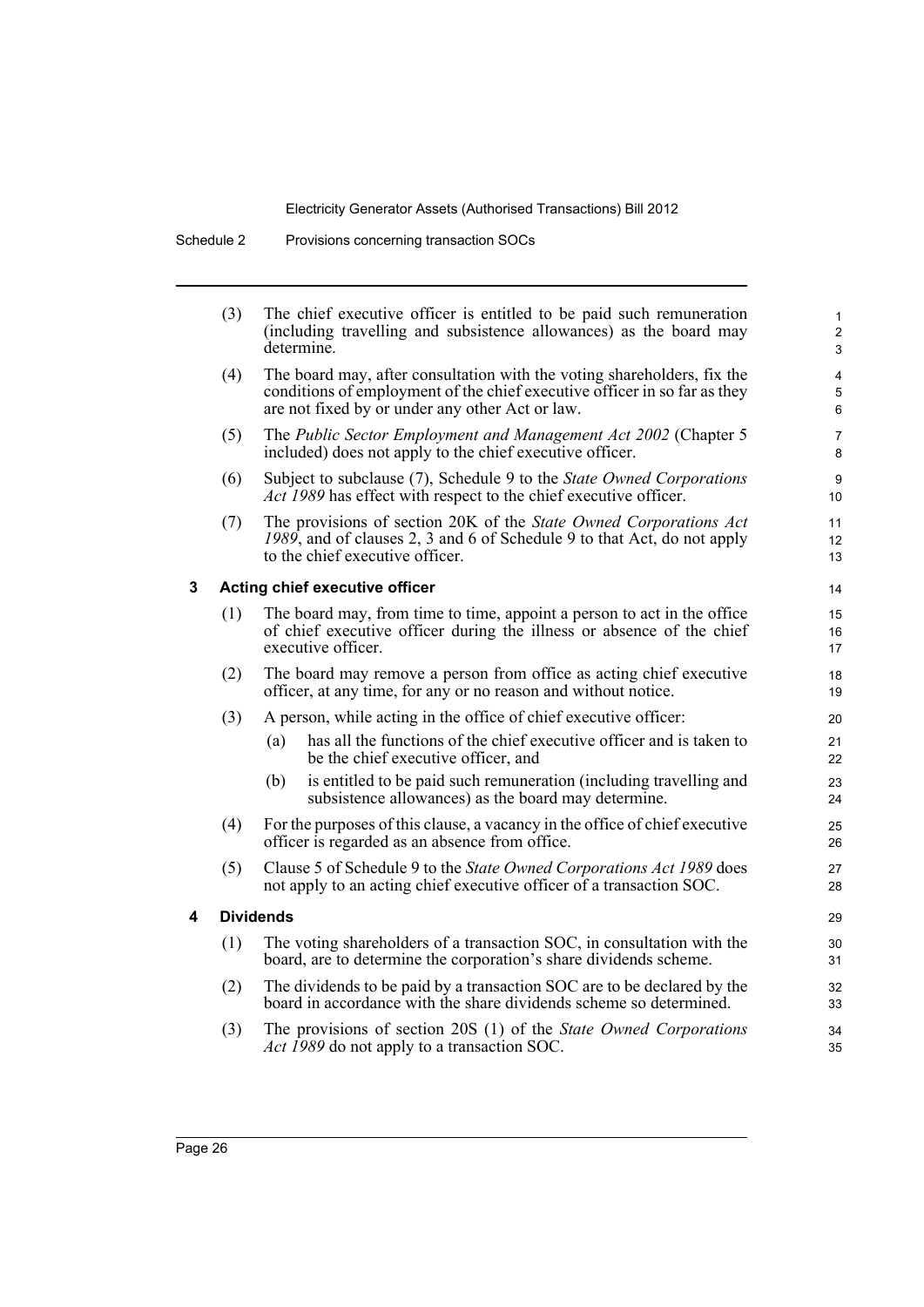|   | (3) | The chief executive officer is entitled to be paid such remuneration<br>(including travelling and subsistence allowances) as the board may<br>determine.                                                | $\mathbf{1}$<br>$\overline{a}$<br>3 |
|---|-----|---------------------------------------------------------------------------------------------------------------------------------------------------------------------------------------------------------|-------------------------------------|
|   | (4) | The board may, after consultation with the voting shareholders, fix the<br>conditions of employment of the chief executive officer in so far as they<br>are not fixed by or under any other Act or law. | 4<br>5<br>6                         |
|   | (5) | The Public Sector Employment and Management Act 2002 (Chapter 5<br>included) does not apply to the chief executive officer.                                                                             | $\overline{7}$<br>8                 |
|   | (6) | Subject to subclause (7), Schedule 9 to the State Owned Corporations<br>Act 1989 has effect with respect to the chief executive officer.                                                                | 9<br>10                             |
|   | (7) | The provisions of section 20K of the State Owned Corporations Act<br>1989, and of clauses 2, 3 and 6 of Schedule 9 to that Act, do not apply<br>to the chief executive officer.                         | 11<br>12 <sup>2</sup><br>13         |
| 3 |     | Acting chief executive officer                                                                                                                                                                          | 14                                  |
|   | (1) | The board may, from time to time, appoint a person to act in the office<br>of chief executive officer during the illness or absence of the chief<br>executive officer.                                  | 15<br>16<br>17                      |
|   | (2) | The board may remove a person from office as acting chief executive<br>officer, at any time, for any or no reason and without notice.                                                                   | 18<br>19                            |
|   | (3) | A person, while acting in the office of chief executive officer:                                                                                                                                        | 20                                  |
|   |     | has all the functions of the chief executive officer and is taken to<br>(a)<br>be the chief executive officer, and                                                                                      | 21<br>22                            |
|   |     | is entitled to be paid such remuneration (including travelling and<br>(b)<br>subsistence allowances) as the board may determine.                                                                        | 23<br>24                            |
|   | (4) | For the purposes of this clause, a vacancy in the office of chief executive<br>officer is regarded as an absence from office.                                                                           | 25<br>26                            |
|   | (5) | Clause 5 of Schedule 9 to the State Owned Corporations Act 1989 does<br>not apply to an acting chief executive officer of a transaction SOC.                                                            | 27<br>28                            |
| 4 |     | <b>Dividends</b>                                                                                                                                                                                        | 29                                  |
|   | (1) | The voting shareholders of a transaction SOC, in consultation with the<br>board, are to determine the corporation's share dividends scheme.                                                             | 30<br>31                            |
|   | (2) | The dividends to be paid by a transaction SOC are to be declared by the<br>board in accordance with the share dividends scheme so determined.                                                           | 32<br>33                            |
|   | (3) | The provisions of section 20S (1) of the State Owned Corporations<br><i>Act 1989</i> do not apply to a transaction SOC.                                                                                 | 34<br>35                            |
|   |     |                                                                                                                                                                                                         |                                     |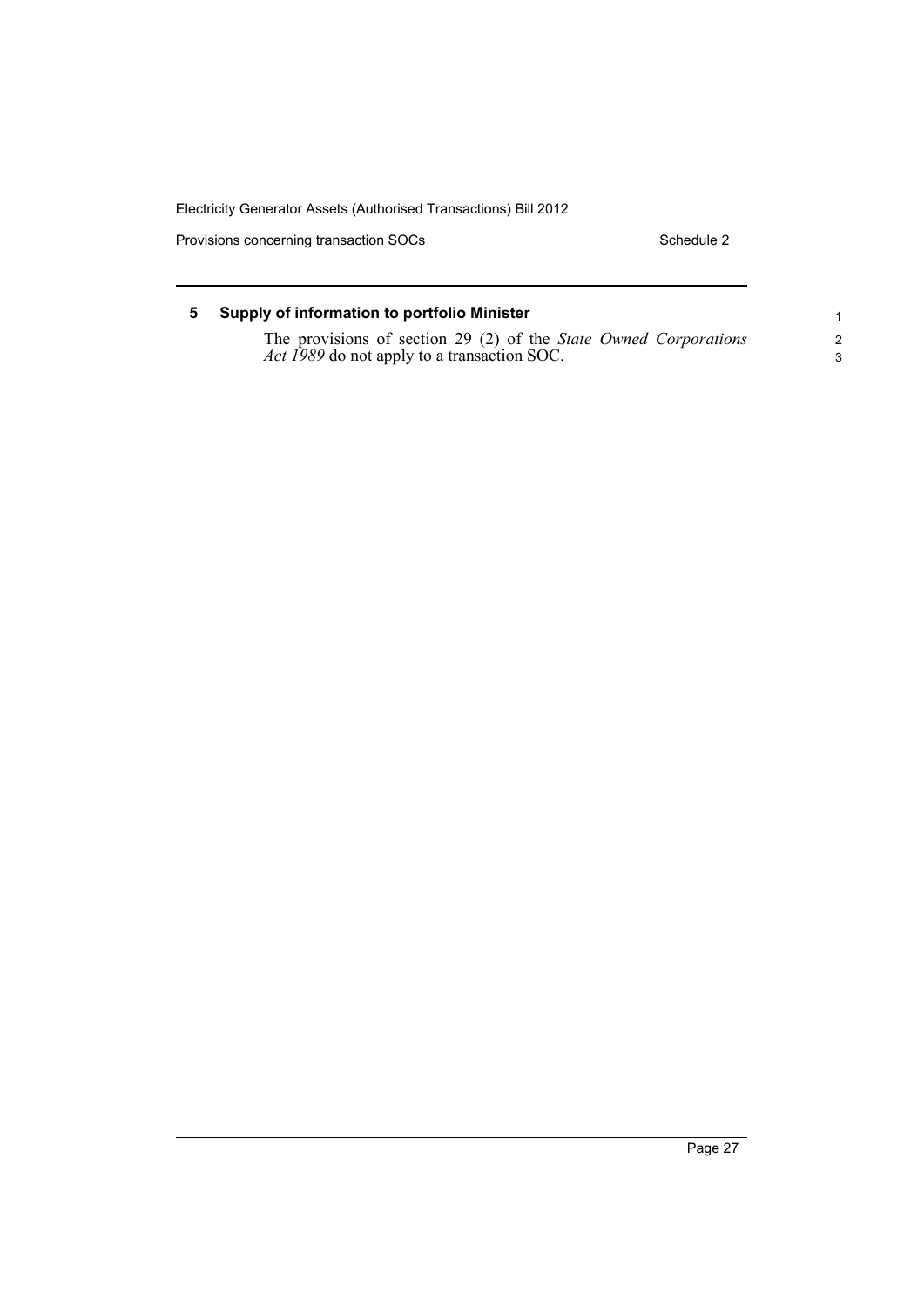Provisions concerning transaction SOCs Schedule 2

| 5. | Supply of information to portfolio Minister                                                                            |   |
|----|------------------------------------------------------------------------------------------------------------------------|---|
|    | The provisions of section 29 (2) of the State Owned Corporations<br><i>Act 1989</i> do not apply to a transaction SOC. | 2 |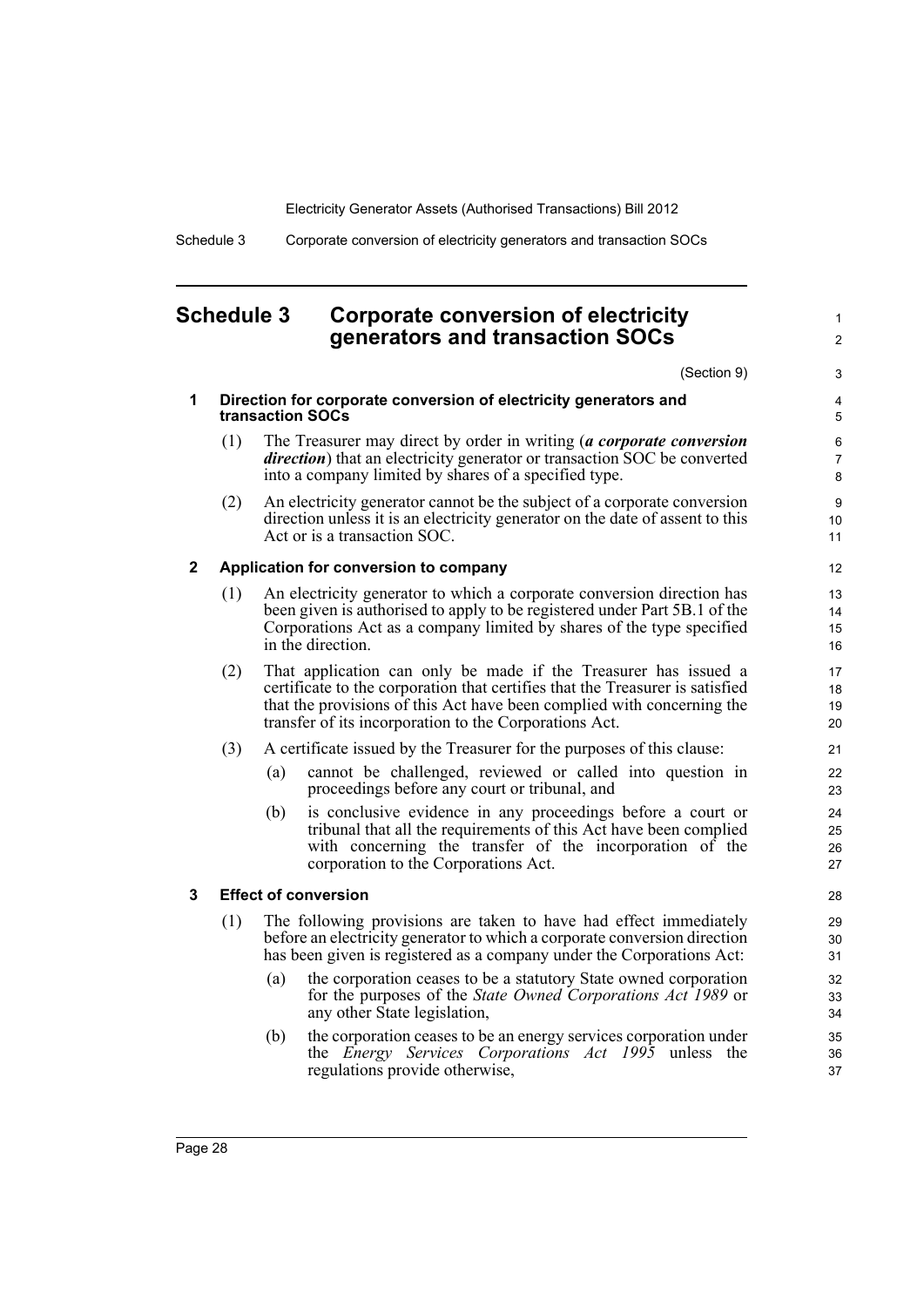1  $\mathfrak{p}$ 

Schedule 3 Corporate conversion of electricity generators and transaction SOCs

# <span id="page-37-0"></span>**Schedule 3 Corporate conversion of electricity generators and transaction SOCs**

(Section 9) **1 Direction for corporate conversion of electricity generators and transaction SOCs** (1) The Treasurer may direct by order in writing (*a corporate conversion direction*) that an electricity generator or transaction SOC be converted into a company limited by shares of a specified type. (2) An electricity generator cannot be the subject of a corporate conversion direction unless it is an electricity generator on the date of assent to this Act or is a transaction SOC. **2 Application for conversion to company** (1) An electricity generator to which a corporate conversion direction has been given is authorised to apply to be registered under Part 5B.1 of the Corporations Act as a company limited by shares of the type specified in the direction. (2) That application can only be made if the Treasurer has issued a certificate to the corporation that certifies that the Treasurer is satisfied that the provisions of this Act have been complied with concerning the transfer of its incorporation to the Corporations Act. (3) A certificate issued by the Treasurer for the purposes of this clause: (a) cannot be challenged, reviewed or called into question in proceedings before any court or tribunal, and (b) is conclusive evidence in any proceedings before a court or tribunal that all the requirements of this Act have been complied with concerning the transfer of the incorporation of the corporation to the Corporations Act. **3 Effect of conversion** (1) The following provisions are taken to have had effect immediately before an electricity generator to which a corporate conversion direction has been given is registered as a company under the Corporations Act: (a) the corporation ceases to be a statutory State owned corporation for the purposes of the *State Owned Corporations Act 1989* or any other State legislation, (b) the corporation ceases to be an energy services corporation under the *Energy Services Corporations Act 1995* unless the regulations provide otherwise, 3 4 5 6 7 8 9 10 11 12 13 14 15 16 17 18 19 20 21 22 23  $24$ 25 26 27 28 29 30 31 32 33 34 35 36 37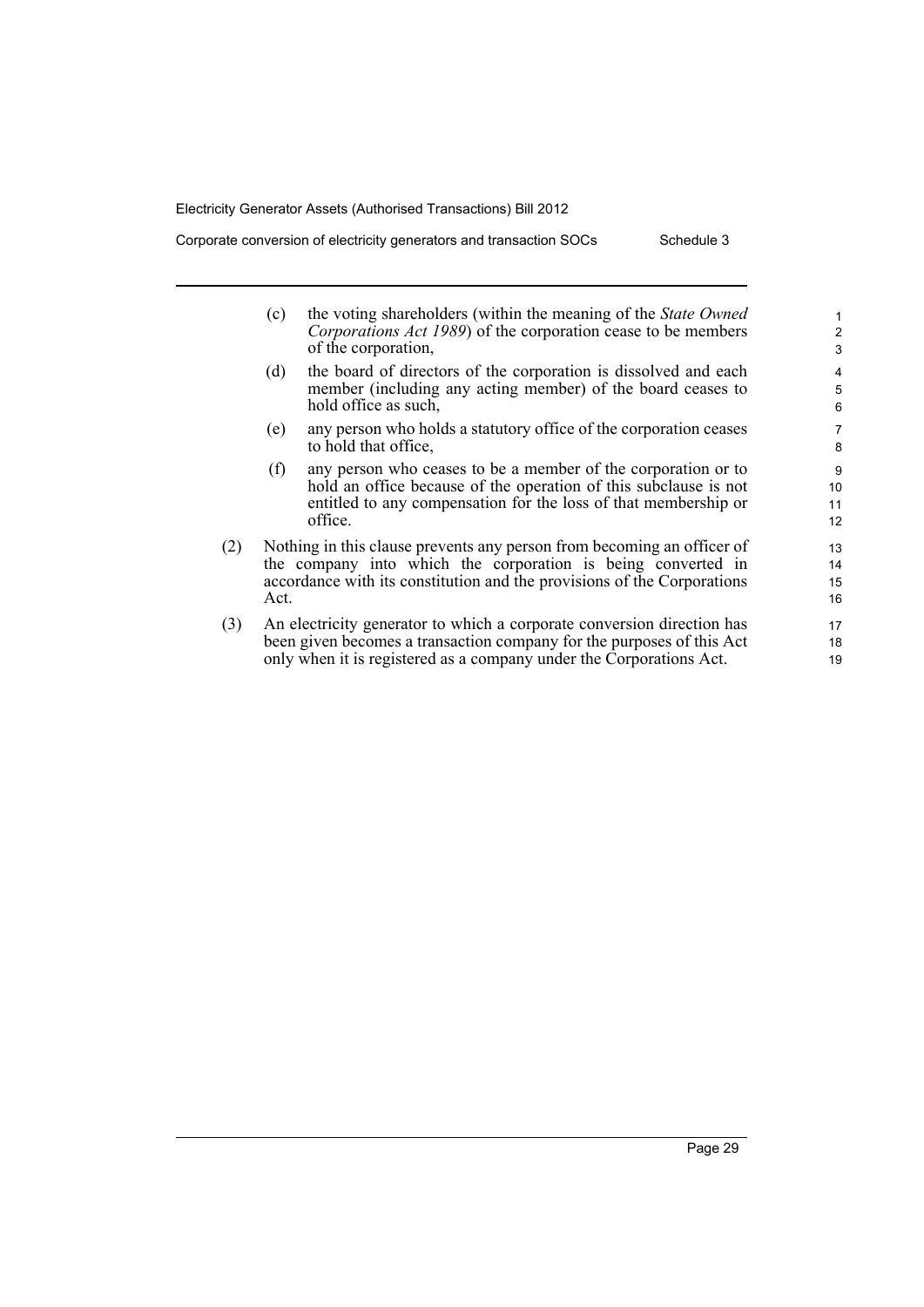Corporate conversion of electricity generators and transaction SOCs Schedule 3

|     | (c)                                                                                                                                                                                                                       | the voting shareholders (within the meaning of the <i>State Owned</i><br>Corporations Act 1989) of the corporation cease to be members<br>of the corporation,                                                   | $\mathbf{1}$<br>$\overline{2}$<br>3 |
|-----|---------------------------------------------------------------------------------------------------------------------------------------------------------------------------------------------------------------------------|-----------------------------------------------------------------------------------------------------------------------------------------------------------------------------------------------------------------|-------------------------------------|
|     | (d)                                                                                                                                                                                                                       | the board of directors of the corporation is dissolved and each<br>member (including any acting member) of the board ceases to<br>hold office as such,                                                          | 4<br>5<br>6                         |
|     | (e)                                                                                                                                                                                                                       | any person who holds a statutory office of the corporation ceases<br>to hold that office,                                                                                                                       | 7<br>8                              |
|     | (f)                                                                                                                                                                                                                       | any person who ceases to be a member of the corporation or to<br>hold an office because of the operation of this subclause is not<br>entitled to any compensation for the loss of that membership or<br>office. | 9<br>10<br>11<br>12                 |
| (2) | Nothing in this clause prevents any person from becoming an officer of<br>the company into which the corporation is being converted in<br>accordance with its constitution and the provisions of the Corporations<br>Act. |                                                                                                                                                                                                                 | 13<br>14<br>15<br>16                |
| (3) | An electricity generator to which a corporate conversion direction has<br>been given becomes a transaction company for the purposes of this Act<br>only when it is registered as a company under the Corporations Act.    |                                                                                                                                                                                                                 | 17<br>18<br>19                      |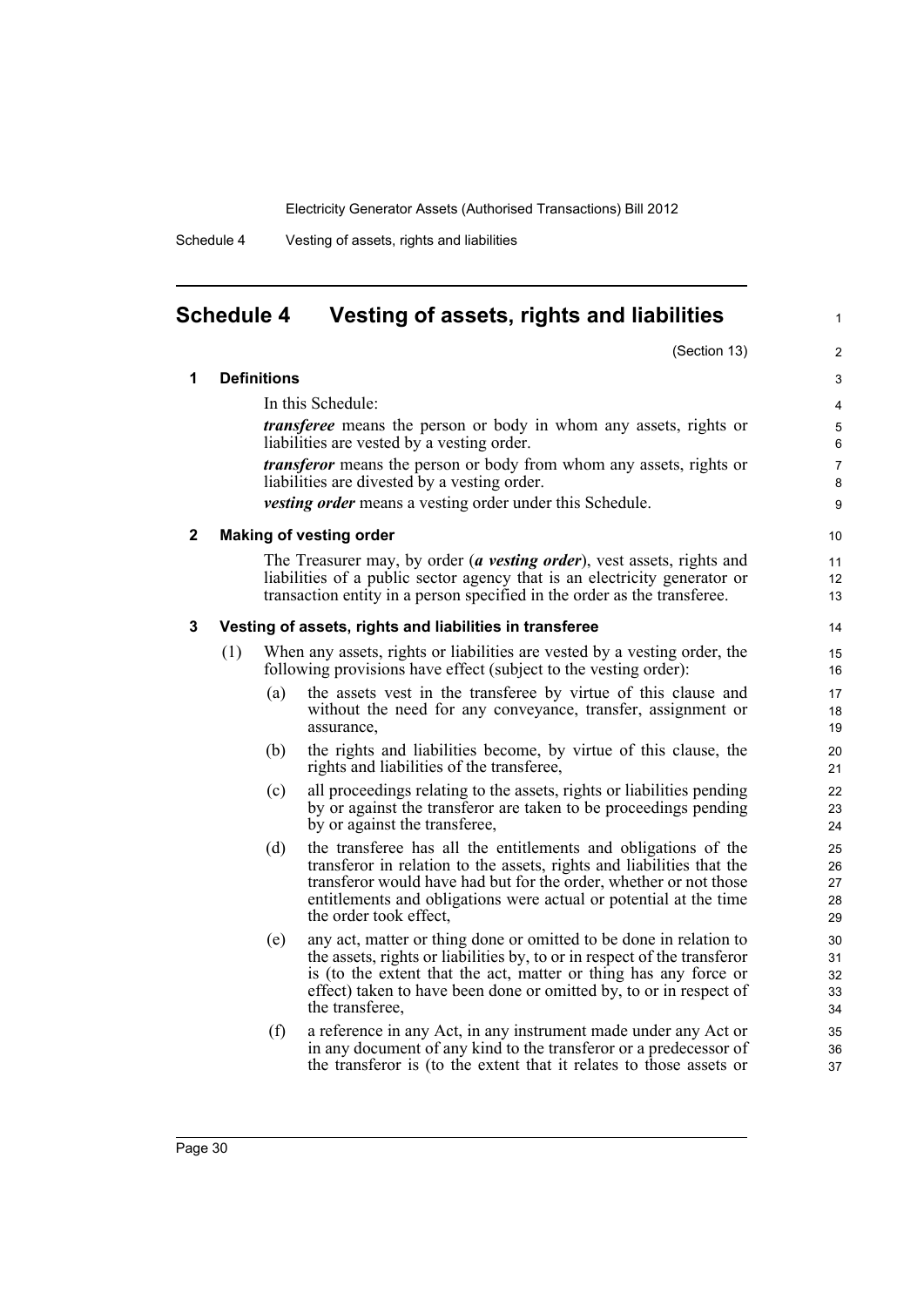1

Schedule 4 Vesting of assets, rights and liabilities

# <span id="page-39-0"></span>**Schedule 4 Vesting of assets, rights and liabilities**

|   |     |                    | (Section 13)                                                                                                                                                                                                                                                                                                | $\overline{2}$             |
|---|-----|--------------------|-------------------------------------------------------------------------------------------------------------------------------------------------------------------------------------------------------------------------------------------------------------------------------------------------------------|----------------------------|
| 1 |     | <b>Definitions</b> |                                                                                                                                                                                                                                                                                                             | 3                          |
|   |     |                    | In this Schedule:                                                                                                                                                                                                                                                                                           | 4                          |
|   |     |                    | <i>transferee</i> means the person or body in whom any assets, rights or<br>liabilities are vested by a vesting order.                                                                                                                                                                                      | 5<br>6                     |
|   |     |                    | <i>transferor</i> means the person or body from whom any assets, rights or<br>liabilities are divested by a vesting order.                                                                                                                                                                                  | $\overline{7}$<br>8        |
|   |     |                    | <i>vesting order</i> means a vesting order under this Schedule.                                                                                                                                                                                                                                             | 9                          |
| 2 |     |                    | <b>Making of vesting order</b>                                                                                                                                                                                                                                                                              | 10                         |
|   |     |                    | The Treasurer may, by order (a vesting order), vest assets, rights and<br>liabilities of a public sector agency that is an electricity generator or<br>transaction entity in a person specified in the order as the transferee.                                                                             | 11<br>12<br>13             |
| 3 |     |                    | Vesting of assets, rights and liabilities in transferee                                                                                                                                                                                                                                                     | 14                         |
|   | (1) |                    | When any assets, rights or liabilities are vested by a vesting order, the<br>following provisions have effect (subject to the vesting order):                                                                                                                                                               | 15<br>16                   |
|   |     | (a)                | the assets vest in the transferee by virtue of this clause and<br>without the need for any conveyance, transfer, assignment or<br>assurance.                                                                                                                                                                | 17<br>18<br>19             |
|   |     | (b)                | the rights and liabilities become, by virtue of this clause, the<br>rights and liabilities of the transferee,                                                                                                                                                                                               | 20<br>21                   |
|   |     | (c)                | all proceedings relating to the assets, rights or liabilities pending<br>by or against the transferor are taken to be proceedings pending<br>by or against the transferee,                                                                                                                                  | 22<br>23<br>24             |
|   |     | (d)                | the transferee has all the entitlements and obligations of the<br>transferor in relation to the assets, rights and liabilities that the<br>transferor would have had but for the order, whether or not those<br>entitlements and obligations were actual or potential at the time<br>the order took effect, | 25<br>26<br>27<br>28<br>29 |
|   |     | (e)                | any act, matter or thing done or omitted to be done in relation to<br>the assets, rights or liabilities by, to or in respect of the transferor<br>is (to the extent that the act, matter or thing has any force or<br>effect) taken to have been done or omitted by, to or in respect of<br>the transferee. | 30<br>31<br>32<br>33<br>34 |
|   |     | (f)                | a reference in any Act, in any instrument made under any Act or<br>in any document of any kind to the transferor or a predecessor of<br>the transferor is (to the extent that it relates to those assets or                                                                                                 | 35<br>36<br>37             |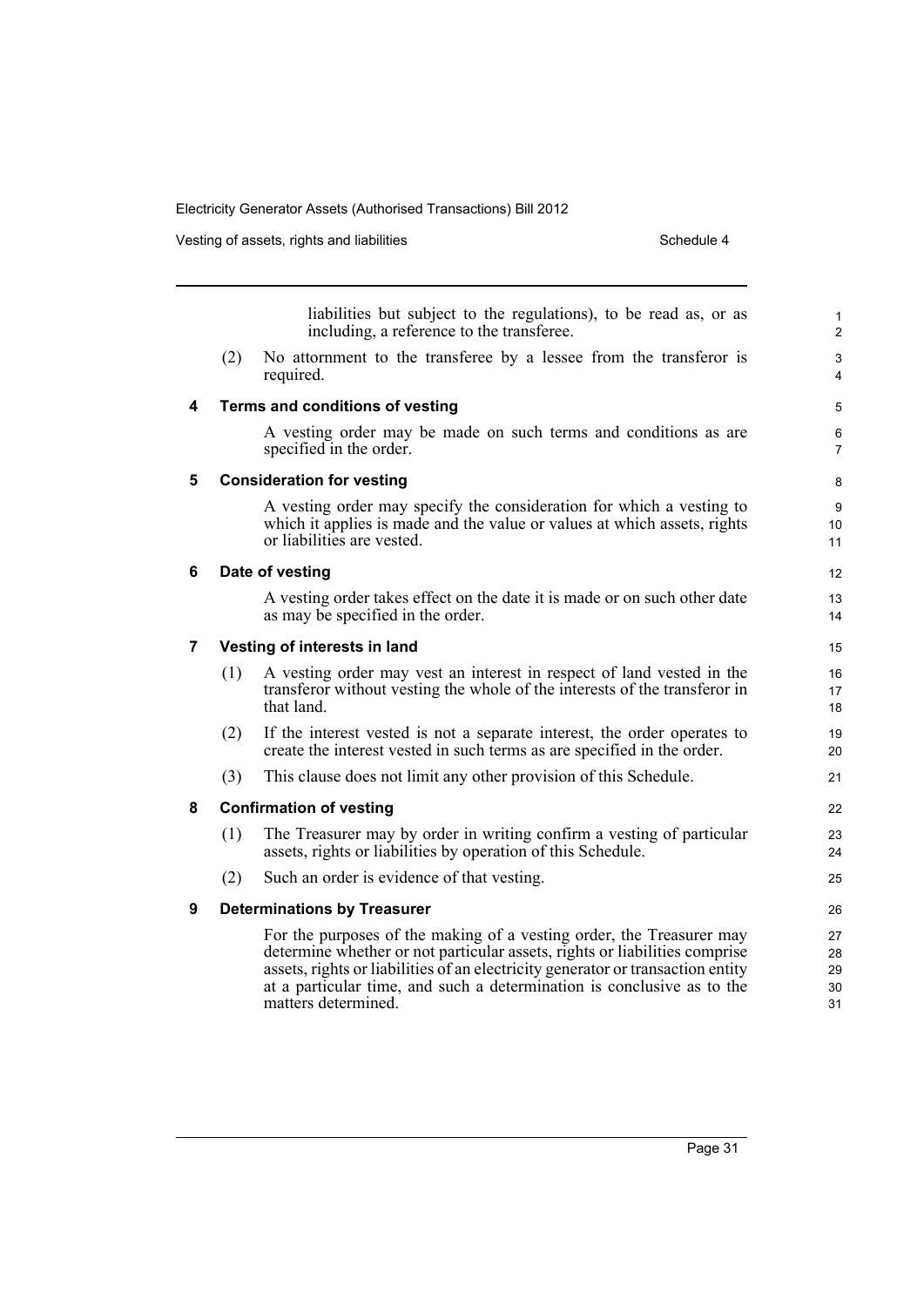|   |                              | Vesting of assets, rights and liabilities<br>Schedule 4                                                                                                                                                                                                                                                                                |  |  |  |  |  |
|---|------------------------------|----------------------------------------------------------------------------------------------------------------------------------------------------------------------------------------------------------------------------------------------------------------------------------------------------------------------------------------|--|--|--|--|--|
|   |                              |                                                                                                                                                                                                                                                                                                                                        |  |  |  |  |  |
|   |                              | liabilities but subject to the regulations), to be read as, or as<br>including, a reference to the transferee.                                                                                                                                                                                                                         |  |  |  |  |  |
|   | (2)                          | No attornment to the transferee by a lessee from the transferor is<br>required.                                                                                                                                                                                                                                                        |  |  |  |  |  |
| 4 |                              | Terms and conditions of vesting                                                                                                                                                                                                                                                                                                        |  |  |  |  |  |
|   |                              | A vesting order may be made on such terms and conditions as are<br>specified in the order.                                                                                                                                                                                                                                             |  |  |  |  |  |
| 5 |                              | <b>Consideration for vesting</b>                                                                                                                                                                                                                                                                                                       |  |  |  |  |  |
|   |                              | A vesting order may specify the consideration for which a vesting to                                                                                                                                                                                                                                                                   |  |  |  |  |  |
|   |                              | which it applies is made and the value or values at which assets, rights<br>or liabilities are vested.                                                                                                                                                                                                                                 |  |  |  |  |  |
| 6 |                              | Date of vesting                                                                                                                                                                                                                                                                                                                        |  |  |  |  |  |
|   |                              | A vesting order takes effect on the date it is made or on such other date<br>as may be specified in the order.                                                                                                                                                                                                                         |  |  |  |  |  |
| 7 | Vesting of interests in land |                                                                                                                                                                                                                                                                                                                                        |  |  |  |  |  |
|   | (1)                          | A vesting order may vest an interest in respect of land vested in the<br>transferor without vesting the whole of the interests of the transferor in<br>that land                                                                                                                                                                       |  |  |  |  |  |
|   | (2)                          | If the interest vested is not a separate interest, the order operates to<br>create the interest vested in such terms as are specified in the order.                                                                                                                                                                                    |  |  |  |  |  |
|   | (3)                          | This clause does not limit any other provision of this Schedule.                                                                                                                                                                                                                                                                       |  |  |  |  |  |
| 8 |                              | <b>Confirmation of vesting</b>                                                                                                                                                                                                                                                                                                         |  |  |  |  |  |
|   | (1)                          | The Treasurer may by order in writing confirm a vesting of particular<br>assets, rights or liabilities by operation of this Schedule.                                                                                                                                                                                                  |  |  |  |  |  |
|   | (2)                          | Such an order is evidence of that vesting.                                                                                                                                                                                                                                                                                             |  |  |  |  |  |
| 9 |                              | <b>Determinations by Treasurer</b>                                                                                                                                                                                                                                                                                                     |  |  |  |  |  |
|   |                              | For the purposes of the making of a vesting order, the Treasurer may<br>determine whether or not particular assets, rights or liabilities comprise<br>assets, rights or liabilities of an electricity generator or transaction entity<br>at a particular time, and such a determination is conclusive as to the<br>matters determined. |  |  |  |  |  |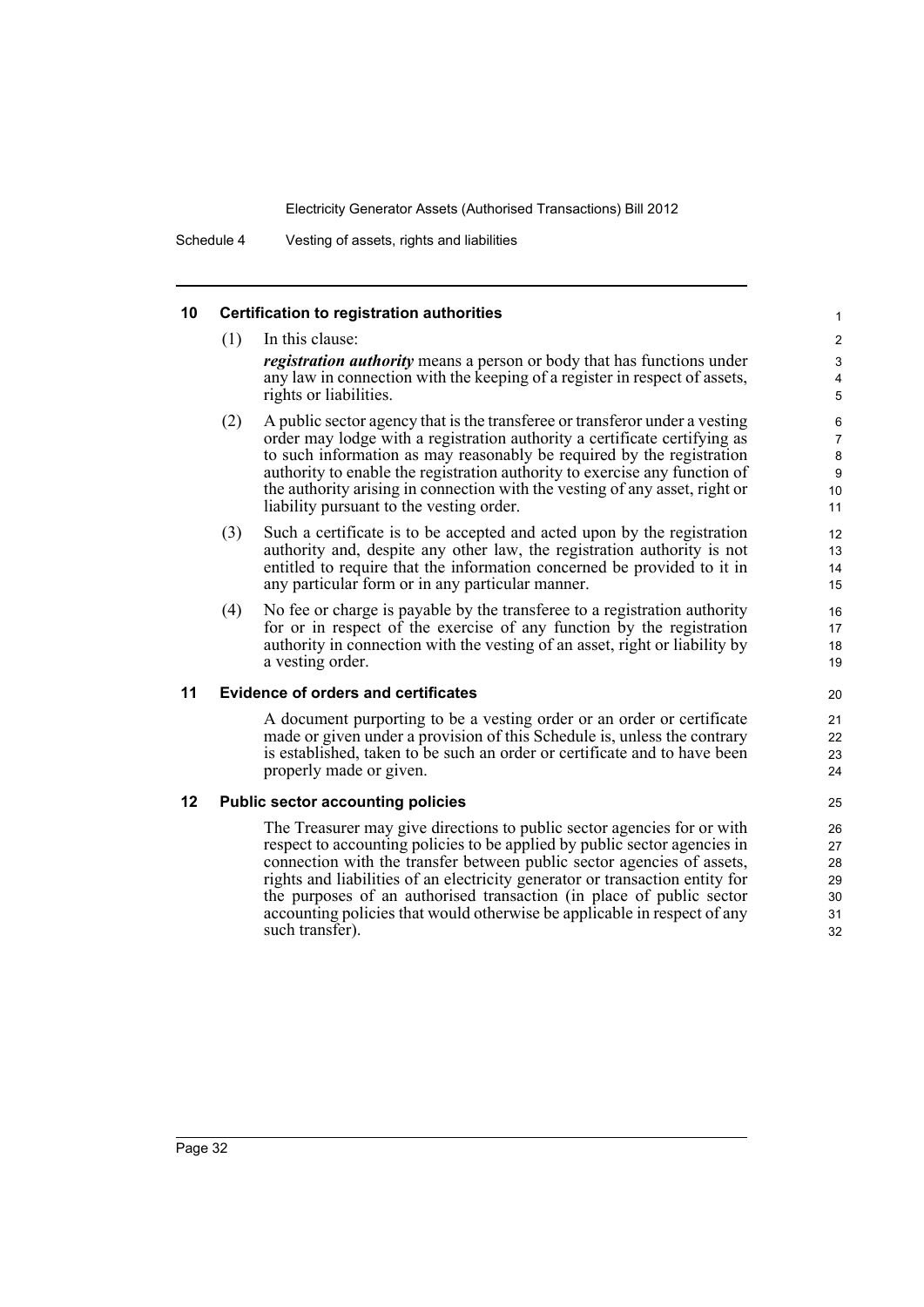Schedule 4 Vesting of assets, rights and liabilities

#### **10 Certification to registration authorities**

(1) In this clause: *registration authority* means a person or body that has functions under any law in connection with the keeping of a register in respect of assets, rights or liabilities. (2) A public sector agency that is the transferee or transferor under a vesting order may lodge with a registration authority a certificate certifying as to such information as may reasonably be required by the registration authority to enable the registration authority to exercise any function of the authority arising in connection with the vesting of any asset, right or liability pursuant to the vesting order. (3) Such a certificate is to be accepted and acted upon by the registration authority and, despite any other law, the registration authority is not entitled to require that the information concerned be provided to it in any particular form or in any particular manner. (4) No fee or charge is payable by the transferee to a registration authority for or in respect of the exercise of any function by the registration authority in connection with the vesting of an asset, right or liability by a vesting order. **11 Evidence of orders and certificates** A document purporting to be a vesting order or an order or certificate made or given under a provision of this Schedule is, unless the contrary is established, taken to be such an order or certificate and to have been properly made or given. 2 3 4 5 6 7 8 9  $10$ 11 12 13 14 15 16 17 18 19 20 21 22 23 24 25

1

#### **12 Public sector accounting policies**

The Treasurer may give directions to public sector agencies for or with respect to accounting policies to be applied by public sector agencies in connection with the transfer between public sector agencies of assets, rights and liabilities of an electricity generator or transaction entity for the purposes of an authorised transaction (in place of public sector accounting policies that would otherwise be applicable in respect of any such transfer).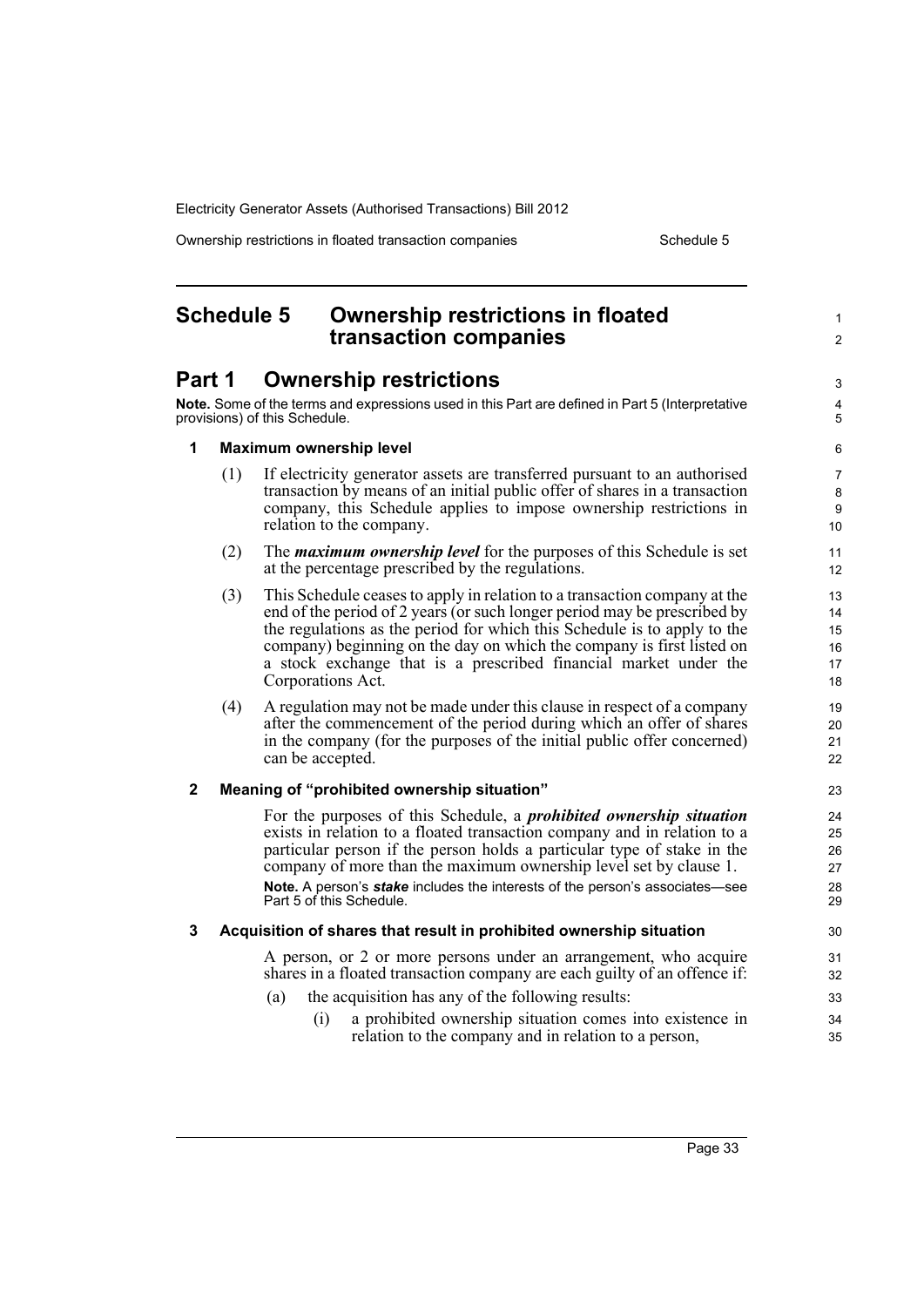Ownership restrictions in floated transaction companies Schedule 5

# <span id="page-42-0"></span>**Schedule 5 Ownership restrictions in floated transaction companies**

# **Part 1 Ownership restrictions**

**Note.** Some of the terms and expressions used in this Part are defined in Part 5 (Interpretative provisions) of this Schedule.

5 6

3 4

1  $\mathfrak{p}$ 

#### **1 Maximum ownership level**

- (1) If electricity generator assets are transferred pursuant to an authorised transaction by means of an initial public offer of shares in a transaction company, this Schedule applies to impose ownership restrictions in relation to the company.
- (2) The *maximum ownership level* for the purposes of this Schedule is set at the percentage prescribed by the regulations.
- (3) This Schedule ceases to apply in relation to a transaction company at the end of the period of 2 years (or such longer period may be prescribed by the regulations as the period for which this Schedule is to apply to the company) beginning on the day on which the company is first listed on a stock exchange that is a prescribed financial market under the Corporations Act.
- (4) A regulation may not be made under this clause in respect of a company after the commencement of the period during which an offer of shares in the company (for the purposes of the initial public offer concerned) can be accepted.

#### **2 Meaning of "prohibited ownership situation"**

For the purposes of this Schedule, a *prohibited ownership situation* exists in relation to a floated transaction company and in relation to a particular person if the person holds a particular type of stake in the company of more than the maximum ownership level set by clause 1. **Note.** A person's *stake* includes the interests of the person's associates—see Part 5 of this Schedule.

#### **3 Acquisition of shares that result in prohibited ownership situation**

A person, or 2 or more persons under an arrangement, who acquire shares in a floated transaction company are each guilty of an offence if:

- (a) the acquisition has any of the following results:
	- (i) a prohibited ownership situation comes into existence in relation to the company and in relation to a person,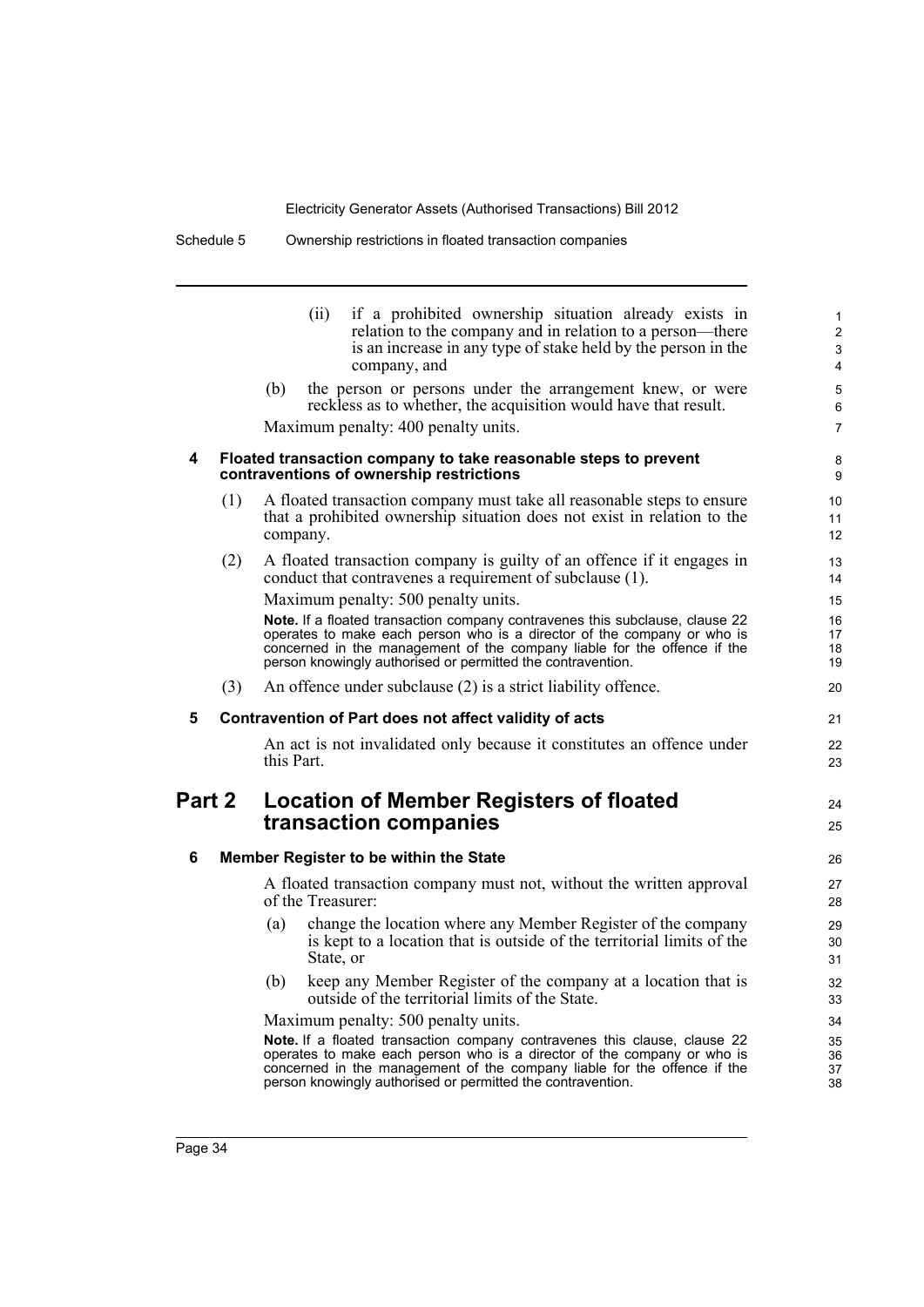|        |     | if a prohibited ownership situation already exists in<br>(ii)<br>relation to the company and in relation to a person—there<br>is an increase in any type of stake held by the person in the<br>company, and                                                                                                                            | 1<br>$\overline{2}$<br>3<br>4            |
|--------|-----|----------------------------------------------------------------------------------------------------------------------------------------------------------------------------------------------------------------------------------------------------------------------------------------------------------------------------------------|------------------------------------------|
|        |     | (b)<br>the person or persons under the arrangement knew, or were<br>reckless as to whether, the acquisition would have that result.<br>Maximum penalty: 400 penalty units.                                                                                                                                                             | 5<br>6<br>$\overline{7}$                 |
| 4      |     | Floated transaction company to take reasonable steps to prevent<br>contraventions of ownership restrictions                                                                                                                                                                                                                            | 8<br>9                                   |
|        | (1) | A floated transaction company must take all reasonable steps to ensure<br>that a prohibited ownership situation does not exist in relation to the<br>company.                                                                                                                                                                          | 10 <sup>1</sup><br>11<br>12 <sup>2</sup> |
|        | (2) | A floated transaction company is guilty of an offence if it engages in<br>conduct that contravenes a requirement of subclause (1).                                                                                                                                                                                                     | 13<br>14                                 |
|        |     | Maximum penalty: 500 penalty units.                                                                                                                                                                                                                                                                                                    | 15                                       |
|        |     | Note. If a floated transaction company contravenes this subclause, clause 22<br>operates to make each person who is a director of the company or who is<br>concerned in the management of the company liable for the offence if the<br>person knowingly authorised or permitted the contravention.                                     | 16<br>17<br>18<br>19                     |
|        | (3) | An offence under subclause (2) is a strict liability offence.                                                                                                                                                                                                                                                                          | 20                                       |
| 5      |     | Contravention of Part does not affect validity of acts                                                                                                                                                                                                                                                                                 | 21                                       |
|        |     | An act is not invalidated only because it constitutes an offence under<br>this Part.                                                                                                                                                                                                                                                   | 22<br>23                                 |
| Part 2 |     | <b>Location of Member Registers of floated</b><br>transaction companies                                                                                                                                                                                                                                                                | 24<br>25                                 |
| 6      |     | Member Register to be within the State                                                                                                                                                                                                                                                                                                 | 26                                       |
|        |     | A floated transaction company must not, without the written approval<br>of the Treasurer:                                                                                                                                                                                                                                              | 27<br>28                                 |
|        |     | change the location where any Member Register of the company<br>(a)<br>is kept to a location that is outside of the territorial limits of the<br>State, or                                                                                                                                                                             | 29<br>30<br>31                           |
|        |     |                                                                                                                                                                                                                                                                                                                                        | 32                                       |
|        |     | keep any Member Register of the company at a location that is<br>(b)<br>outside of the territorial limits of the State.                                                                                                                                                                                                                | 33                                       |
|        |     |                                                                                                                                                                                                                                                                                                                                        | 34                                       |
|        |     | Maximum penalty: 500 penalty units.<br>Note. If a floated transaction company contravenes this clause, clause 22<br>operates to make each person who is a director of the company or who is<br>concerned in the management of the company liable for the offence if the<br>person knowingly authorised or permitted the contravention. | 35<br>36<br>37<br>38                     |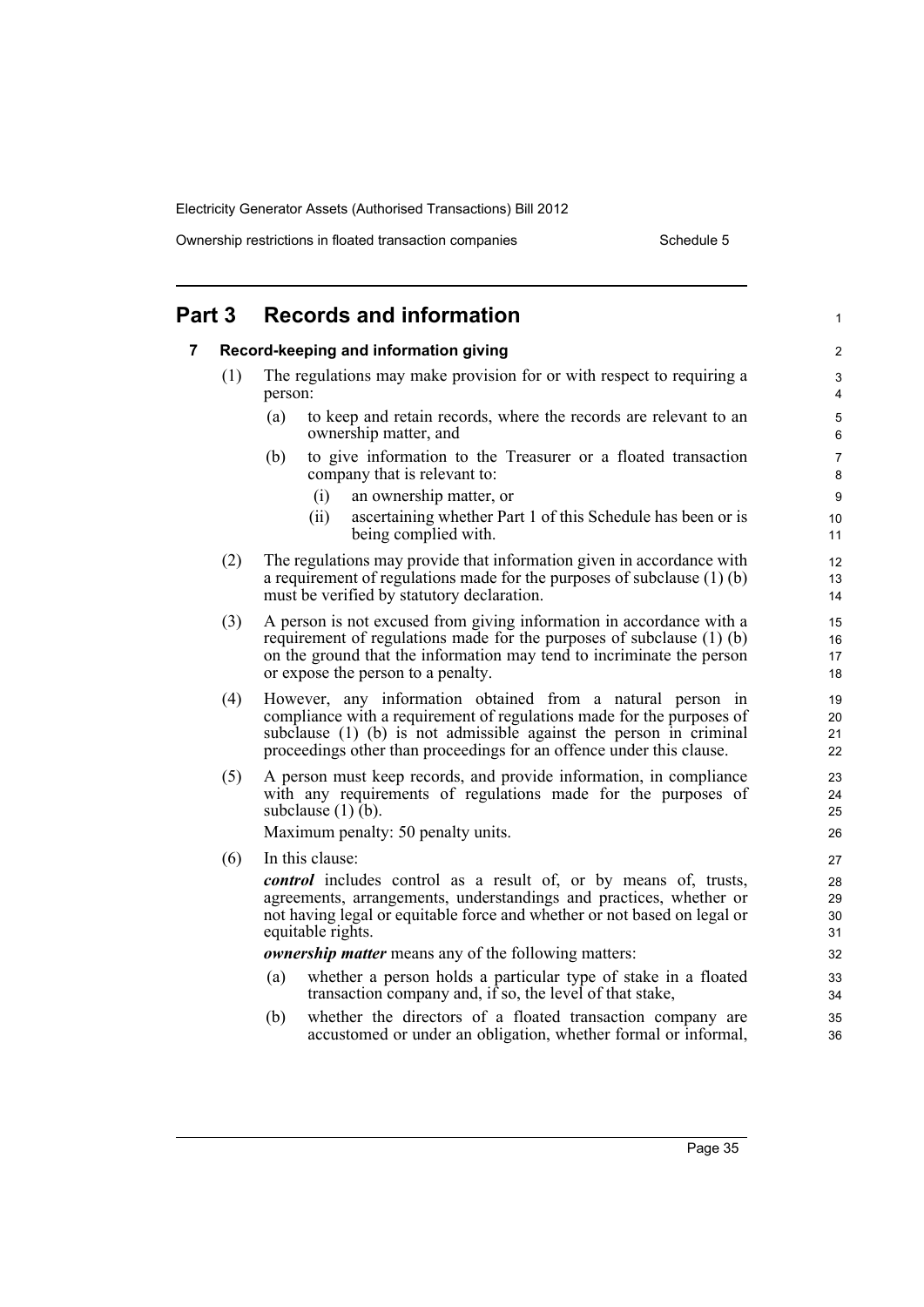Ownership restrictions in floated transaction companies Schedule 5

| Part 3 | <b>Records and information</b>                                                                                                                                                                                                                                                    | 1                    |
|--------|-----------------------------------------------------------------------------------------------------------------------------------------------------------------------------------------------------------------------------------------------------------------------------------|----------------------|
| 7      | Record-keeping and information giving                                                                                                                                                                                                                                             | $\overline{2}$       |
| (1)    | The regulations may make provision for or with respect to requiring a<br>person:                                                                                                                                                                                                  | 3<br>4               |
|        | to keep and retain records, where the records are relevant to an<br>(a)<br>ownership matter, and                                                                                                                                                                                  | 5<br>6               |
|        | to give information to the Treasurer or a floated transaction<br>(b)<br>company that is relevant to:                                                                                                                                                                              | 7<br>8               |
|        | (i)<br>an ownership matter, or                                                                                                                                                                                                                                                    | 9                    |
|        | ascertaining whether Part 1 of this Schedule has been or is<br>(ii)<br>being complied with.                                                                                                                                                                                       | 10<br>11             |
| (2)    | The regulations may provide that information given in accordance with<br>a requirement of regulations made for the purposes of subclause $(1)$ (b)<br>must be verified by statutory declaration.                                                                                  | 12<br>13<br>14       |
| (3)    | A person is not excused from giving information in accordance with a<br>requirement of regulations made for the purposes of subclause (1) (b)<br>on the ground that the information may tend to incriminate the person<br>or expose the person to a penalty.                      | 15<br>16<br>17<br>18 |
| (4)    | However, any information obtained from a natural person in<br>compliance with a requirement of regulations made for the purposes of<br>subclause (1) (b) is not admissible against the person in criminal<br>proceedings other than proceedings for an offence under this clause. | 19<br>20<br>21<br>22 |
| (5)    | A person must keep records, and provide information, in compliance<br>with any requirements of regulations made for the purposes of<br>subclause $(1)$ (b).                                                                                                                       | 23<br>24<br>25       |
|        | Maximum penalty: 50 penalty units.                                                                                                                                                                                                                                                | 26                   |
| (6)    | In this clause:                                                                                                                                                                                                                                                                   | 27                   |
|        | <i>control</i> includes control as a result of, or by means of, trusts,<br>agreements, arrangements, understandings and practices, whether or<br>not having legal or equitable force and whether or not based on legal or<br>equitable rights.                                    | 28<br>29<br>30<br>31 |
|        | <b><i>ownership matter</i></b> means any of the following matters:                                                                                                                                                                                                                | 32                   |
|        | (a)<br>whether a person holds a particular type of stake in a floated<br>transaction company and, if so, the level of that stake,                                                                                                                                                 | 33<br>34             |
|        | (b)<br>whether the directors of a floated transaction company are<br>accustomed or under an obligation, whether formal or informal,                                                                                                                                               | 35<br>36             |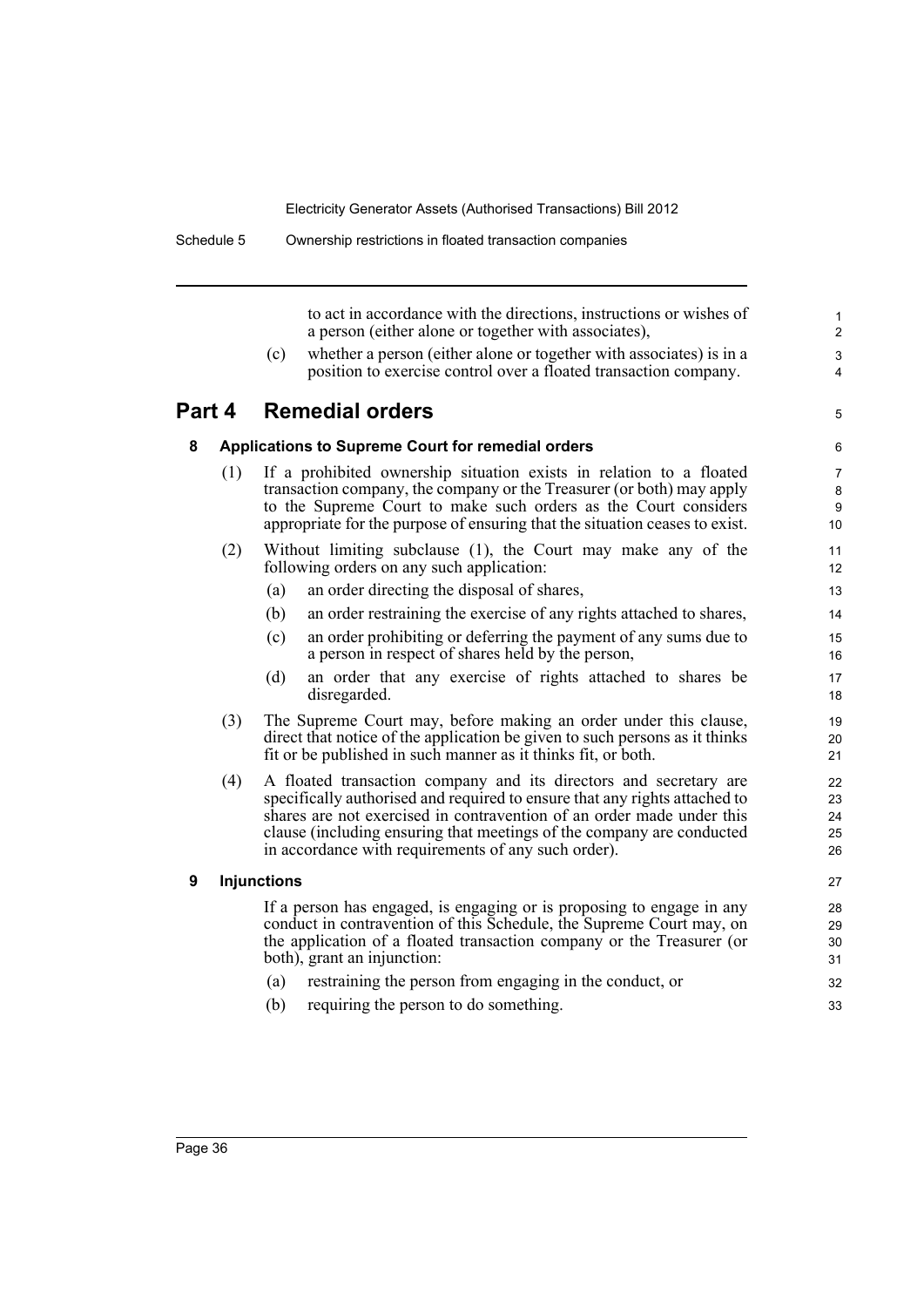**8 Applications to Supreme Court for remedial orders**

to act in accordance with the directions, instructions or wishes of a person (either alone or together with associates),

(c) whether a person (either alone or together with associates) is in a position to exercise control over a floated transaction company.

### **Part 4 Remedial orders**

5 6

#### (1) If a prohibited ownership situation exists in relation to a floated transaction company, the company or the Treasurer (or both) may apply to the Supreme Court to make such orders as the Court considers appropriate for the purpose of ensuring that the situation ceases to exist.

- (2) Without limiting subclause (1), the Court may make any of the following orders on any such application:
	- (a) an order directing the disposal of shares,
	- (b) an order restraining the exercise of any rights attached to shares,
	- (c) an order prohibiting or deferring the payment of any sums due to a person in respect of shares held by the person,
	- (d) an order that any exercise of rights attached to shares be disregarded.
- (3) The Supreme Court may, before making an order under this clause, direct that notice of the application be given to such persons as it thinks fit or be published in such manner as it thinks fit, or both.
- (4) A floated transaction company and its directors and secretary are specifically authorised and required to ensure that any rights attached to shares are not exercised in contravention of an order made under this clause (including ensuring that meetings of the company are conducted in accordance with requirements of any such order).

#### **9 Injunctions**

If a person has engaged, is engaging or is proposing to engage in any conduct in contravention of this Schedule, the Supreme Court may, on the application of a floated transaction company or the Treasurer (or both), grant an injunction:

- (a) restraining the person from engaging in the conduct, or
- (b) requiring the person to do something.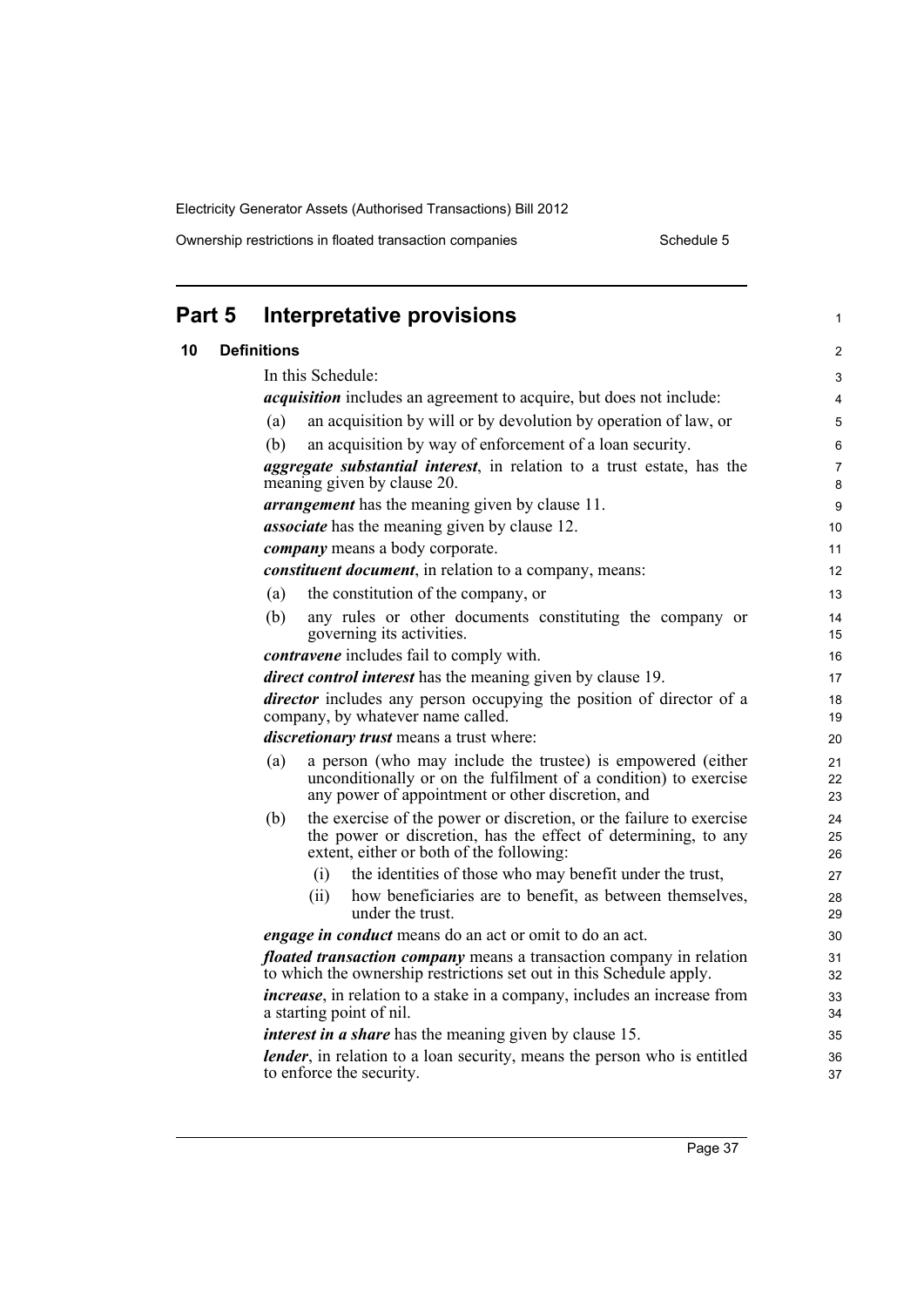Ownership restrictions in floated transaction companies Schedule 5

|    | Part 5 | <b>Interpretative provisions</b>                                                                                                                                                            | 1              |
|----|--------|---------------------------------------------------------------------------------------------------------------------------------------------------------------------------------------------|----------------|
| 10 |        | <b>Definitions</b>                                                                                                                                                                          | 2              |
|    |        | In this Schedule:                                                                                                                                                                           | 3              |
|    |        | <i>acquisition</i> includes an agreement to acquire, but does not include:                                                                                                                  | 4              |
|    |        | an acquisition by will or by devolution by operation of law, or<br>(a)                                                                                                                      | 5              |
|    |        | an acquisition by way of enforcement of a loan security.<br>(b)                                                                                                                             | 6              |
|    |        | <i>aggregate substantial interest</i> , in relation to a trust estate, has the<br>meaning given by clause 20.                                                                               | 7<br>8         |
|    |        | <i>arrangement</i> has the meaning given by clause 11.                                                                                                                                      | 9              |
|    |        | <i>associate</i> has the meaning given by clause 12.                                                                                                                                        | 10             |
|    |        | <i>company</i> means a body corporate.                                                                                                                                                      | 11             |
|    |        | constituent document, in relation to a company, means:                                                                                                                                      | 12             |
|    |        | the constitution of the company, or<br>(a)                                                                                                                                                  | 13             |
|    |        | (b)<br>any rules or other documents constituting the company or<br>governing its activities.                                                                                                | 14<br>15       |
|    |        | <i>contravene</i> includes fail to comply with.                                                                                                                                             | 16             |
|    |        | direct control interest has the meaning given by clause 19.                                                                                                                                 | 17             |
|    |        | <i>director</i> includes any person occupying the position of director of a<br>company, by whatever name called.                                                                            | 18<br>19       |
|    |        | discretionary trust means a trust where:                                                                                                                                                    | 20             |
|    |        | a person (who may include the trustee) is empowered (either<br>(a)<br>unconditionally or on the fulfilment of a condition) to exercise<br>any power of appointment or other discretion, and | 21<br>22<br>23 |
|    |        | the exercise of the power or discretion, or the failure to exercise<br>(b)<br>the power or discretion, has the effect of determining, to any<br>extent, either or both of the following:    | 24<br>25<br>26 |
|    |        | the identities of those who may benefit under the trust,<br>(i)                                                                                                                             | 27             |
|    |        | how beneficiaries are to benefit, as between themselves,<br>(ii)<br>under the trust.                                                                                                        | 28<br>29       |
|    |        | <i>engage in conduct</i> means do an act or omit to do an act.                                                                                                                              | 30             |
|    |        | <i>floated transaction company</i> means a transaction company in relation<br>to which the ownership restrictions set out in this Schedule apply.                                           | 31<br>32       |
|    |        | <i>increase</i> , in relation to a stake in a company, includes an increase from<br>a starting point of nil.                                                                                | 33<br>34       |
|    |        | <i>interest in a share</i> has the meaning given by clause 15.                                                                                                                              | 35             |
|    |        | <i>lender</i> , in relation to a loan security, means the person who is entitled<br>to enforce the security.                                                                                | 36<br>37       |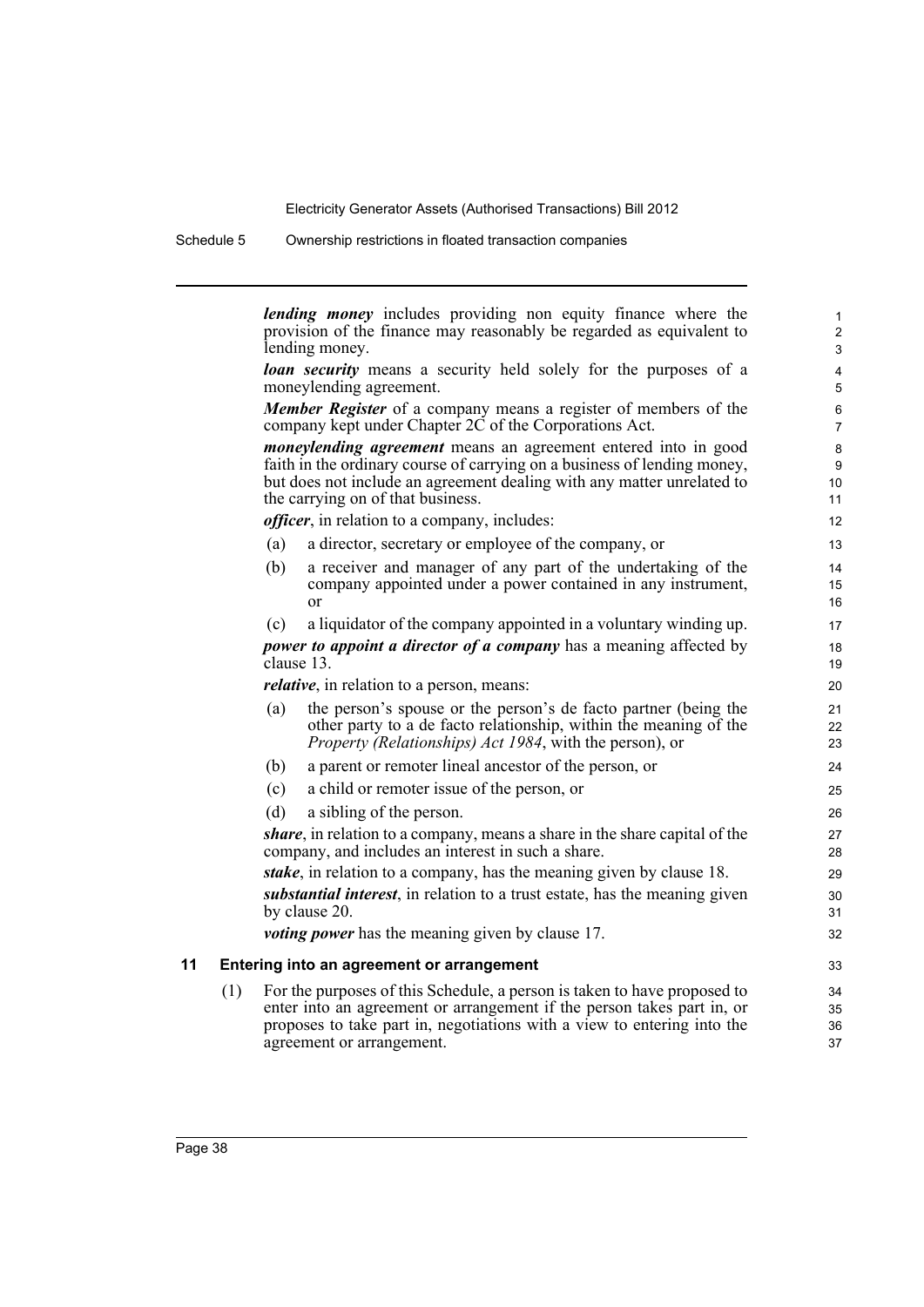Schedule 5 Ownership restrictions in floated transaction companies

*lending money* includes providing non equity finance where the provision of the finance may reasonably be regarded as equivalent to lending money. *loan security* means a security held solely for the purposes of a moneylending agreement. *Member Register* of a company means a register of members of the company kept under Chapter 2C of the Corporations Act. *moneylending agreement* means an agreement entered into in good faith in the ordinary course of carrying on a business of lending money, but does not include an agreement dealing with any matter unrelated to the carrying on of that business. *officer*, in relation to a company, includes: (a) a director, secretary or employee of the company, or (b) a receiver and manager of any part of the undertaking of the company appointed under a power contained in any instrument, or (c) a liquidator of the company appointed in a voluntary winding up. *power to appoint a director of a company* has a meaning affected by clause 13. *relative*, in relation to a person, means: (a) the person's spouse or the person's de facto partner (being the other party to a de facto relationship, within the meaning of the *Property (Relationships) Act 1984*, with the person), or (b) a parent or remoter lineal ancestor of the person, or (c) a child or remoter issue of the person, or (d) a sibling of the person. *share*, in relation to a company, means a share in the share capital of the company, and includes an interest in such a share. *stake*, in relation to a company, has the meaning given by clause 18. *substantial interest*, in relation to a trust estate, has the meaning given by clause 20. *voting power* has the meaning given by clause 17. **11 Entering into an agreement or arrangement** (1) For the purposes of this Schedule, a person is taken to have proposed to enter into an agreement or arrangement if the person takes part in, or proposes to take part in, negotiations with a view to entering into the agreement or arrangement. 1  $\overline{2}$ 3 4 5 6 7 8 9 10 11 12 13 14 15 16 17 18 19  $20$  $21$ 22 23 24 25 26 27 28 29 30 31 32 33 34 35 36 37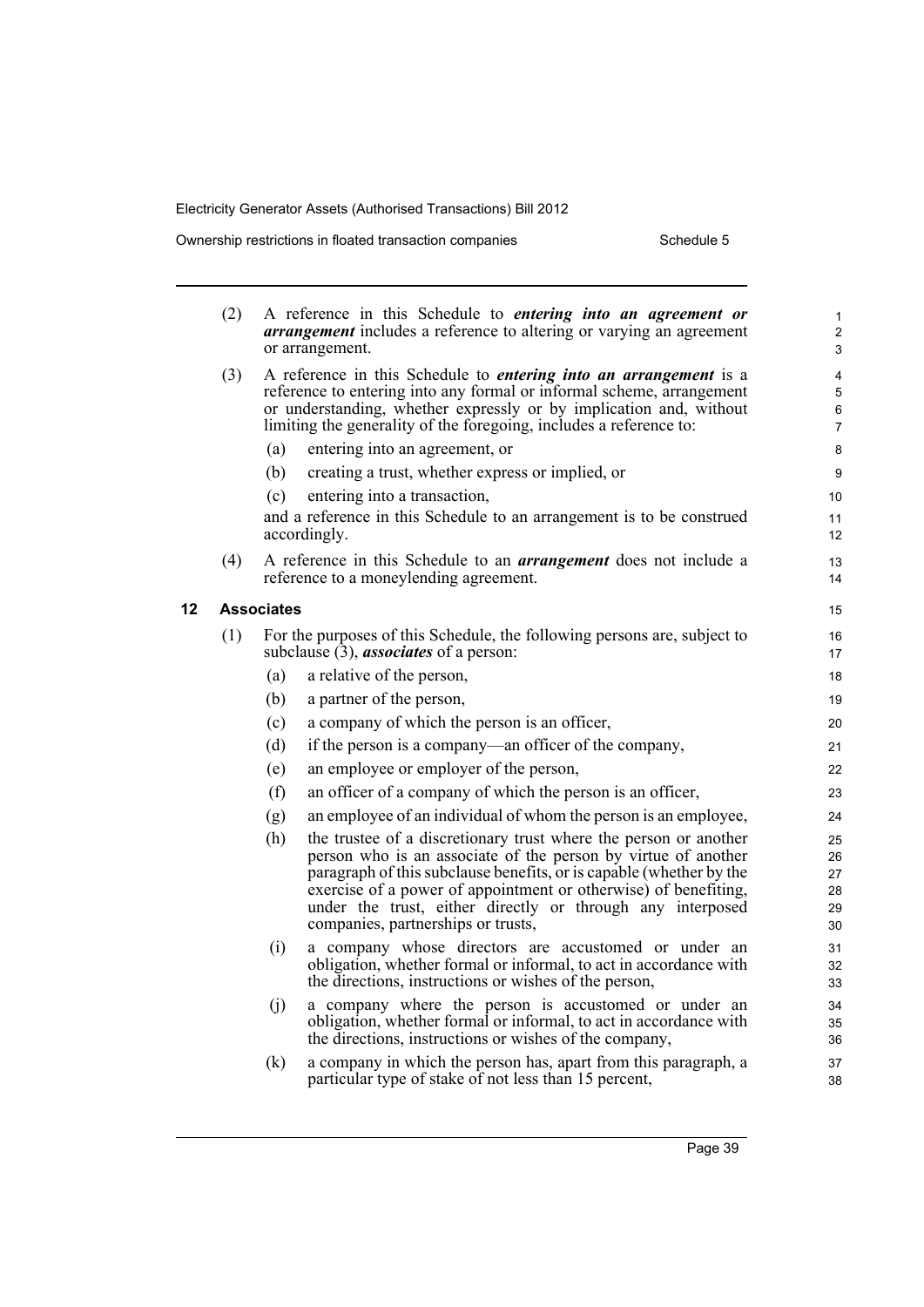**12 Associates**

| (2) |                   | A reference in this Schedule to <i>entering into an agreement or</i><br><b>arrangement</b> includes a reference to altering or varying an agreement<br>or arrangement.                                                                                                                                                                                                          | $\mathbf{1}$<br>$\overline{c}$<br>3    |
|-----|-------------------|---------------------------------------------------------------------------------------------------------------------------------------------------------------------------------------------------------------------------------------------------------------------------------------------------------------------------------------------------------------------------------|----------------------------------------|
| (3) |                   | A reference in this Schedule to <i>entering into an arrangement</i> is a<br>reference to entering into any formal or informal scheme, arrangement<br>or understanding, whether expressly or by implication and, without<br>limiting the generality of the foregoing, includes a reference to:                                                                                   | $\overline{\mathbf{4}}$<br>5<br>6<br>7 |
|     | (a)               | entering into an agreement, or                                                                                                                                                                                                                                                                                                                                                  | 8                                      |
|     | (b)               | creating a trust, whether express or implied, or                                                                                                                                                                                                                                                                                                                                | 9                                      |
|     | (c)               | entering into a transaction,                                                                                                                                                                                                                                                                                                                                                    | 10                                     |
|     |                   | and a reference in this Schedule to an arrangement is to be construed<br>accordingly.                                                                                                                                                                                                                                                                                           | 11<br>12                               |
| (4) |                   | A reference in this Schedule to an <i>arrangement</i> does not include a<br>reference to a moneylending agreement.                                                                                                                                                                                                                                                              | 13<br>14                               |
|     | <b>Associates</b> |                                                                                                                                                                                                                                                                                                                                                                                 | 15                                     |
| (1) |                   | For the purposes of this Schedule, the following persons are, subject to<br>subclause $(3)$ , <i>associates</i> of a person:                                                                                                                                                                                                                                                    | 16<br>17                               |
|     | (a)               | a relative of the person,                                                                                                                                                                                                                                                                                                                                                       | 18                                     |
|     | (b)               | a partner of the person,                                                                                                                                                                                                                                                                                                                                                        | 19                                     |
|     | (c)               | a company of which the person is an officer,                                                                                                                                                                                                                                                                                                                                    | 20                                     |
|     | (d)               | if the person is a company—an officer of the company,                                                                                                                                                                                                                                                                                                                           | 21                                     |
|     | (e)               | an employee or employer of the person,                                                                                                                                                                                                                                                                                                                                          | 22                                     |
|     | (f)               | an officer of a company of which the person is an officer,                                                                                                                                                                                                                                                                                                                      | 23                                     |
|     | (g)               | an employee of an individual of whom the person is an employee,                                                                                                                                                                                                                                                                                                                 | 24                                     |
|     | (h)               | the trustee of a discretionary trust where the person or another<br>person who is an associate of the person by virtue of another<br>paragraph of this subclause benefits, or is capable (whether by the<br>exercise of a power of appointment or otherwise) of benefiting,<br>under the trust, either directly or through any interposed<br>companies, partnerships or trusts, | 25<br>26<br>27<br>28<br>29<br>30       |
|     | (i)               | a company whose directors are accustomed or under an<br>obligation, whether formal or informal, to act in accordance with<br>the directions, instructions or wishes of the person,                                                                                                                                                                                              | 31<br>32<br>33                         |
|     | (i)               | a company where the person is accustomed or under an<br>obligation, whether formal or informal, to act in accordance with<br>the directions, instructions or wishes of the company,                                                                                                                                                                                             | 34<br>35<br>36                         |
|     | (k)               | a company in which the person has, apart from this paragraph, a<br>particular type of stake of not less than 15 percent,                                                                                                                                                                                                                                                        | 37<br>38                               |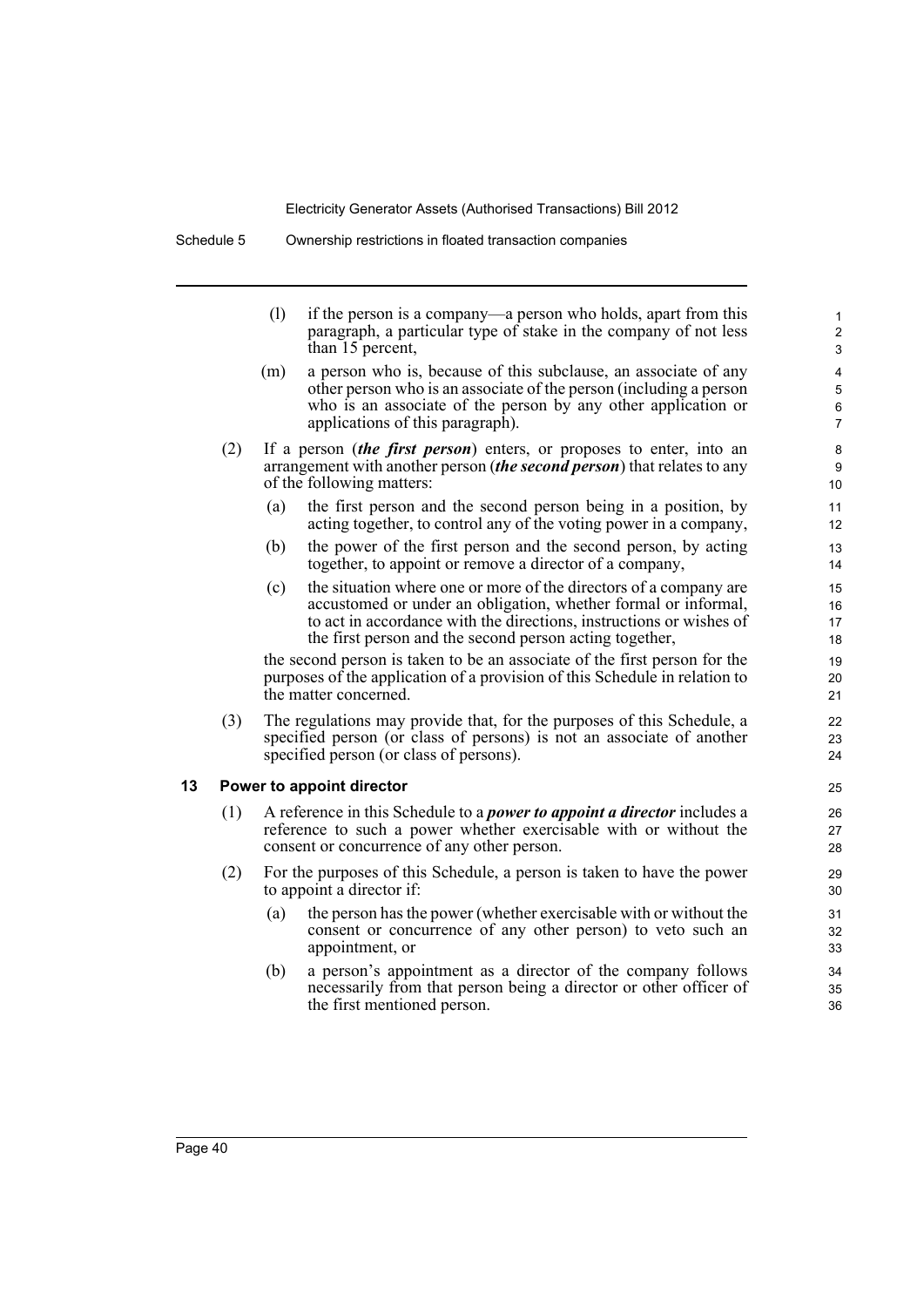|     | (1) | if the person is a company—a person who holds, apart from this<br>paragraph, a particular type of stake in the company of not less<br>than 15 percent,                                                                                                                | $\mathbf{1}$<br>$\overline{c}$<br>3                                                                                                                                                                                                                                                                                                                                                                                                                                                                                                                                                                                                                                                                                                                                                                       |
|-----|-----|-----------------------------------------------------------------------------------------------------------------------------------------------------------------------------------------------------------------------------------------------------------------------|-----------------------------------------------------------------------------------------------------------------------------------------------------------------------------------------------------------------------------------------------------------------------------------------------------------------------------------------------------------------------------------------------------------------------------------------------------------------------------------------------------------------------------------------------------------------------------------------------------------------------------------------------------------------------------------------------------------------------------------------------------------------------------------------------------------|
|     | (m) | a person who is, because of this subclause, an associate of any<br>other person who is an associate of the person (including a person<br>who is an associate of the person by any other application or<br>applications of this paragraph).                            | 4<br>5<br>6<br>$\overline{7}$                                                                                                                                                                                                                                                                                                                                                                                                                                                                                                                                                                                                                                                                                                                                                                             |
| (2) |     |                                                                                                                                                                                                                                                                       | 8<br>9<br>10                                                                                                                                                                                                                                                                                                                                                                                                                                                                                                                                                                                                                                                                                                                                                                                              |
|     | (a) | the first person and the second person being in a position, by<br>acting together, to control any of the voting power in a company,                                                                                                                                   | 11<br>12                                                                                                                                                                                                                                                                                                                                                                                                                                                                                                                                                                                                                                                                                                                                                                                                  |
|     | (b) | the power of the first person and the second person, by acting<br>together, to appoint or remove a director of a company,                                                                                                                                             | 13<br>14                                                                                                                                                                                                                                                                                                                                                                                                                                                                                                                                                                                                                                                                                                                                                                                                  |
|     | (c) | the situation where one or more of the directors of a company are<br>accustomed or under an obligation, whether formal or informal,<br>to act in accordance with the directions, instructions or wishes of<br>the first person and the second person acting together, | 15<br>16<br>17<br>18                                                                                                                                                                                                                                                                                                                                                                                                                                                                                                                                                                                                                                                                                                                                                                                      |
|     |     |                                                                                                                                                                                                                                                                       | 19<br>20<br>21                                                                                                                                                                                                                                                                                                                                                                                                                                                                                                                                                                                                                                                                                                                                                                                            |
| (3) |     |                                                                                                                                                                                                                                                                       | 22<br>23<br>24                                                                                                                                                                                                                                                                                                                                                                                                                                                                                                                                                                                                                                                                                                                                                                                            |
|     |     |                                                                                                                                                                                                                                                                       | 25                                                                                                                                                                                                                                                                                                                                                                                                                                                                                                                                                                                                                                                                                                                                                                                                        |
| (1) |     |                                                                                                                                                                                                                                                                       | 26<br>27<br>28                                                                                                                                                                                                                                                                                                                                                                                                                                                                                                                                                                                                                                                                                                                                                                                            |
|     |     |                                                                                                                                                                                                                                                                       | If a person <i>(the first person)</i> enters, or proposes to enter, into an<br>arrangement with another person (the second person) that relates to any<br>of the following matters:<br>the second person is taken to be an associate of the first person for the<br>purposes of the application of a provision of this Schedule in relation to<br>the matter concerned.<br>The regulations may provide that, for the purposes of this Schedule, a<br>specified person (or class of persons) is not an associate of another<br>specified person (or class of persons).<br>Power to appoint director<br>A reference in this Schedule to a <i>power to appoint a director</i> includes a<br>reference to such a power whether exercisable with or without the<br>consent or concurrence of any other person. |

- (2) For the purposes of this Schedule, a person is taken to have the power to appoint a director if:
	- (a) the person has the power (whether exercisable with or without the consent or concurrence of any other person) to veto such an appointment, or
	- (b) a person's appointment as a director of the company follows necessarily from that person being a director or other officer of the first mentioned person.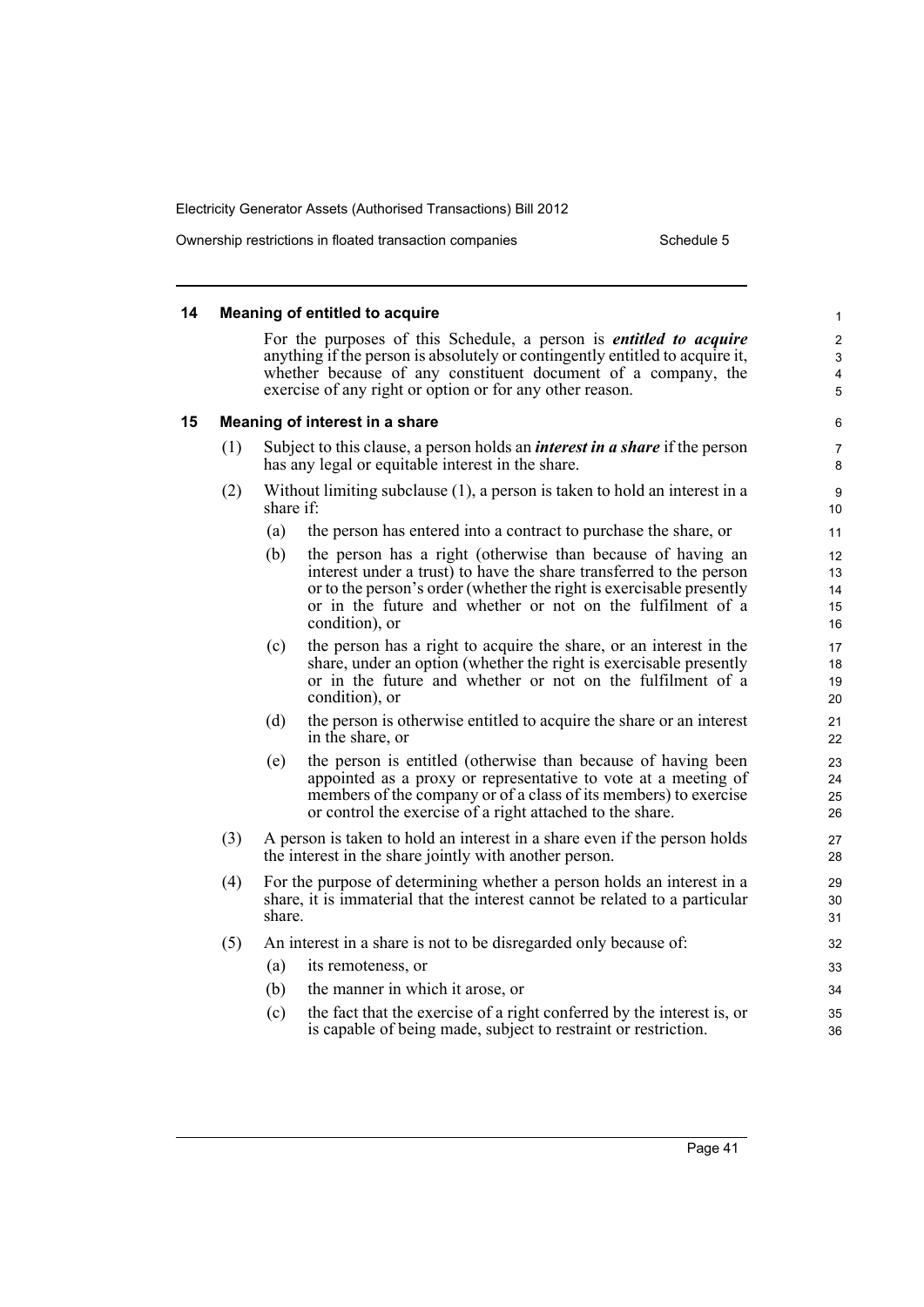Ownership restrictions in floated transaction companies Schedule 5

#### **14 Meaning of entitled to acquire** For the purposes of this Schedule, a person is *entitled to acquire* anything if the person is absolutely or contingently entitled to acquire it, whether because of any constituent document of a company, the exercise of any right or option or for any other reason. **15 Meaning of interest in a share** (1) Subject to this clause, a person holds an *interest in a share* if the person has any legal or equitable interest in the share. (2) Without limiting subclause (1), a person is taken to hold an interest in a share if: (a) the person has entered into a contract to purchase the share, or (b) the person has a right (otherwise than because of having an interest under a trust) to have the share transferred to the person or to the person's order (whether the right is exercisable presently or in the future and whether or not on the fulfilment of a condition), or (c) the person has a right to acquire the share, or an interest in the share, under an option (whether the right is exercisable presently or in the future and whether or not on the fulfilment of a condition), or (d) the person is otherwise entitled to acquire the share or an interest in the share, or (e) the person is entitled (otherwise than because of having been appointed as a proxy or representative to vote at a meeting of members of the company or of a class of its members) to exercise or control the exercise of a right attached to the share. (3) A person is taken to hold an interest in a share even if the person holds the interest in the share jointly with another person. (4) For the purpose of determining whether a person holds an interest in a share, it is immaterial that the interest cannot be related to a particular share. (5) An interest in a share is not to be disregarded only because of: (a) its remoteness, or (b) the manner in which it arose, or (c) the fact that the exercise of a right conferred by the interest is, or is capable of being made, subject to restraint or restriction. 1 2 3 4 5 6 7 8 9 10 11 12 13 14 15 16 17 18 19 20 21 22 23 24 25 26 27 28 29 30 31 32 33 34 35 36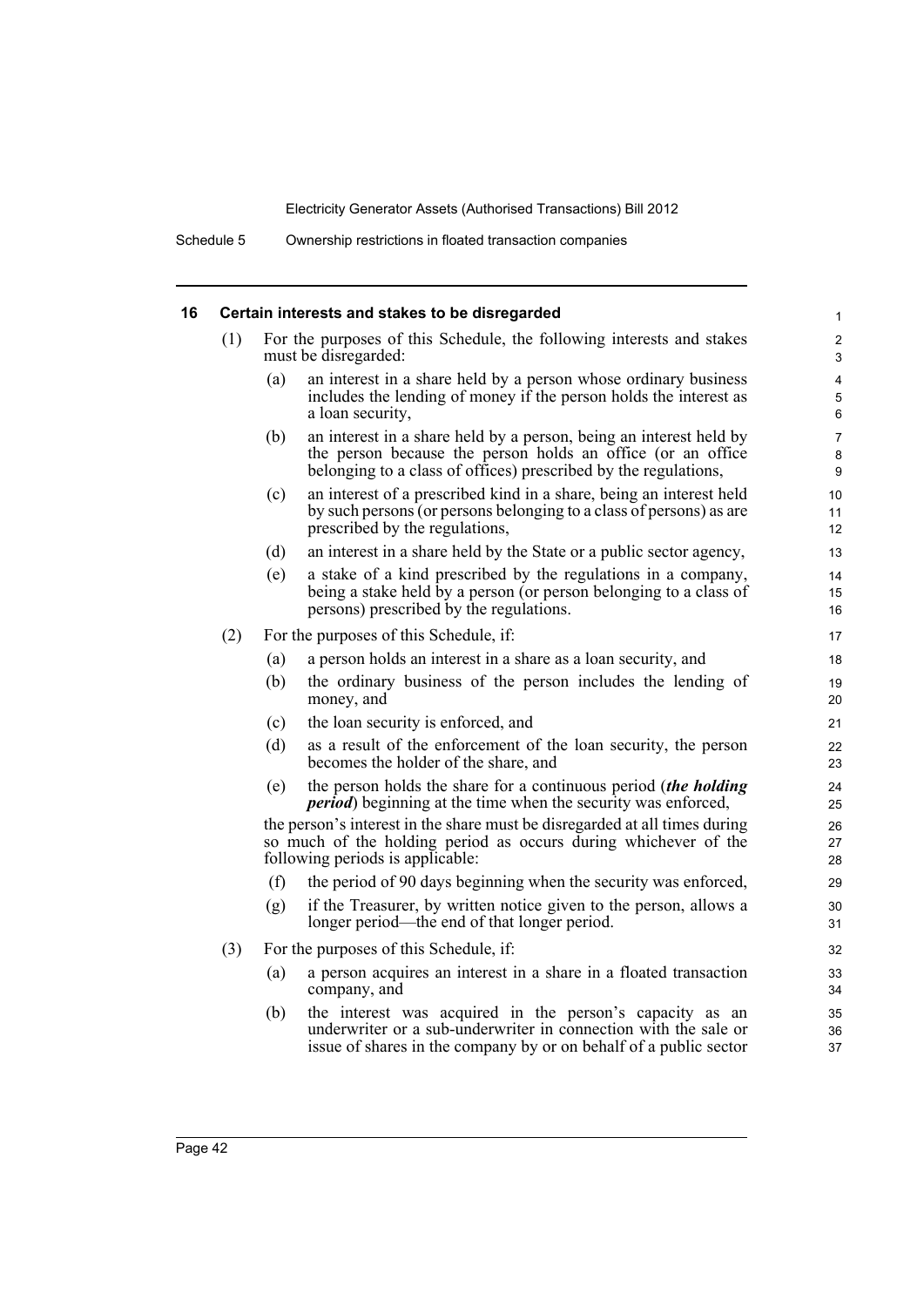# **16 Certain interests and stakes to be disregarded**

|     |                                                                                                                                                                                   | Certain interests and stakes to be disregarded                                                                                                                                                       | $\mathbf{1}$             |
|-----|-----------------------------------------------------------------------------------------------------------------------------------------------------------------------------------|------------------------------------------------------------------------------------------------------------------------------------------------------------------------------------------------------|--------------------------|
| (1) | For the purposes of this Schedule, the following interests and stakes<br>must be disregarded:                                                                                     |                                                                                                                                                                                                      |                          |
|     | (a)                                                                                                                                                                               | an interest in a share held by a person whose ordinary business<br>includes the lending of money if the person holds the interest as<br>a loan security,                                             | 4<br>5<br>6              |
|     | (b)                                                                                                                                                                               | an interest in a share held by a person, being an interest held by<br>the person because the person holds an office (or an office<br>belonging to a class of offices) prescribed by the regulations, | $\overline{7}$<br>8<br>9 |
|     | (c)                                                                                                                                                                               | an interest of a prescribed kind in a share, being an interest held<br>by such persons (or persons belonging to a class of persons) as are<br>prescribed by the regulations,                         | 10<br>11<br>12           |
|     | (d)                                                                                                                                                                               | an interest in a share held by the State or a public sector agency,                                                                                                                                  | 13                       |
|     | (e)                                                                                                                                                                               | a stake of a kind prescribed by the regulations in a company,<br>being a stake held by a person (or person belonging to a class of<br>persons) prescribed by the regulations.                        | 14<br>15<br>16           |
| (2) | For the purposes of this Schedule, if:                                                                                                                                            |                                                                                                                                                                                                      |                          |
|     | (a)                                                                                                                                                                               | a person holds an interest in a share as a loan security, and                                                                                                                                        | 18                       |
|     | (b)                                                                                                                                                                               | the ordinary business of the person includes the lending of<br>money, and                                                                                                                            | 19<br>20                 |
|     | (c)                                                                                                                                                                               | the loan security is enforced, and                                                                                                                                                                   | 21                       |
|     | (d)                                                                                                                                                                               | as a result of the enforcement of the loan security, the person<br>becomes the holder of the share, and                                                                                              | 22<br>23                 |
|     | (e)                                                                                                                                                                               | the person holds the share for a continuous period (the holding<br><i>period</i> ) beginning at the time when the security was enforced,                                                             | 24<br>25                 |
|     | the person's interest in the share must be disregarded at all times during<br>so much of the holding period as occurs during whichever of the<br>following periods is applicable: |                                                                                                                                                                                                      |                          |
|     | (f)                                                                                                                                                                               | the period of 90 days beginning when the security was enforced,                                                                                                                                      | 29                       |
|     | (g)                                                                                                                                                                               | if the Treasurer, by written notice given to the person, allows a<br>longer period—the end of that longer period.                                                                                    | 30<br>31                 |
| (3) | For the purposes of this Schedule, if:                                                                                                                                            |                                                                                                                                                                                                      | 32                       |
|     | (a)                                                                                                                                                                               | a person acquires an interest in a share in a floated transaction<br>company, and                                                                                                                    | 33<br>34                 |
|     | (b)                                                                                                                                                                               | the interest was acquired in the person's capacity as an<br>underwriter or a sub-underwriter in connection with the sale or<br>issue of shares in the company by or on behalf of a public sector     | 35<br>36<br>37           |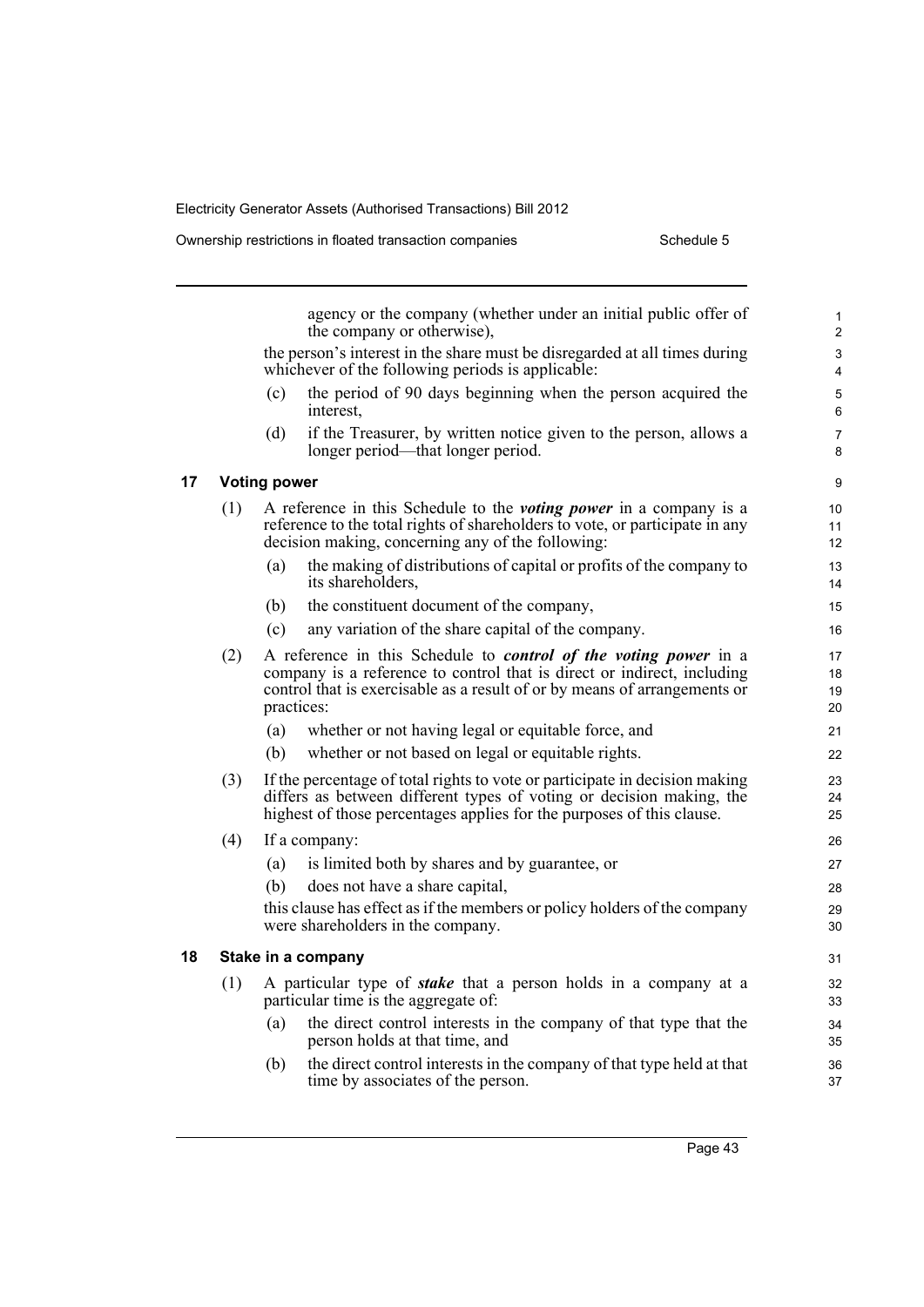**17 Voting power**

**18 Stake in a company**

|     | agency or the company (whether under an initial public offer of<br>the company or otherwise),                                                                                                                                                 | $\mathbf{1}$<br>2 |  |
|-----|-----------------------------------------------------------------------------------------------------------------------------------------------------------------------------------------------------------------------------------------------|-------------------|--|
|     | the person's interest in the share must be disregarded at all times during<br>whichever of the following periods is applicable:                                                                                                               |                   |  |
|     | the period of 90 days beginning when the person acquired the<br>(c)<br>interest.                                                                                                                                                              | 5<br>6            |  |
|     | if the Treasurer, by written notice given to the person, allows a<br>(d)<br>longer period—that longer period.                                                                                                                                 | 7<br>8            |  |
|     | <b>Voting power</b>                                                                                                                                                                                                                           | 9                 |  |
| (1) | A reference in this Schedule to the <i>voting power</i> in a company is a<br>reference to the total rights of shareholders to vote, or participate in any<br>decision making, concerning any of the following:                                |                   |  |
|     | the making of distributions of capital or profits of the company to<br>(a)<br>its shareholders,                                                                                                                                               | 13<br>14          |  |
|     | the constituent document of the company,<br>(b)                                                                                                                                                                                               | 15                |  |
|     | (c)<br>any variation of the share capital of the company.                                                                                                                                                                                     | 16                |  |
| (2) | A reference in this Schedule to <i>control of the voting power</i> in a<br>company is a reference to control that is direct or indirect, including<br>control that is exercisable as a result of or by means of arrangements or<br>practices: |                   |  |
|     | whether or not having legal or equitable force, and<br>(a)                                                                                                                                                                                    | 21                |  |
|     | whether or not based on legal or equitable rights.<br>(b)                                                                                                                                                                                     | 22                |  |
| (3) | If the percentage of total rights to vote or participate in decision making<br>differs as between different types of voting or decision making, the<br>highest of those percentages applies for the purposes of this clause.                  |                   |  |
| (4) | If a company:                                                                                                                                                                                                                                 | 26                |  |
|     | is limited both by shares and by guarantee, or<br>(a)                                                                                                                                                                                         | 27                |  |
|     | (b)<br>does not have a share capital,                                                                                                                                                                                                         | 28                |  |
|     | this clause has effect as if the members or policy holders of the company<br>were shareholders in the company.                                                                                                                                | 29<br>30          |  |
|     | Stake in a company                                                                                                                                                                                                                            | 31                |  |
| (1) | A particular type of <i>stake</i> that a person holds in a company at a<br>particular time is the aggregate of:                                                                                                                               |                   |  |
|     | the direct control interests in the company of that type that the<br>(a)<br>person holds at that time, and                                                                                                                                    | 34<br>35          |  |
|     | the direct control interests in the company of that type held at that<br>(b)<br>time by associates of the person.                                                                                                                             | 36<br>37          |  |
|     |                                                                                                                                                                                                                                               |                   |  |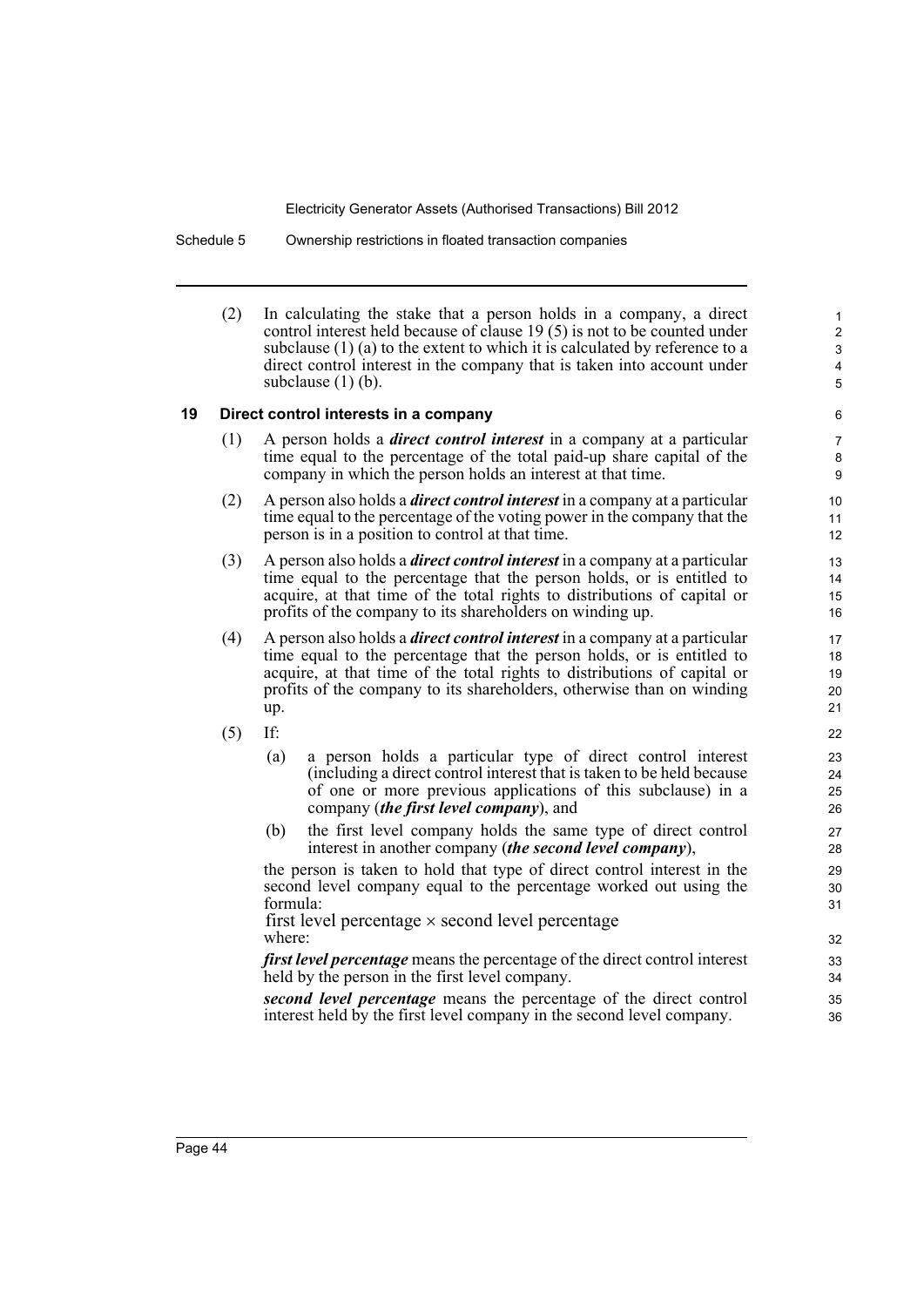Schedule 5 Ownership restrictions in floated transaction companies

(2) In calculating the stake that a person holds in a company, a direct control interest held because of clause 19 (5) is not to be counted under subclause (1) (a) to the extent to which it is calculated by reference to a direct control interest in the company that is taken into account under subclause  $(1)$  (b).

#### **19 Direct control interests in a company**

- (1) A person holds a *direct control interest* in a company at a particular time equal to the percentage of the total paid-up share capital of the company in which the person holds an interest at that time.
- (2) A person also holds a *direct control interest* in a company at a particular time equal to the percentage of the voting power in the company that the person is in a position to control at that time.
- (3) A person also holds a *direct control interest* in a company at a particular time equal to the percentage that the person holds, or is entitled to acquire, at that time of the total rights to distributions of capital or profits of the company to its shareholders on winding up.
- (4) A person also holds a *direct control interest* in a company at a particular time equal to the percentage that the person holds, or is entitled to acquire, at that time of the total rights to distributions of capital or profits of the company to its shareholders, otherwise than on winding up.
- (5) If:
	- (a) a person holds a particular type of direct control interest (including a direct control interest that is taken to be held because of one or more previous applications of this subclause) in a company (*the first level company*), and
	- (b) the first level company holds the same type of direct control interest in another company (*the second level company*),

the person is taken to hold that type of direct control interest in the second level company equal to the percentage worked out using the formula:

where: first level percentage  $\times$  second level percentage

*first level percentage* means the percentage of the direct control interest held by the person in the first level company.

*second level percentage* means the percentage of the direct control interest held by the first level company in the second level company.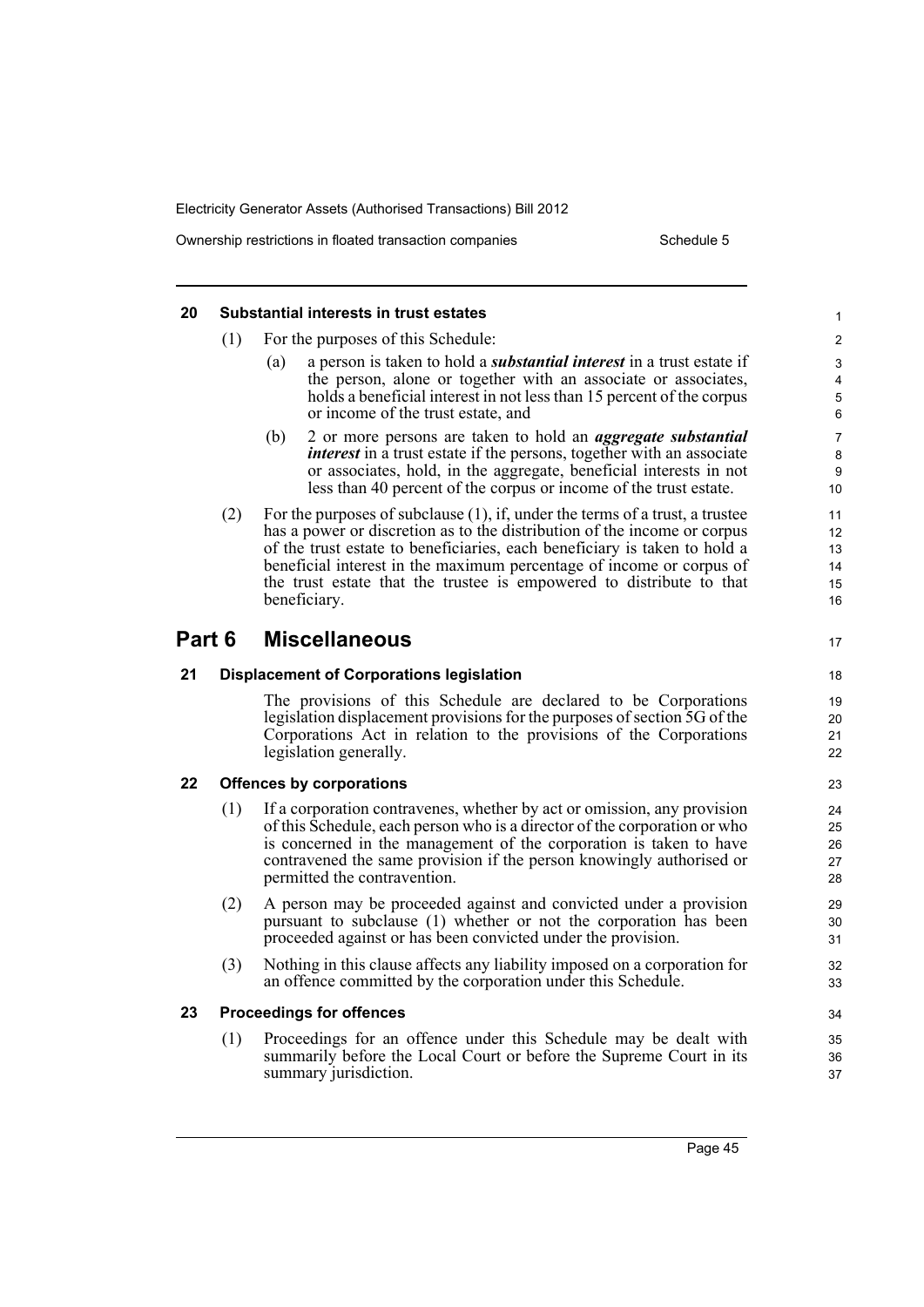Ownership restrictions in floated transaction companies Schedule 5

#### **20 Substantial interests in trust estates** (1) For the purposes of this Schedule: (a) a person is taken to hold a *substantial interest* in a trust estate if the person, alone or together with an associate or associates, holds a beneficial interest in not less than 15 percent of the corpus or income of the trust estate, and (b) 2 or more persons are taken to hold an *aggregate substantial interest* in a trust estate if the persons, together with an associate or associates, hold, in the aggregate, beneficial interests in not less than 40 percent of the corpus or income of the trust estate. (2) For the purposes of subclause  $(1)$ , if, under the terms of a trust, a trustee has a power or discretion as to the distribution of the income or corpus of the trust estate to beneficiaries, each beneficiary is taken to hold a beneficial interest in the maximum percentage of income or corpus of the trust estate that the trustee is empowered to distribute to that beneficiary. **Part 6 Miscellaneous 21 Displacement of Corporations legislation** The provisions of this Schedule are declared to be Corporations legislation displacement provisions for the purposes of section 5G of the Corporations Act in relation to the provisions of the Corporations legislation generally. **22 Offences by corporations** (1) If a corporation contravenes, whether by act or omission, any provision of this Schedule, each person who is a director of the corporation or who is concerned in the management of the corporation is taken to have contravened the same provision if the person knowingly authorised or permitted the contravention. (2) A person may be proceeded against and convicted under a provision pursuant to subclause (1) whether or not the corporation has been proceeded against or has been convicted under the provision. (3) Nothing in this clause affects any liability imposed on a corporation for an offence committed by the corporation under this Schedule. **23 Proceedings for offences** (1) Proceedings for an offence under this Schedule may be dealt with summarily before the Local Court or before the Supreme Court in its summary jurisdiction. 1 2 3 4 5 6 7 8 9 10 11 12 13 14 15 16 17 18 19 20 21 22 23 24 25 26 27 28 29 30 31 32 33 34 35 36 37

Page 45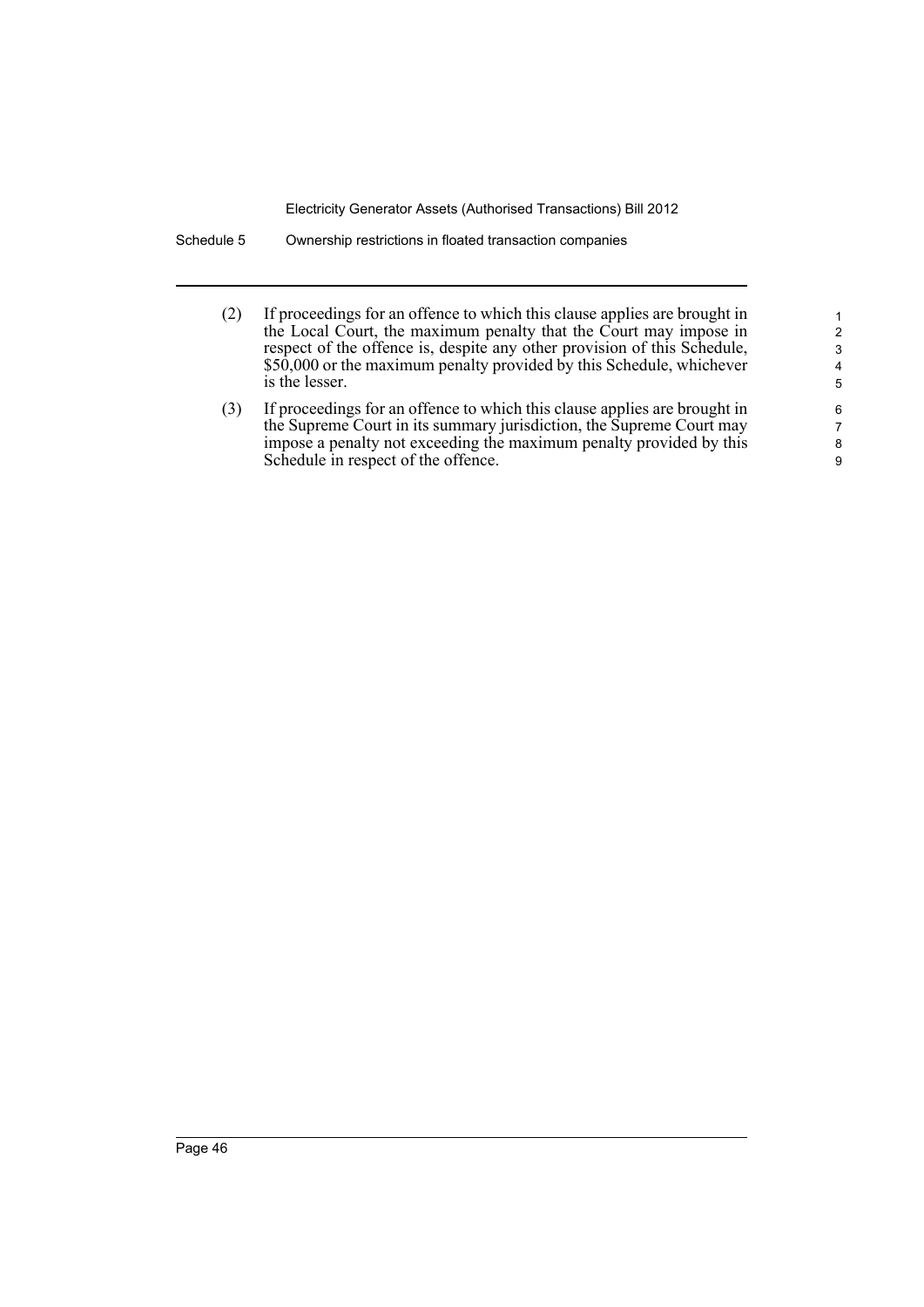Schedule 5 Ownership restrictions in floated transaction companies

(2) If proceedings for an offence to which this clause applies are brought in the Local Court, the maximum penalty that the Court may impose in respect of the offence is, despite any other provision of this Schedule, \$50,000 or the maximum penalty provided by this Schedule, whichever is the lesser.

(3) If proceedings for an offence to which this clause applies are brought in the Supreme Court in its summary jurisdiction, the Supreme Court may impose a penalty not exceeding the maximum penalty provided by this Schedule in respect of the offence.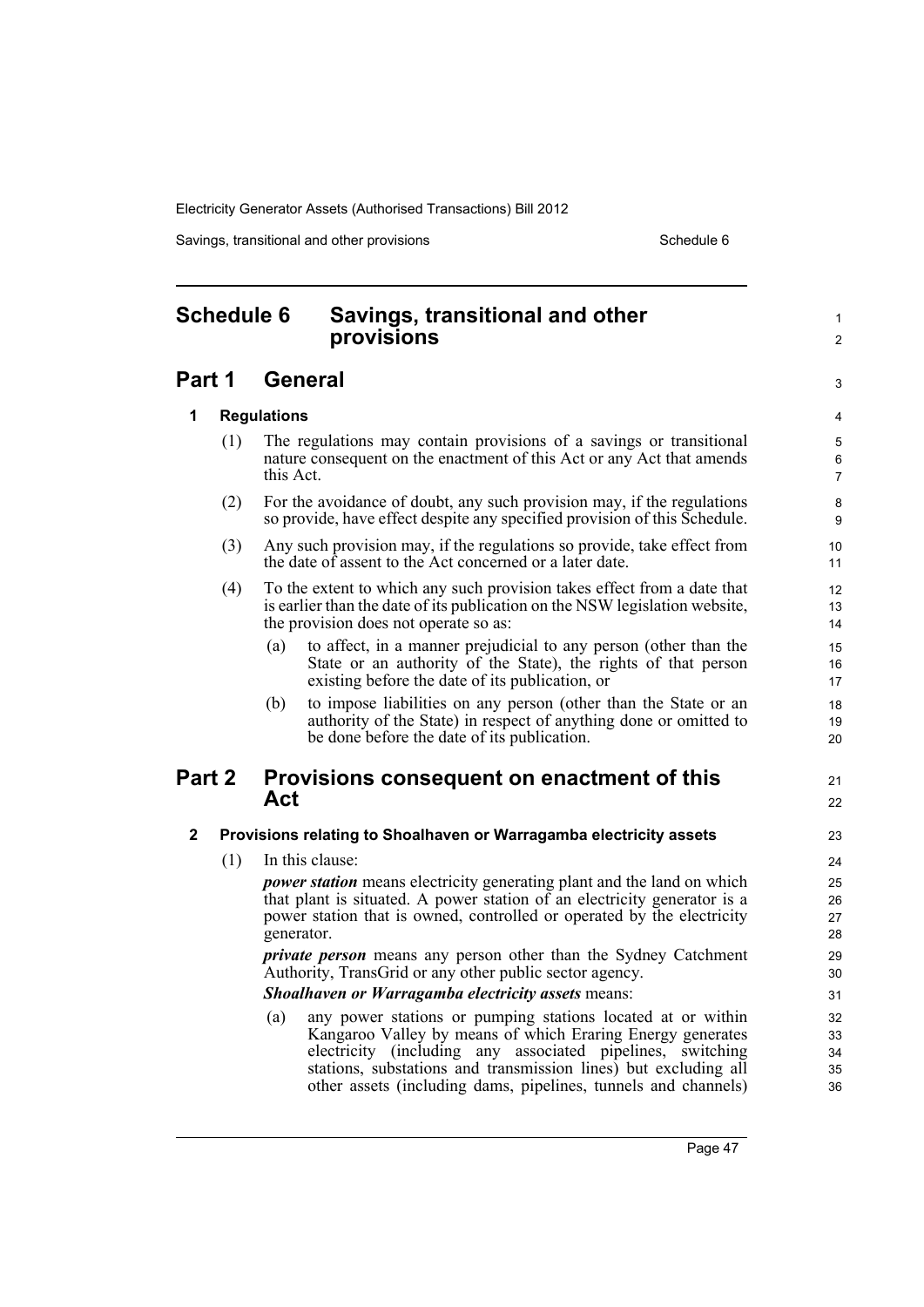Savings, transitional and other provisions Schedule 6 Schedule 6

1  $\mathfrak{p}$ 

3

21 22

# <span id="page-56-0"></span>**Schedule 6 Savings, transitional and other provisions**

# **Part 1 General**

#### **1 Regulations**

- (1) The regulations may contain provisions of a savings or transitional nature consequent on the enactment of this Act or any Act that amends this Act.
- (2) For the avoidance of doubt, any such provision may, if the regulations so provide, have effect despite any specified provision of this Schedule.
- (3) Any such provision may, if the regulations so provide, take effect from the date of assent to the Act concerned or a later date.
- (4) To the extent to which any such provision takes effect from a date that is earlier than the date of its publication on the NSW legislation website, the provision does not operate so as:
	- (a) to affect, in a manner prejudicial to any person (other than the State or an authority of the State), the rights of that person existing before the date of its publication, or
	- (b) to impose liabilities on any person (other than the State or an authority of the State) in respect of anything done or omitted to be done before the date of its publication.

### **Part 2 Provisions consequent on enactment of this Act**

#### **2 Provisions relating to Shoalhaven or Warragamba electricity assets**

(1) In this clause:

*power station* means electricity generating plant and the land on which that plant is situated. A power station of an electricity generator is a power station that is owned, controlled or operated by the electricity generator.

*private person* means any person other than the Sydney Catchment Authority, TransGrid or any other public sector agency.

#### *Shoalhaven or Warragamba electricity assets* means:

(a) any power stations or pumping stations located at or within Kangaroo Valley by means of which Eraring Energy generates electricity (including any associated pipelines, switching stations, substations and transmission lines) but excluding all other assets (including dams, pipelines, tunnels and channels)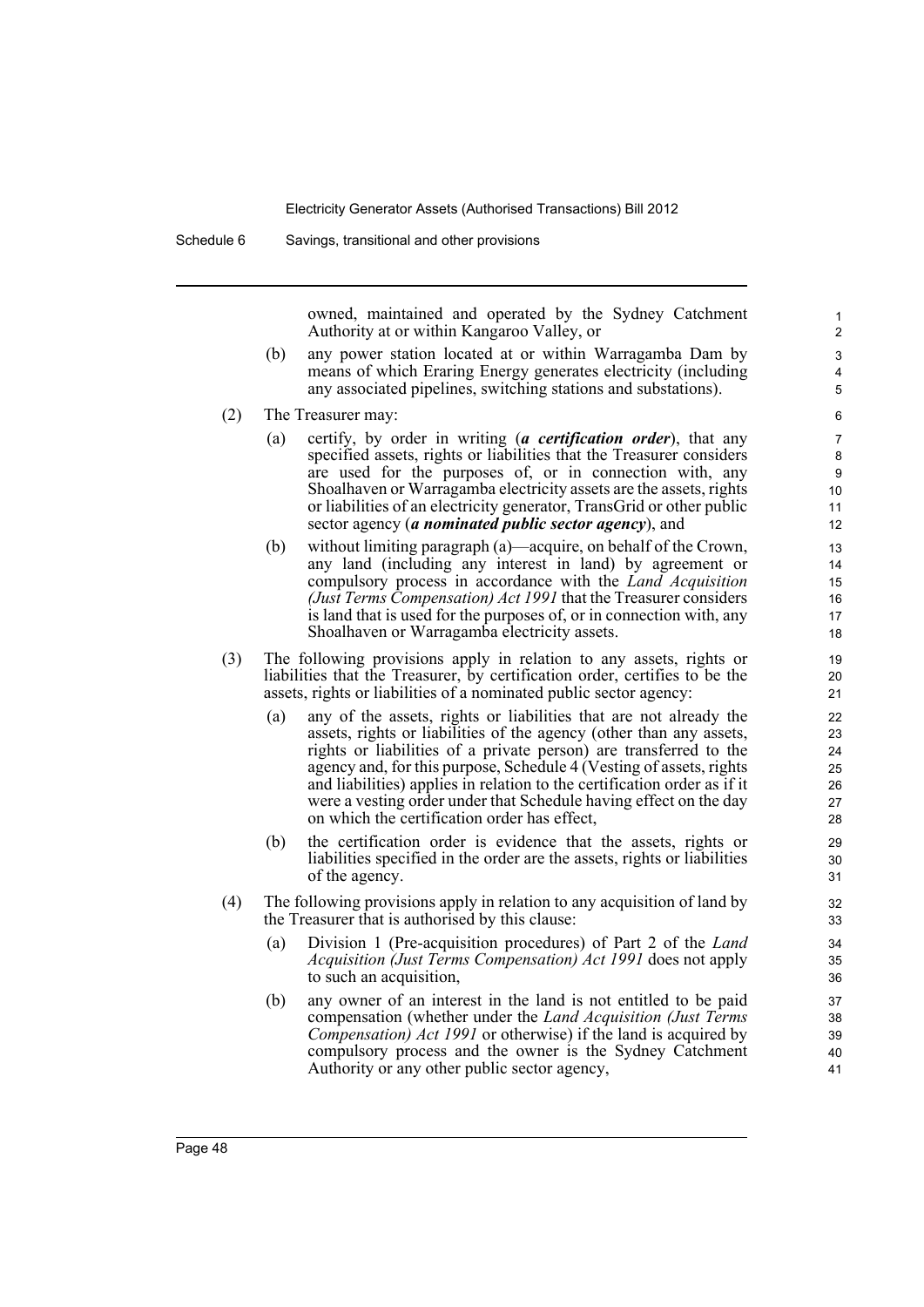owned, maintained and operated by the Sydney Catchment Authority at or within Kangaroo Valley, or

- (b) any power station located at or within Warragamba Dam by means of which Eraring Energy generates electricity (including any associated pipelines, switching stations and substations).
- (2) The Treasurer may:
	- (a) certify, by order in writing (*a certification order*), that any specified assets, rights or liabilities that the Treasurer considers are used for the purposes of, or in connection with, any Shoalhaven or Warragamba electricity assets are the assets, rights or liabilities of an electricity generator, TransGrid or other public sector agency (*a nominated public sector agency*), and
	- (b) without limiting paragraph (a)—acquire, on behalf of the Crown, any land (including any interest in land) by agreement or compulsory process in accordance with the *Land Acquisition (Just Terms Compensation) Act 1991* that the Treasurer considers is land that is used for the purposes of, or in connection with, any Shoalhaven or Warragamba electricity assets.
- (3) The following provisions apply in relation to any assets, rights or liabilities that the Treasurer, by certification order, certifies to be the assets, rights or liabilities of a nominated public sector agency:
	- (a) any of the assets, rights or liabilities that are not already the assets, rights or liabilities of the agency (other than any assets, rights or liabilities of a private person) are transferred to the agency and, for this purpose, Schedule 4 (Vesting of assets, rights and liabilities) applies in relation to the certification order as if it were a vesting order under that Schedule having effect on the day on which the certification order has effect,
	- (b) the certification order is evidence that the assets, rights or liabilities specified in the order are the assets, rights or liabilities of the agency.
- (4) The following provisions apply in relation to any acquisition of land by the Treasurer that is authorised by this clause:
	- (a) Division 1 (Pre-acquisition procedures) of Part 2 of the *Land Acquisition (Just Terms Compensation) Act 1991* does not apply to such an acquisition,
	- (b) any owner of an interest in the land is not entitled to be paid compensation (whether under the *Land Acquisition (Just Terms Compensation) Act 1991* or otherwise) if the land is acquired by compulsory process and the owner is the Sydney Catchment Authority or any other public sector agency,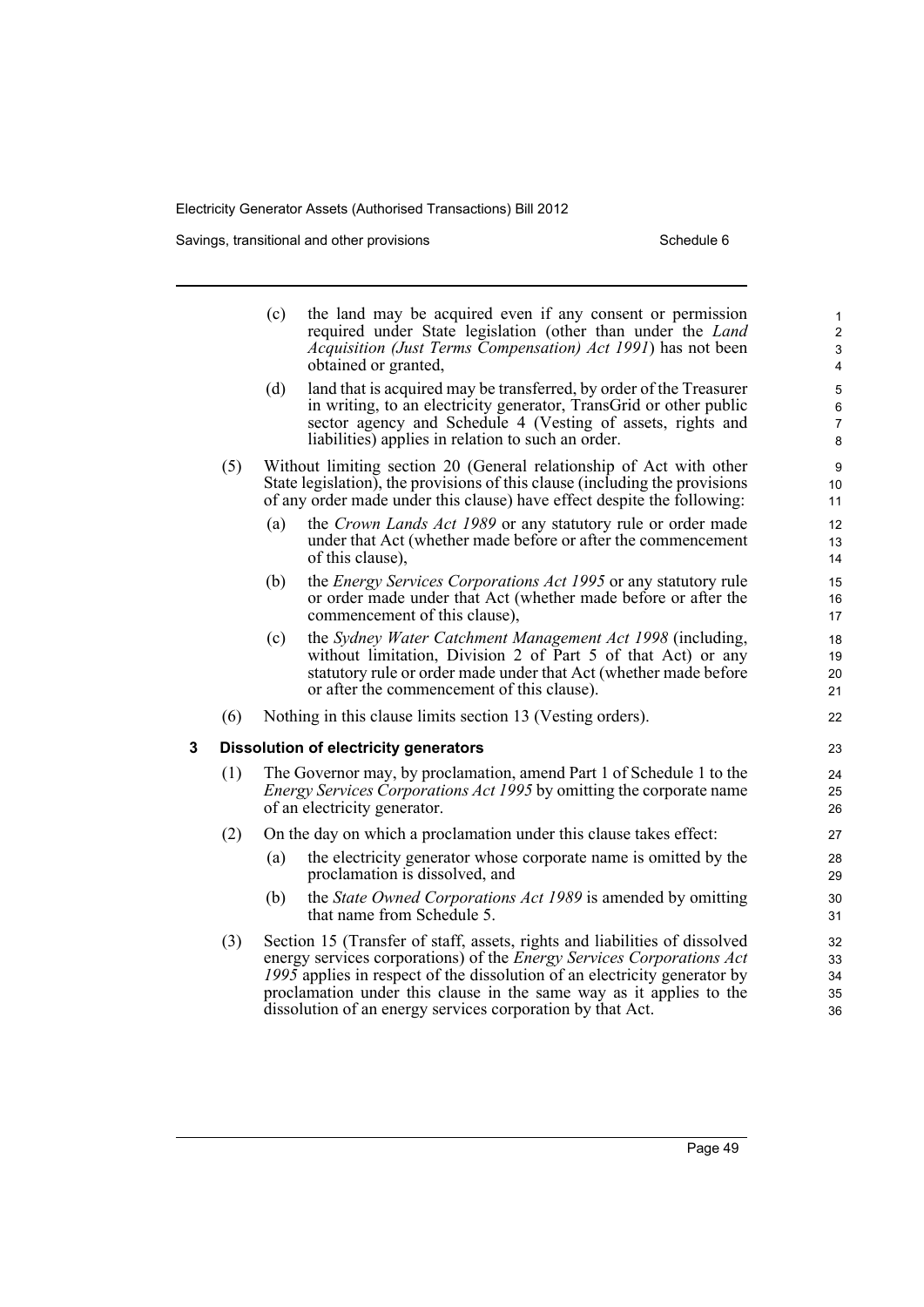Savings, transitional and other provisions Schedule 6 Schedule 6

|   |                                              | (c)<br>(d)                                                                                                                                                                          | the land may be acquired even if any consent or permission<br>required under State legislation (other than under the Land<br>Acquisition (Just Terms Compensation) Act 1991) has not been<br>obtained or granted,<br>land that is acquired may be transferred, by order of the Treasurer<br>in writing, to an electricity generator, TransGrid or other public<br>sector agency and Schedule 4 (Vesting of assets, rights and<br>liabilities) applies in relation to such an order. | 1<br>$\overline{c}$<br>$\mathbf{3}$<br>$\overline{4}$<br>5<br>$\,6\,$<br>$\overline{7}$<br>8 |  |  |
|---|----------------------------------------------|-------------------------------------------------------------------------------------------------------------------------------------------------------------------------------------|-------------------------------------------------------------------------------------------------------------------------------------------------------------------------------------------------------------------------------------------------------------------------------------------------------------------------------------------------------------------------------------------------------------------------------------------------------------------------------------|----------------------------------------------------------------------------------------------|--|--|
|   | (5)                                          |                                                                                                                                                                                     | Without limiting section 20 (General relationship of Act with other<br>State legislation), the provisions of this clause (including the provisions<br>of any order made under this clause) have effect despite the following:                                                                                                                                                                                                                                                       | 9<br>10<br>11                                                                                |  |  |
|   |                                              | (a)                                                                                                                                                                                 | the Crown Lands Act 1989 or any statutory rule or order made<br>under that Act (whether made before or after the commencement<br>of this clause),                                                                                                                                                                                                                                                                                                                                   | 12<br>13<br>14                                                                               |  |  |
|   |                                              | (b)                                                                                                                                                                                 | the <i>Energy Services Corporations Act 1995</i> or any statutory rule<br>or order made under that Act (whether made before or after the<br>commencement of this clause),                                                                                                                                                                                                                                                                                                           | 15<br>16<br>17                                                                               |  |  |
|   |                                              | (c)                                                                                                                                                                                 | the Sydney Water Catchment Management Act 1998 (including,<br>without limitation, Division 2 of Part 5 of that Act) or any<br>statutory rule or order made under that Act (whether made before<br>or after the commencement of this clause).                                                                                                                                                                                                                                        | 18<br>19<br>20<br>21                                                                         |  |  |
|   | (6)                                          |                                                                                                                                                                                     | Nothing in this clause limits section 13 (Vesting orders).                                                                                                                                                                                                                                                                                                                                                                                                                          | 22                                                                                           |  |  |
| 3 | <b>Dissolution of electricity generators</b> |                                                                                                                                                                                     |                                                                                                                                                                                                                                                                                                                                                                                                                                                                                     |                                                                                              |  |  |
|   | (1)                                          | The Governor may, by proclamation, amend Part 1 of Schedule 1 to the<br><i>Energy Services Corporations Act 1995</i> by omitting the corporate name<br>of an electricity generator. |                                                                                                                                                                                                                                                                                                                                                                                                                                                                                     |                                                                                              |  |  |
|   | (2)                                          |                                                                                                                                                                                     | On the day on which a proclamation under this clause takes effect:                                                                                                                                                                                                                                                                                                                                                                                                                  | 27                                                                                           |  |  |
|   |                                              | (a)                                                                                                                                                                                 | the electricity generator whose corporate name is omitted by the<br>proclamation is dissolved, and                                                                                                                                                                                                                                                                                                                                                                                  | 28<br>29                                                                                     |  |  |
|   |                                              | (b)                                                                                                                                                                                 | the <i>State Owned Corporations Act 1989</i> is amended by omitting<br>that name from Schedule 5.                                                                                                                                                                                                                                                                                                                                                                                   | 30<br>31                                                                                     |  |  |
|   | (3)                                          |                                                                                                                                                                                     | Section 15 (Transfer of staff, assets, rights and liabilities of dissolved<br>energy services corporations) of the <i>Energy Services Corporations Act</i><br>1995 applies in respect of the dissolution of an electricity generator by<br>proclamation under this clause in the same way as it applies to the<br>dissolution of an energy services corporation by that Act.                                                                                                        | 32<br>33<br>34<br>35<br>36                                                                   |  |  |